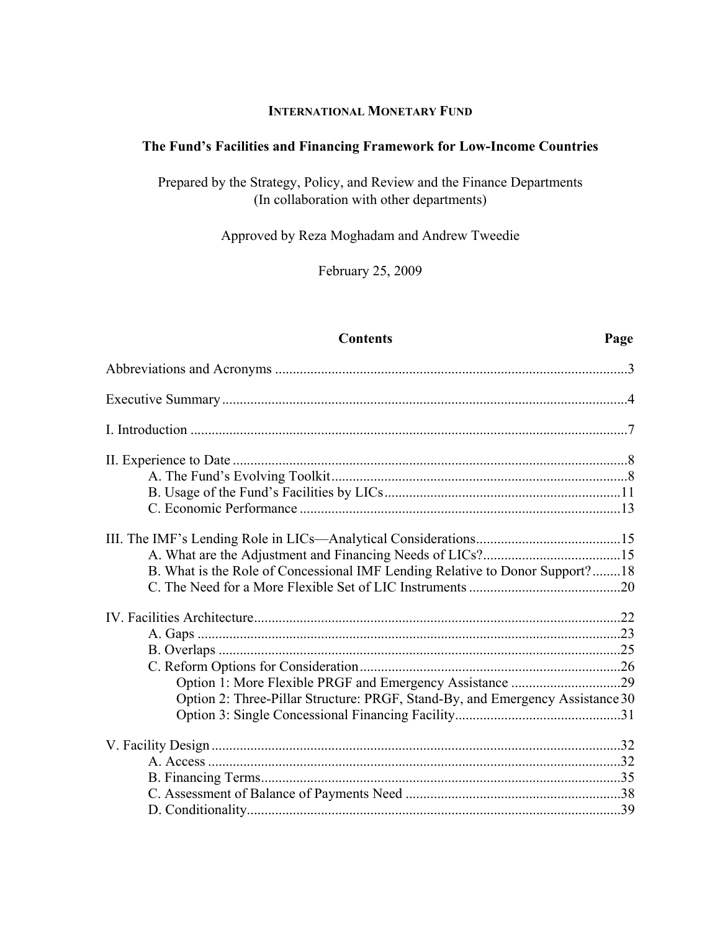#### **INTERNATIONAL MONETARY FUND**

#### **The Fund's Facilities and Financing Framework for Low-Income Countries**

Prepared by the Strategy, Policy, and Review and the Finance Departments (In collaboration with other departments)

Approved by Reza Moghadam and Andrew Tweedie

February 25, 2009

#### **Contents Page**

| B. What is the Role of Concessional IMF Lending Relative to Donor Support?18  |  |
|-------------------------------------------------------------------------------|--|
|                                                                               |  |
|                                                                               |  |
|                                                                               |  |
|                                                                               |  |
|                                                                               |  |
|                                                                               |  |
| Option 2: Three-Pillar Structure: PRGF, Stand-By, and Emergency Assistance 30 |  |
|                                                                               |  |
|                                                                               |  |
|                                                                               |  |
|                                                                               |  |
|                                                                               |  |
|                                                                               |  |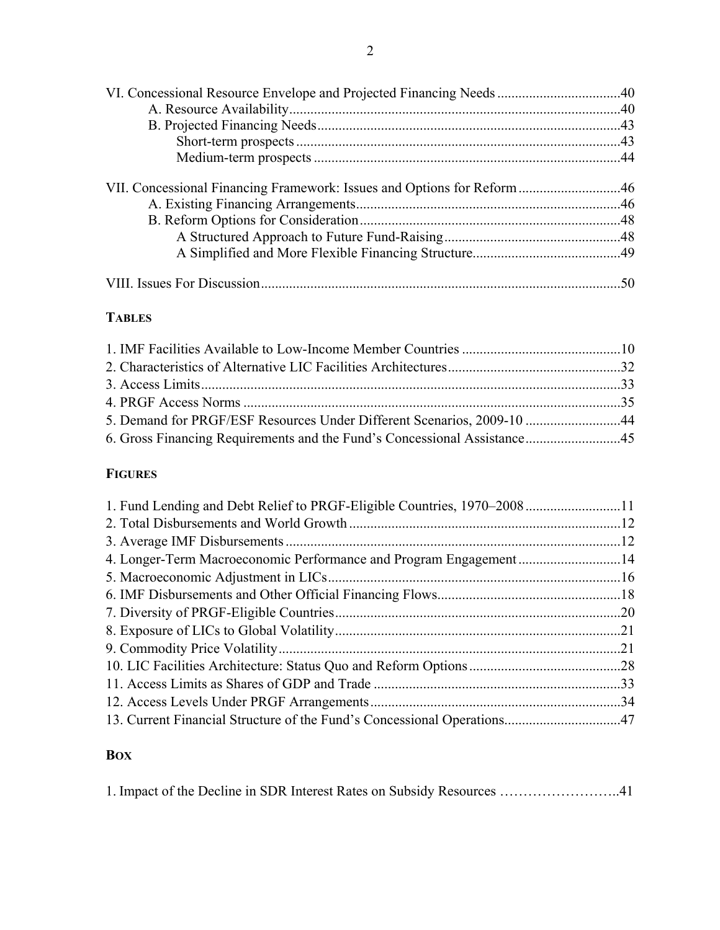# **TABLES**

| 5. Demand for PRGF/ESF Resources Under Different Scenarios, 2009-10 44   |  |
|--------------------------------------------------------------------------|--|
| 6. Gross Financing Requirements and the Fund's Concessional Assistance45 |  |

# **FIGURES**

| 1. Fund Lending and Debt Relief to PRGF-Eligible Countries, 1970–200811 |  |
|-------------------------------------------------------------------------|--|
|                                                                         |  |
|                                                                         |  |
| 4. Longer-Term Macroeconomic Performance and Program Engagement14       |  |
|                                                                         |  |
|                                                                         |  |
|                                                                         |  |
|                                                                         |  |
|                                                                         |  |
|                                                                         |  |
|                                                                         |  |
|                                                                         |  |
|                                                                         |  |
|                                                                         |  |

# **BOX**

| 1. Impact of the Decline in SDR Interest Rates on Subsidy Resources 41 |  |
|------------------------------------------------------------------------|--|
|------------------------------------------------------------------------|--|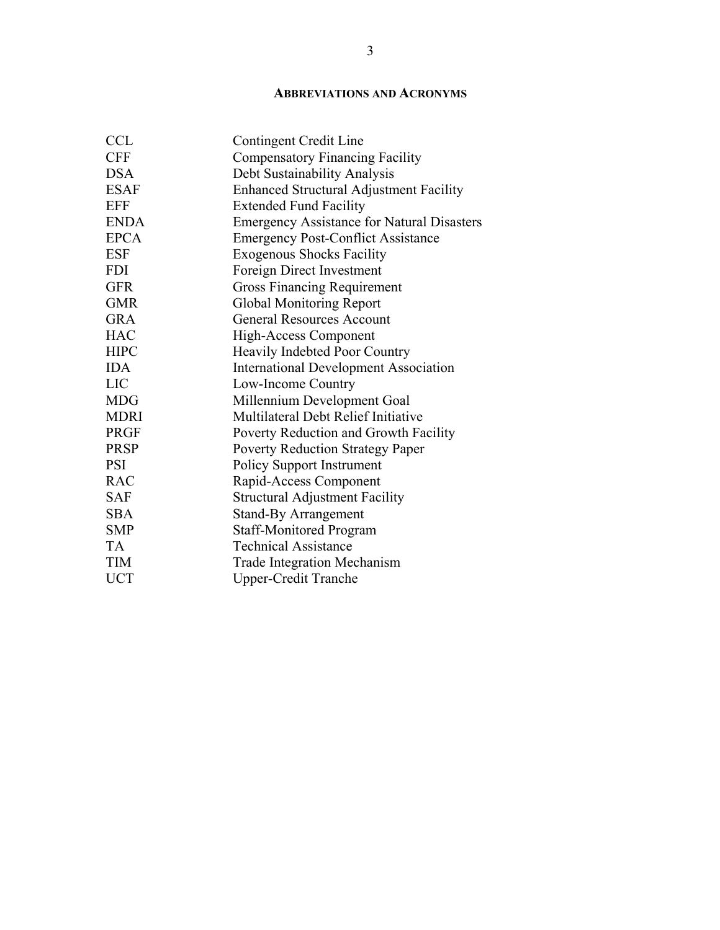# **ABBREVIATIONS AND ACRONYMS**

<span id="page-2-0"></span>

| <b>CCL</b>  | Contingent Credit Line                            |
|-------------|---------------------------------------------------|
| <b>CFF</b>  | <b>Compensatory Financing Facility</b>            |
| <b>DSA</b>  | Debt Sustainability Analysis                      |
| <b>ESAF</b> | <b>Enhanced Structural Adjustment Facility</b>    |
| <b>EFF</b>  | <b>Extended Fund Facility</b>                     |
| <b>ENDA</b> | <b>Emergency Assistance for Natural Disasters</b> |
| <b>EPCA</b> | <b>Emergency Post-Conflict Assistance</b>         |
| ESF         | <b>Exogenous Shocks Facility</b>                  |
| <b>FDI</b>  | Foreign Direct Investment                         |
| <b>GFR</b>  | <b>Gross Financing Requirement</b>                |
| <b>GMR</b>  | Global Monitoring Report                          |
| <b>GRA</b>  | <b>General Resources Account</b>                  |
| <b>HAC</b>  | High-Access Component                             |
| <b>HIPC</b> | <b>Heavily Indebted Poor Country</b>              |
| <b>IDA</b>  | <b>International Development Association</b>      |
| <b>LIC</b>  | Low-Income Country                                |
| <b>MDG</b>  | Millennium Development Goal                       |
| <b>MDRI</b> | Multilateral Debt Relief Initiative               |
| <b>PRGF</b> | Poverty Reduction and Growth Facility             |
| <b>PRSP</b> | <b>Poverty Reduction Strategy Paper</b>           |
| <b>PSI</b>  | <b>Policy Support Instrument</b>                  |
| <b>RAC</b>  | Rapid-Access Component                            |
| <b>SAF</b>  | <b>Structural Adjustment Facility</b>             |
| <b>SBA</b>  | <b>Stand-By Arrangement</b>                       |
| <b>SMP</b>  | <b>Staff-Monitored Program</b>                    |
| <b>TA</b>   | <b>Technical Assistance</b>                       |
| <b>TIM</b>  | <b>Trade Integration Mechanism</b>                |
| <b>UCT</b>  | <b>Upper-Credit Tranche</b>                       |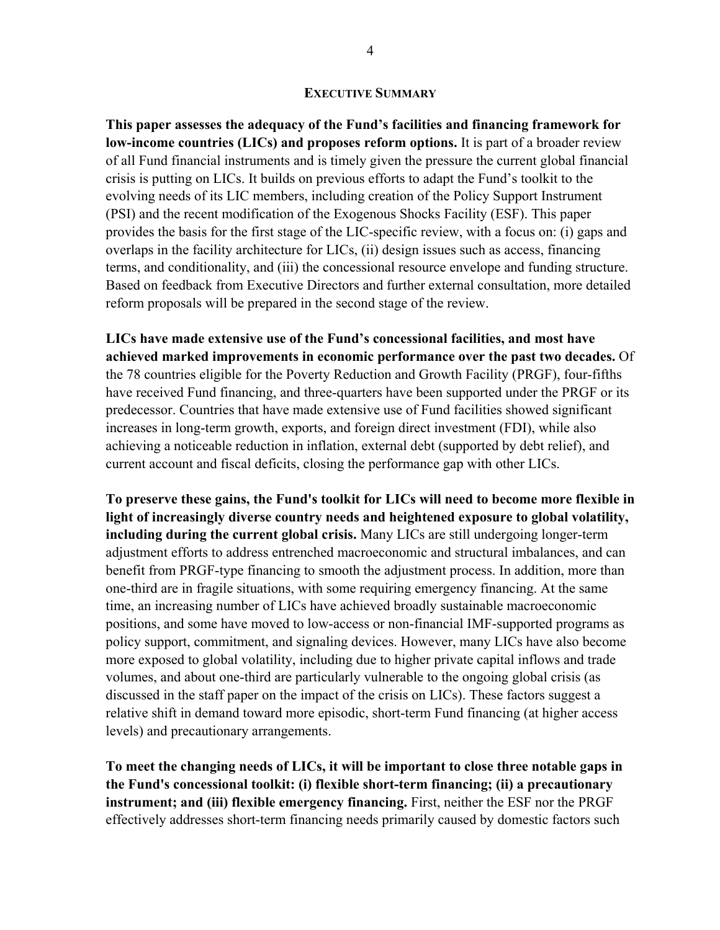<span id="page-3-0"></span>**This paper assesses the adequacy of the Fund's facilities and financing framework for low-income countries (LICs) and proposes reform options.** It is part of a broader review of all Fund financial instruments and is timely given the pressure the current global financial crisis is putting on LICs. It builds on previous efforts to adapt the Fund's toolkit to the evolving needs of its LIC members, including creation of the Policy Support Instrument (PSI) and the recent modification of the Exogenous Shocks Facility (ESF). This paper provides the basis for the first stage of the LIC-specific review, with a focus on: (i) gaps and overlaps in the facility architecture for LICs, (ii) design issues such as access, financing terms, and conditionality, and (iii) the concessional resource envelope and funding structure. Based on feedback from Executive Directors and further external consultation, more detailed reform proposals will be prepared in the second stage of the review.

**LICs have made extensive use of the Fund's concessional facilities, and most have achieved marked improvements in economic performance over the past two decades.** Of the 78 countries eligible for the Poverty Reduction and Growth Facility (PRGF), four-fifths have received Fund financing, and three-quarters have been supported under the PRGF or its predecessor. Countries that have made extensive use of Fund facilities showed significant increases in long-term growth, exports, and foreign direct investment (FDI), while also achieving a noticeable reduction in inflation, external debt (supported by debt relief), and current account and fiscal deficits, closing the performance gap with other LICs.

**To preserve these gains, the Fund's toolkit for LICs will need to become more flexible in light of increasingly diverse country needs and heightened exposure to global volatility, including during the current global crisis.** Many LICs are still undergoing longer-term adjustment efforts to address entrenched macroeconomic and structural imbalances, and can benefit from PRGF-type financing to smooth the adjustment process. In addition, more than one-third are in fragile situations, with some requiring emergency financing. At the same time, an increasing number of LICs have achieved broadly sustainable macroeconomic positions, and some have moved to low-access or non-financial IMF-supported programs as policy support, commitment, and signaling devices. However, many LICs have also become more exposed to global volatility, including due to higher private capital inflows and trade volumes, and about one-third are particularly vulnerable to the ongoing global crisis (as discussed in the staff paper on the impact of the crisis on LICs). These factors suggest a relative shift in demand toward more episodic, short-term Fund financing (at higher access levels) and precautionary arrangements.

**To meet the changing needs of LICs, it will be important to close three notable gaps in the Fund's concessional toolkit: (i) flexible short-term financing; (ii) a precautionary instrument; and (iii) flexible emergency financing.** First, neither the ESF nor the PRGF effectively addresses short-term financing needs primarily caused by domestic factors such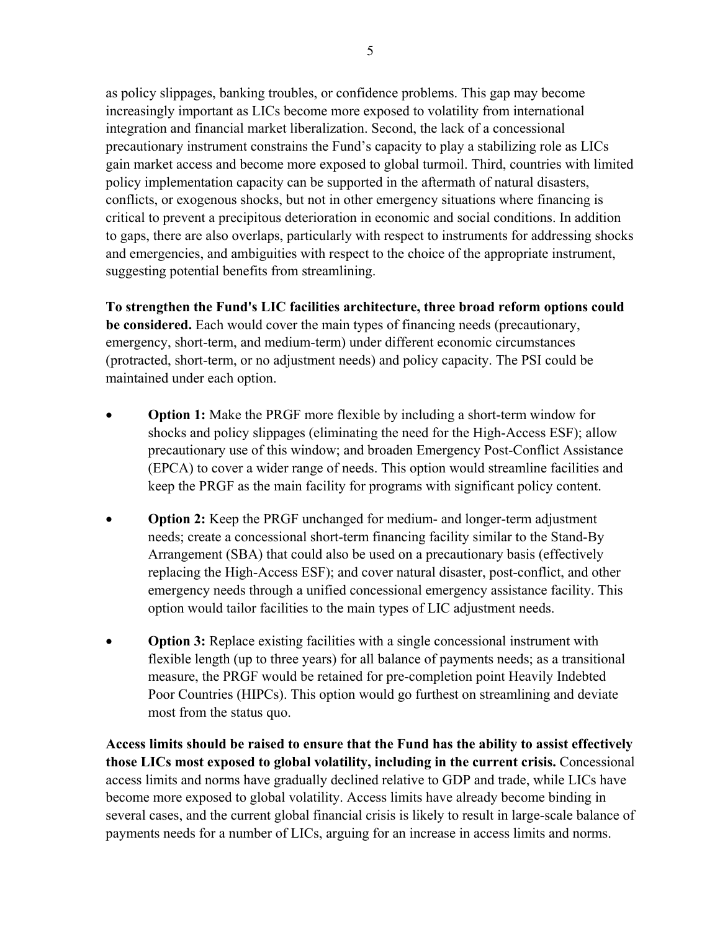as policy slippages, banking troubles, or confidence problems. This gap may become increasingly important as LICs become more exposed to volatility from international integration and financial market liberalization. Second, the lack of a concessional precautionary instrument constrains the Fund's capacity to play a stabilizing role as LICs gain market access and become more exposed to global turmoil. Third, countries with limited policy implementation capacity can be supported in the aftermath of natural disasters, conflicts, or exogenous shocks, but not in other emergency situations where financing is critical to prevent a precipitous deterioration in economic and social conditions. In addition to gaps, there are also overlaps, particularly with respect to instruments for addressing shocks and emergencies, and ambiguities with respect to the choice of the appropriate instrument, suggesting potential benefits from streamlining.

**To strengthen the Fund's LIC facilities architecture, three broad reform options could be considered.** Each would cover the main types of financing needs (precautionary, emergency, short-term, and medium-term) under different economic circumstances (protracted, short-term, or no adjustment needs) and policy capacity. The PSI could be maintained under each option.

- **Option 1:** Make the PRGF more flexible by including a short-term window for shocks and policy slippages (eliminating the need for the High-Access ESF); allow precautionary use of this window; and broaden Emergency Post-Conflict Assistance (EPCA) to cover a wider range of needs. This option would streamline facilities and keep the PRGF as the main facility for programs with significant policy content.
- **Option 2:** Keep the PRGF unchanged for medium- and longer-term adjustment needs; create a concessional short-term financing facility similar to the Stand-By Arrangement (SBA) that could also be used on a precautionary basis (effectively replacing the High-Access ESF); and cover natural disaster, post-conflict, and other emergency needs through a unified concessional emergency assistance facility. This option would tailor facilities to the main types of LIC adjustment needs.
- **Option 3:** Replace existing facilities with a single concessional instrument with flexible length (up to three years) for all balance of payments needs; as a transitional measure, the PRGF would be retained for pre-completion point Heavily Indebted Poor Countries (HIPCs). This option would go furthest on streamlining and deviate most from the status quo.

**Access limits should be raised to ensure that the Fund has the ability to assist effectively those LICs most exposed to global volatility, including in the current crisis.** Concessional access limits and norms have gradually declined relative to GDP and trade, while LICs have become more exposed to global volatility. Access limits have already become binding in several cases, and the current global financial crisis is likely to result in large-scale balance of payments needs for a number of LICs, arguing for an increase in access limits and norms.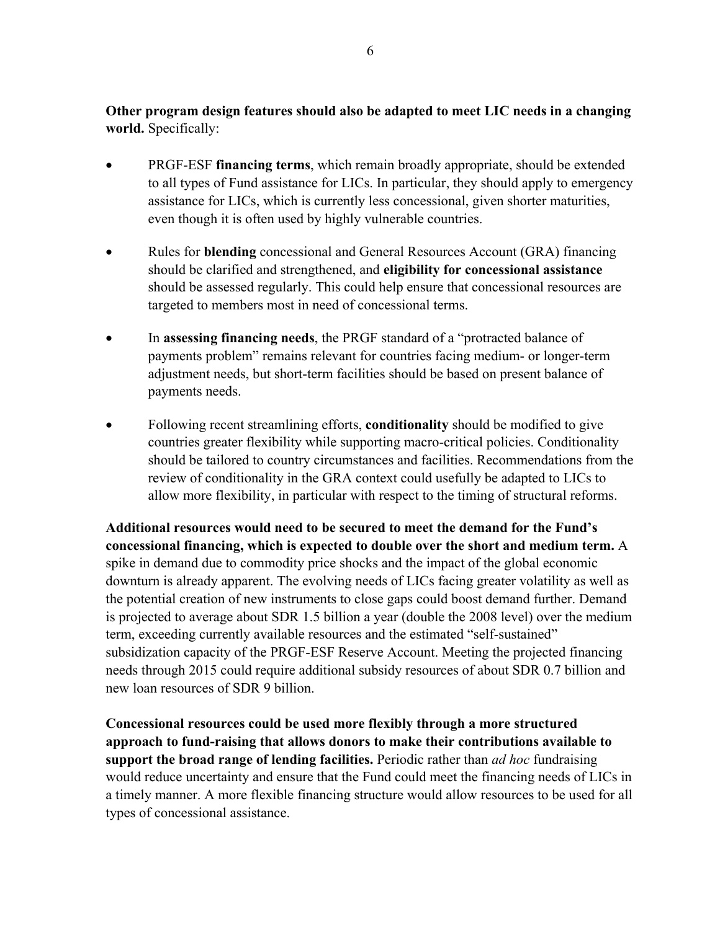**Other program design features should also be adapted to meet LIC needs in a changing world.** Specifically:

- PRGF-ESF **financing terms**, which remain broadly appropriate, should be extended to all types of Fund assistance for LICs. In particular, they should apply to emergency assistance for LICs, which is currently less concessional, given shorter maturities, even though it is often used by highly vulnerable countries.
- Rules for **blending** concessional and General Resources Account (GRA) financing should be clarified and strengthened, and **eligibility for concessional assistance**  should be assessed regularly. This could help ensure that concessional resources are targeted to members most in need of concessional terms.
- In **assessing financing needs**, the PRGF standard of a "protracted balance of payments problem" remains relevant for countries facing medium- or longer-term adjustment needs, but short-term facilities should be based on present balance of payments needs.
- Following recent streamlining efforts, **conditionality** should be modified to give countries greater flexibility while supporting macro-critical policies. Conditionality should be tailored to country circumstances and facilities. Recommendations from the review of conditionality in the GRA context could usefully be adapted to LICs to allow more flexibility, in particular with respect to the timing of structural reforms.

**Additional resources would need to be secured to meet the demand for the Fund's concessional financing, which is expected to double over the short and medium term.** A spike in demand due to commodity price shocks and the impact of the global economic downturn is already apparent. The evolving needs of LICs facing greater volatility as well as the potential creation of new instruments to close gaps could boost demand further. Demand is projected to average about SDR 1.5 billion a year (double the 2008 level) over the medium term, exceeding currently available resources and the estimated "self-sustained" subsidization capacity of the PRGF-ESF Reserve Account. Meeting the projected financing needs through 2015 could require additional subsidy resources of about SDR 0.7 billion and new loan resources of SDR 9 billion.

**Concessional resources could be used more flexibly through a more structured approach to fund-raising that allows donors to make their contributions available to support the broad range of lending facilities.** Periodic rather than *ad hoc* fundraising would reduce uncertainty and ensure that the Fund could meet the financing needs of LICs in a timely manner. A more flexible financing structure would allow resources to be used for all types of concessional assistance.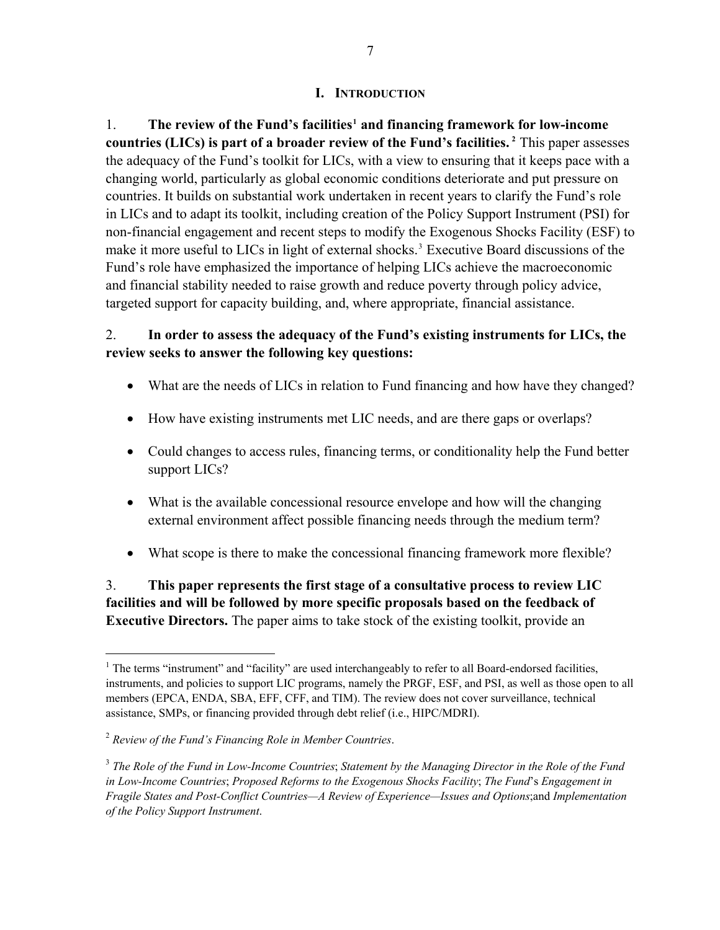#### **I. INTRODUCTION**

<span id="page-6-0"></span>1. **The review of the Fund's facilities[1](#page-6-1) and financing framework for low-income countries (LICs) is part of a broader review of the Fund's facilities. [2](#page-6-2)** This paper assesses the adequacy of the Fund's toolkit for LICs, with a view to ensuring that it keeps pace with a changing world, particularly as global economic conditions deteriorate and put pressure on countries. It builds on substantial work undertaken in recent years to clarify the Fund's role in LICs and to adapt its toolkit, including creation of the Policy Support Instrument (PSI) for non-financial engagement and recent steps to modify the Exogenous Shocks Facility (ESF) to make it more useful to LICs in light of external shocks.<sup>[3](#page-6-3)</sup> Executive Board discussions of the Fund's role have emphasized the importance of helping LICs achieve the macroeconomic and financial stability needed to raise growth and reduce poverty through policy advice, targeted support for capacity building, and, where appropriate, financial assistance.

# 2. **In order to assess the adequacy of the Fund's existing instruments for LICs, the review seeks to answer the following key questions:**

- What are the needs of LICs in relation to Fund financing and how have they changed?
- How have existing instruments met LIC needs, and are there gaps or overlaps?
- Could changes to access rules, financing terms, or conditionality help the Fund better support LICs?
- What is the available concessional resource envelope and how will the changing external environment affect possible financing needs through the medium term?
- What scope is there to make the concessional financing framework more flexible?

3. **This paper represents the first stage of a consultative process to review LIC facilities and will be followed by more specific proposals based on the feedback of Executive Directors.** The paper aims to take stock of the existing toolkit, provide an

<span id="page-6-1"></span><sup>&</sup>lt;sup>1</sup> The terms "instrument" and "facility" are used interchangeably to refer to all Board-endorsed facilities, instruments, and policies to support LIC programs, namely the PRGF, ESF, and PSI, as well as those open to all members (EPCA, ENDA, SBA, EFF, CFF, and TIM). The review does not cover surveillance, technical assistance, SMPs, or financing provided through debt relief (i.e., HIPC/MDRI).

<span id="page-6-2"></span><sup>2</sup> *Review of the Fund's Financing Role in Member Countries*.

<span id="page-6-3"></span><sup>3</sup> *The Role of the Fund in Low-Income Countries*; *Statement by the Managing Director in the Role of the Fund in Low-Income Countries*; *Proposed Reforms to the Exogenous Shocks Facility*; *The Fund*'s *Engagement in Fragile States and Post-Conflict Countries—A Review of Experience—Issues and Options*;and *Implementation of the Policy Support Instrument*.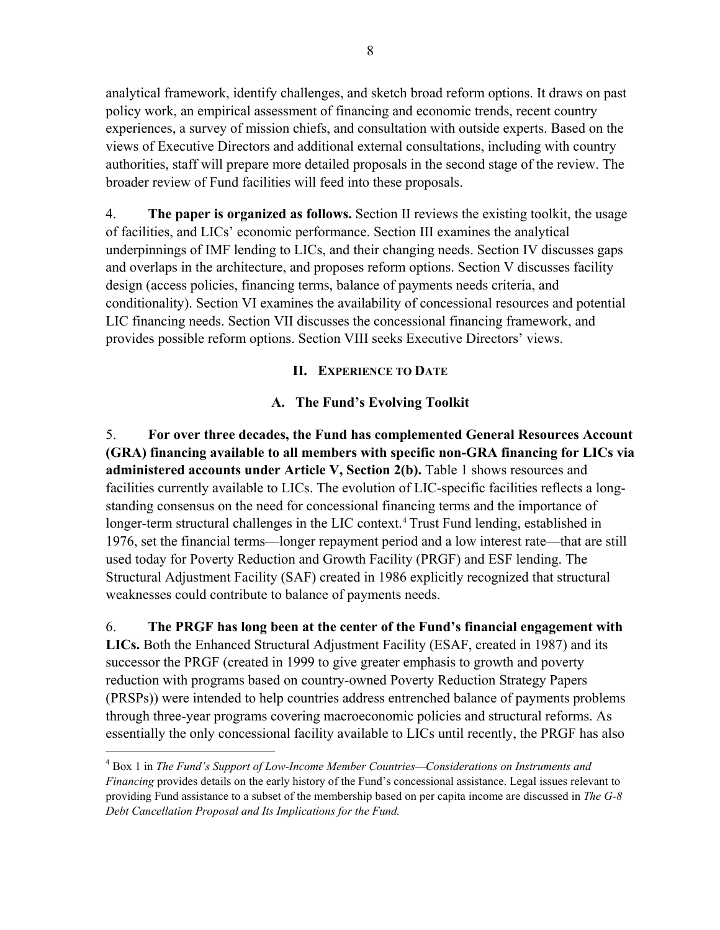<span id="page-7-0"></span>analytical framework, identify challenges, and sketch broad reform options. It draws on past policy work, an empirical assessment of financing and economic trends, recent country experiences, a survey of mission chiefs, and consultation with outside experts. Based on the views of Executive Directors and additional external consultations, including with country authorities, staff will prepare more detailed proposals in the second stage of the review. The broader review of Fund facilities will feed into these proposals.

4. **The paper is organized as follows.** Section II reviews the existing toolkit, the usage of facilities, and LICs' economic performance. Section III examines the analytical underpinnings of IMF lending to LICs, and their changing needs. Section IV discusses gaps and overlaps in the architecture, and proposes reform options. Section V discusses facility design (access policies, financing terms, balance of payments needs criteria, and conditionality). Section VI examines the availability of concessional resources and potential LIC financing needs. Section VII discusses the concessional financing framework, and provides possible reform options. Section VIII seeks Executive Directors' views.

### **II. EXPERIENCE TO DATE**

#### **A. The Fund's Evolving Toolkit**

5. **For over three decades, the Fund has complemented General Resources Account (GRA) financing available to all members with specific non-GRA financing for LICs via administered accounts under Article V, Section 2(b).** Table 1 shows resources and facilities currently available to LICs. The evolution of LIC-specific facilities reflects a longstanding consensus on the need for concessional financing terms and the importance of longer-term structural challenges in the LIC context.[4](#page-7-1) Trust Fund lending, established in 1976, set the financial terms—longer repayment period and a low interest rate—that are still used today for Poverty Reduction and Growth Facility (PRGF) and ESF lending. The Structural Adjustment Facility (SAF) created in 1986 explicitly recognized that structural weaknesses could contribute to balance of payments needs.

6. **The PRGF has long been at the center of the Fund's financial engagement with LICs.** Both the Enhanced Structural Adjustment Facility (ESAF, created in 1987) and its successor the PRGF (created in 1999 to give greater emphasis to growth and poverty reduction with programs based on country-owned Poverty Reduction Strategy Papers (PRSPs)) were intended to help countries address entrenched balance of payments problems through three-year programs covering macroeconomic policies and structural reforms. As essentially the only concessional facility available to LICs until recently, the PRGF has also

<span id="page-7-1"></span><sup>4</sup> Box 1 in *The Fund's Support of Low-Income Member Countries—Considerations on Instruments and Financing* provides details on the early history of the Fund's concessional assistance. Legal issues relevant to providing Fund assistance to a subset of the membership based on per capita income are discussed in *The G-8 Debt Cancellation Proposal and Its Implications for the Fund.*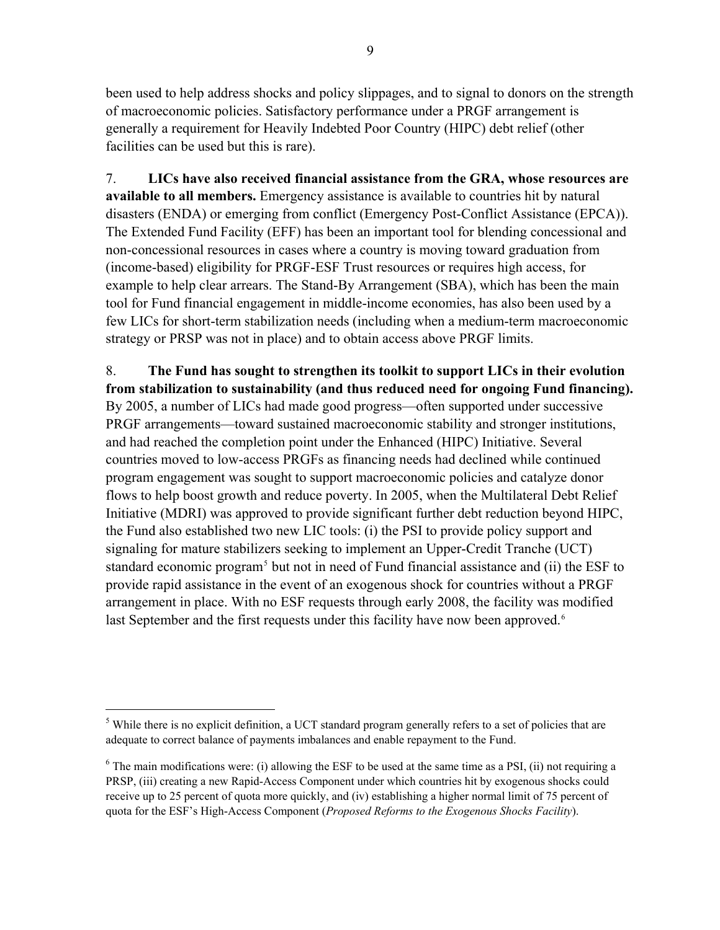been used to help address shocks and policy slippages, and to signal to donors on the strength of macroeconomic policies. Satisfactory performance under a PRGF arrangement is generally a requirement for Heavily Indebted Poor Country (HIPC) debt relief (other facilities can be used but this is rare).

7. **LICs have also received financial assistance from the GRA, whose resources are available to all members.** Emergency assistance is available to countries hit by natural disasters (ENDA) or emerging from conflict (Emergency Post-Conflict Assistance (EPCA)). The Extended Fund Facility (EFF) has been an important tool for blending concessional and non-concessional resources in cases where a country is moving toward graduation from (income-based) eligibility for PRGF-ESF Trust resources or requires high access, for example to help clear arrears. The Stand-By Arrangement (SBA), which has been the main tool for Fund financial engagement in middle-income economies, has also been used by a few LICs for short-term stabilization needs (including when a medium-term macroeconomic strategy or PRSP was not in place) and to obtain access above PRGF limits.

# 8. **The Fund has sought to strengthen its toolkit to support LICs in their evolution from stabilization to sustainability (and thus reduced need for ongoing Fund financing).**

By 2005, a number of LICs had made good progress—often supported under successive PRGF arrangements—toward sustained macroeconomic stability and stronger institutions, and had reached the completion point under the Enhanced (HIPC) Initiative. Several countries moved to low-access PRGFs as financing needs had declined while continued program engagement was sought to support macroeconomic policies and catalyze donor flows to help boost growth and reduce poverty. In 2005, when the Multilateral Debt Relief Initiative (MDRI) was approved to provide significant further debt reduction beyond HIPC, the Fund also established two new LIC tools: (i) the PSI to provide policy support and signaling for mature stabilizers seeking to implement an Upper-Credit Tranche (UCT) standard economic program<sup>[5](#page-8-0)</sup> but not in need of Fund financial assistance and (ii) the ESF to provide rapid assistance in the event of an exogenous shock for countries without a PRGF arrangement in place. With no ESF requests through early 2008, the facility was modified last September and the first requests under this facility have now been approved.<sup>6</sup>

1

<span id="page-8-0"></span><sup>&</sup>lt;sup>5</sup> While there is no explicit definition, a UCT standard program generally refers to a set of policies that are adequate to correct balance of payments imbalances and enable repayment to the Fund.

<span id="page-8-1"></span> $6$  The main modifications were: (i) allowing the ESF to be used at the same time as a PSI, (ii) not requiring a PRSP, (iii) creating a new Rapid-Access Component under which countries hit by exogenous shocks could receive up to 25 percent of quota more quickly, and (iv) establishing a higher normal limit of 75 percent of quota for the ESF's High-Access Component (*Proposed Reforms to the Exogenous Shocks Facility*).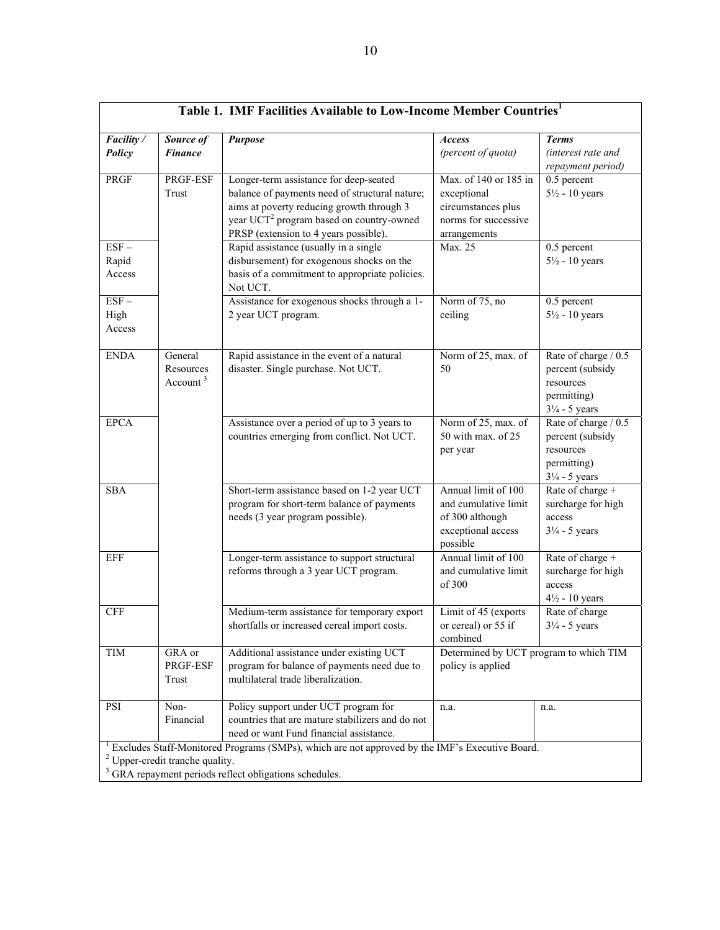<span id="page-9-0"></span>

| Table 1. IMF Facilities Available to Low-Income Member Countries <sup>1</sup>                                                                |                                     |                                                                                                                                                                                                                                        |                                                                                                    |                                                                                                  |  |  |
|----------------------------------------------------------------------------------------------------------------------------------------------|-------------------------------------|----------------------------------------------------------------------------------------------------------------------------------------------------------------------------------------------------------------------------------------|----------------------------------------------------------------------------------------------------|--------------------------------------------------------------------------------------------------|--|--|
| Facility /<br>Policy                                                                                                                         | Source of<br><b>Finance</b>         | <b>Purpose</b>                                                                                                                                                                                                                         | Access<br>(percent of quota)                                                                       | <b>Terms</b><br>(interest rate and<br>repayment period)                                          |  |  |
| <b>PRGF</b>                                                                                                                                  | PRGF-ESF<br>Trust                   | Longer-term assistance for deep-seated<br>balance of payments need of structural nature;<br>aims at poverty reducing growth through 3<br>year UCT <sup>2</sup> program based on country-owned<br>PRSP (extension to 4 years possible). | Max. of 140 or 185 in<br>exceptional<br>circumstances plus<br>norms for successive<br>arrangements | 0.5 percent<br>$5\frac{1}{2}$ - 10 years                                                         |  |  |
| $ESF -$<br>Rapid<br>Access                                                                                                                   |                                     | Rapid assistance (usually in a single<br>disbursement) for exogenous shocks on the<br>basis of a commitment to appropriate policies.<br>Not UCT.                                                                                       | Max. 25                                                                                            | 0.5 percent<br>$5\frac{1}{2}$ - 10 years                                                         |  |  |
| $ESF -$<br>High<br>Access                                                                                                                    |                                     | Assistance for exogenous shocks through a 1-<br>2 year UCT program.                                                                                                                                                                    | Norm of 75, no<br>ceiling                                                                          | 0.5 percent<br>$5\frac{1}{2}$ - 10 years                                                         |  |  |
| <b>ENDA</b>                                                                                                                                  | General<br>Resources<br>Account $3$ | Rapid assistance in the event of a natural<br>disaster. Single purchase. Not UCT.                                                                                                                                                      | Norm of 25, max. of<br>50                                                                          | Rate of charge / 0.5<br>percent (subsidy<br>resources<br>permitting)<br>$3\frac{1}{4}$ - 5 years |  |  |
| <b>EPCA</b>                                                                                                                                  |                                     | Assistance over a period of up to 3 years to<br>countries emerging from conflict. Not UCT.                                                                                                                                             | Norm of 25, max. of<br>50 with max. of 25<br>per year                                              | Rate of charge / 0.5<br>percent (subsidy<br>resources<br>permitting)<br>$3\frac{1}{4}$ - 5 years |  |  |
| <b>SBA</b>                                                                                                                                   |                                     | Short-term assistance based on 1-2 year UCT<br>program for short-term balance of payments<br>needs (3 year program possible).                                                                                                          | Annual limit of 100<br>and cumulative limit<br>of 300 although<br>exceptional access<br>possible   | Rate of charge +<br>surcharge for high<br>access<br>$3\frac{1}{4}$ - 5 years                     |  |  |
| <b>EFF</b>                                                                                                                                   |                                     | Longer-term assistance to support structural<br>reforms through a 3 year UCT program.                                                                                                                                                  | Annual limit of 100<br>and cumulative limit<br>of 300                                              | Rate of charge $+$<br>surcharge for high<br>access<br>$4\frac{1}{2}$ - 10 years                  |  |  |
| CFF                                                                                                                                          |                                     | Medium-term assistance for temporary export<br>shortfalls or increased cereal import costs.                                                                                                                                            | Limit of 45 (exports<br>or cereal) or 55 if<br>combined                                            | Rate of charge<br>$3\frac{1}{4}$ - 5 years                                                       |  |  |
| <b>TIM</b>                                                                                                                                   | GRA or<br>PRGF-ESF<br>Trust         | Additional assistance under existing UCT<br>program for balance of payments need due to<br>multilateral trade liberalization.                                                                                                          | Determined by UCT program to which TIM<br>policy is applied                                        |                                                                                                  |  |  |
| PSI                                                                                                                                          | Non-<br>Financial                   | Policy support under UCT program for<br>countries that are mature stabilizers and do not<br>need or want Fund financial assistance.                                                                                                    | n.a.                                                                                               | n.a.                                                                                             |  |  |
| Excludes Staff-Monitored Programs (SMPs), which are not approved by the IMF's Executive Board.<br><sup>2</sup> Upper-credit tranche quality. |                                     |                                                                                                                                                                                                                                        |                                                                                                    |                                                                                                  |  |  |
| <sup>3</sup> GRA repayment periods reflect obligations schedules.                                                                            |                                     |                                                                                                                                                                                                                                        |                                                                                                    |                                                                                                  |  |  |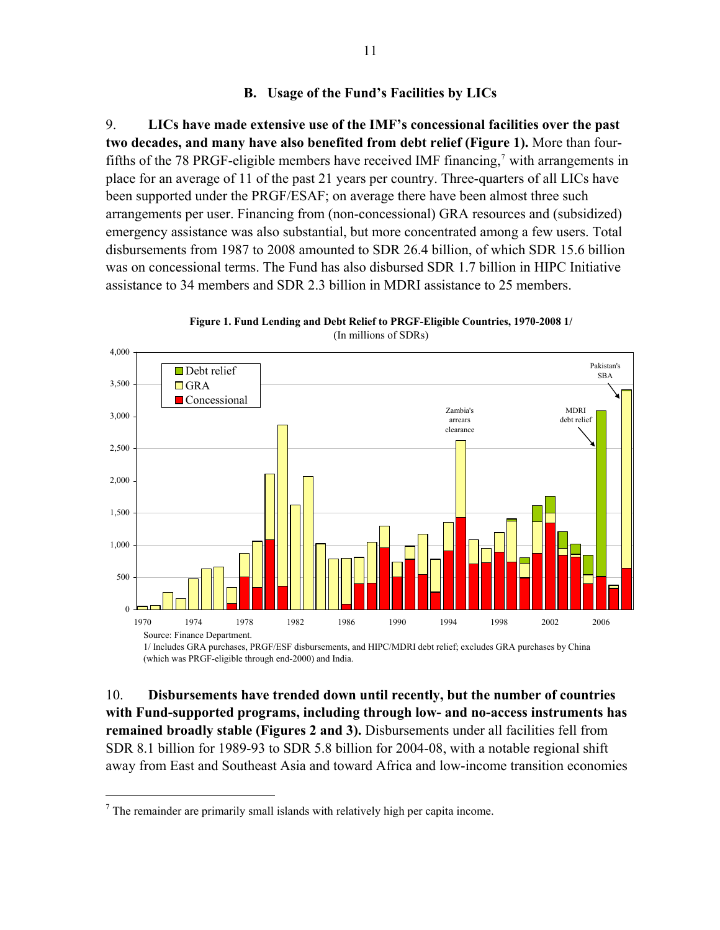#### **B. Usage of the Fund's Facilities by LICs**

<span id="page-10-0"></span>9. **LICs have made extensive use of the IMF's concessional facilities over the past two decades, and many have also benefited from debt relief (Figure 1).** More than four-fifths of the [7](#page-10-1)8 PRGF-eligible members have received IMF financing,<sup>7</sup> with arrangements in place for an average of 11 of the past 21 years per country. Three-quarters of all LICs have been supported under the PRGF/ESAF; on average there have been almost three such arrangements per user. Financing from (non-concessional) GRA resources and (subsidized) emergency assistance was also substantial, but more concentrated among a few users. Total disbursements from 1987 to 2008 amounted to SDR 26.4 billion, of which SDR 15.6 billion was on concessional terms. The Fund has also disbursed SDR 1.7 billion in HIPC Initiative assistance to 34 members and SDR 2.3 billion in MDRI assistance to 25 members.



**Figure 1. Fund Lending and Debt Relief to PRGF-Eligible Countries, 1970-2008 1/** (In millions of SDRs)

(which was PRGF-eligible through end-2000) and India.

10. **Disbursements have trended down until recently, but the number of countries with Fund-supported programs, including through low- and no-access instruments has remained broadly stable (Figures 2 and 3).** Disbursements under all facilities fell from SDR 8.1 billion for 1989-93 to SDR 5.8 billion for 2004-08, with a notable regional shift away from East and Southeast Asia and toward Africa and low-income transition economies

<u>.</u>

<span id="page-10-1"></span> $<sup>7</sup>$  The remainder are primarily small islands with relatively high per capita income.</sup>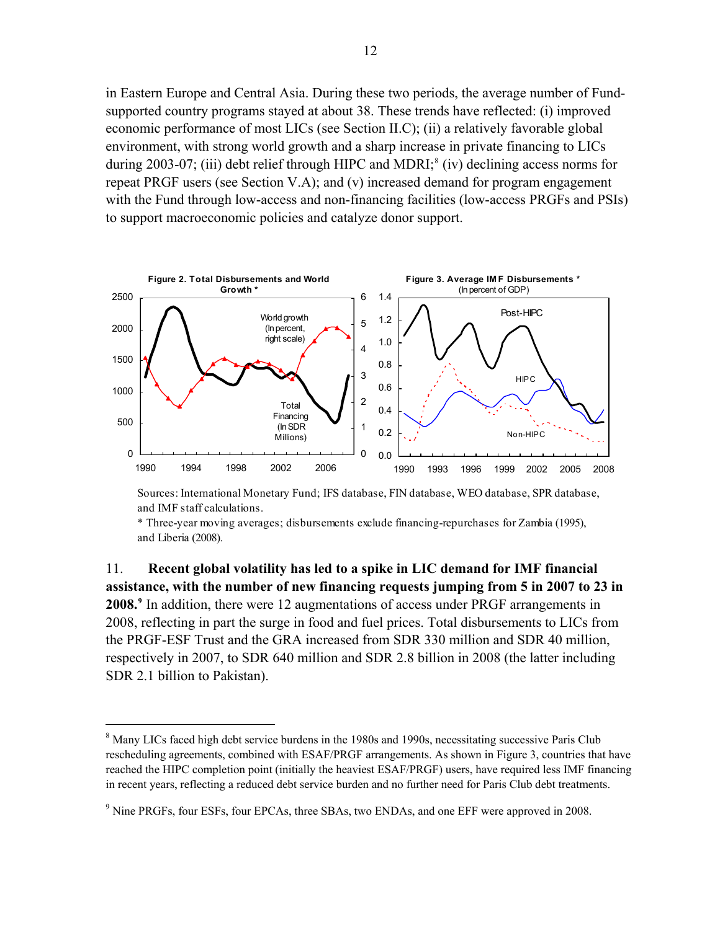<span id="page-11-0"></span>in Eastern Europe and Central Asia. During these two periods, the average number of Fundsupported country programs stayed at about 38. These trends have reflected: (i) improved economic performance of most LICs (see Section II.C); (ii) a relatively favorable global environment, with strong world growth and a sharp increase in private financing to LICs during 2003-07; (iii) debt relief through HIPC and MDRI;<sup>8</sup> (iv) declining access norms for repeat PRGF users (see Section V.A); and (v) increased demand for program engagement with the Fund through low-access and non-financing facilities (low-access PRGFs and PSIs) to support macroeconomic policies and catalyze donor support.



Sources: International Monetary Fund; IFS database, FIN database, WEO database, SPR database, and IMF staff calculations.

\* Three-year moving averages; disbursements exclude financing-repurchases for Zambia (1995), and Liberia (2008).

11. **Recent global volatility has led to a spike in LIC demand for IMF financial assistance, with the number of new financing requests jumping from 5 in 2007 to 23 in 2008.[9](#page-11-1)** In addition, there were 12 augmentations of access under PRGF arrangements in 2008, reflecting in part the surge in food and fuel prices. Total disbursements to LICs from the PRGF-ESF Trust and the GRA increased from SDR 330 million and SDR 40 million, respectively in 2007, to SDR 640 million and SDR 2.8 billion in 2008 (the latter including SDR 2.1 billion to Pakistan).

1

<sup>&</sup>lt;sup>8</sup> Many LICs faced high debt service burdens in the 1980s and 1990s, necessitating successive Paris Club rescheduling agreements, combined with ESAF/PRGF arrangements. As shown in Figure 3, countries that have reached the HIPC completion point (initially the heaviest ESAF/PRGF) users, have required less IMF financing in recent years, reflecting a reduced debt service burden and no further need for Paris Club debt treatments.

<span id="page-11-1"></span><sup>&</sup>lt;sup>9</sup> Nine PRGFs, four ESFs, four EPCAs, three SBAs, two ENDAs, and one EFF were approved in 2008.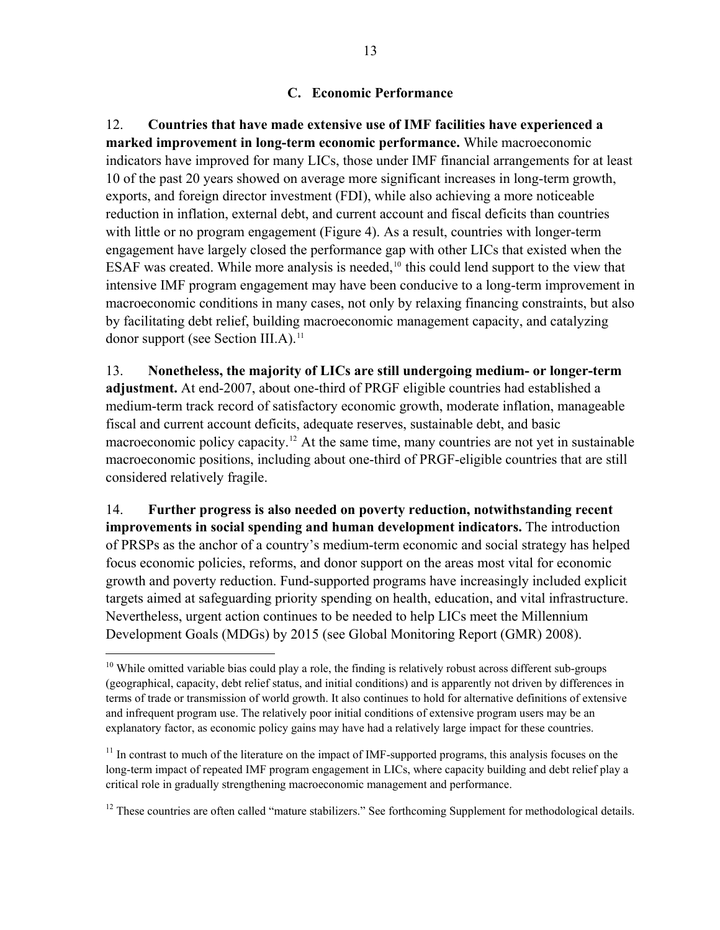#### **C. Economic Performance**

<span id="page-12-0"></span>12. **Countries that have made extensive use of IMF facilities have experienced a marked improvement in long-term economic performance.** While macroeconomic indicators have improved for many LICs, those under IMF financial arrangements for at least 10 of the past 20 years showed on average more significant increases in long-term growth, exports, and foreign director investment (FDI), while also achieving a more noticeable reduction in inflation, external debt, and current account and fiscal deficits than countries with little or no program engagement (Figure 4). As a result, countries with longer-term engagement have largely closed the performance gap with other LICs that existed when the ESAF was created. While more analysis is needed, $10$  this could lend support to the view that intensive IMF program engagement may have been conducive to a long-term improvement in macroeconomic conditions in many cases, not only by relaxing financing constraints, but also by facilitating debt relief, building macroeconomic management capacity, and catalyzing donor support (see Section III.A). $<sup>11</sup>$ </sup>

13. **Nonetheless, the majority of LICs are still undergoing medium- or longer-term adjustment.** At end-2007, about one-third of PRGF eligible countries had established a medium-term track record of satisfactory economic growth, moderate inflation, manageable fiscal and current account deficits, adequate reserves, sustainable debt, and basic macroeconomic policy capacity.<sup>[12](#page-12-3)</sup> At the same time, many countries are not yet in sustainable macroeconomic positions, including about one-third of PRGF-eligible countries that are still considered relatively fragile.

14. **Further progress is also needed on poverty reduction, notwithstanding recent improvements in social spending and human development indicators.** The introduction of PRSPs as the anchor of a country's medium-term economic and social strategy has helped focus economic policies, reforms, and donor support on the areas most vital for economic growth and poverty reduction. Fund-supported programs have increasingly included explicit targets aimed at safeguarding priority spending on health, education, and vital infrastructure. Nevertheless, urgent action continues to be needed to help LICs meet the Millennium Development Goals (MDGs) by 2015 (see Global Monitoring Report (GMR) 2008).

 $\overline{a}$ 

<span id="page-12-3"></span><sup>12</sup> These countries are often called "mature stabilizers." See forthcoming Supplement for methodological details.

<span id="page-12-1"></span><sup>&</sup>lt;sup>10</sup> While omitted variable bias could play a role, the finding is relatively robust across different sub-groups (geographical, capacity, debt relief status, and initial conditions) and is apparently not driven by differences in terms of trade or transmission of world growth. It also continues to hold for alternative definitions of extensive and infrequent program use. The relatively poor initial conditions of extensive program users may be an explanatory factor, as economic policy gains may have had a relatively large impact for these countries.

<span id="page-12-2"></span><sup>&</sup>lt;sup>11</sup> In contrast to much of the literature on the impact of IMF-supported programs, this analysis focuses on the long-term impact of repeated IMF program engagement in LICs, where capacity building and debt relief play a critical role in gradually strengthening macroeconomic management and performance.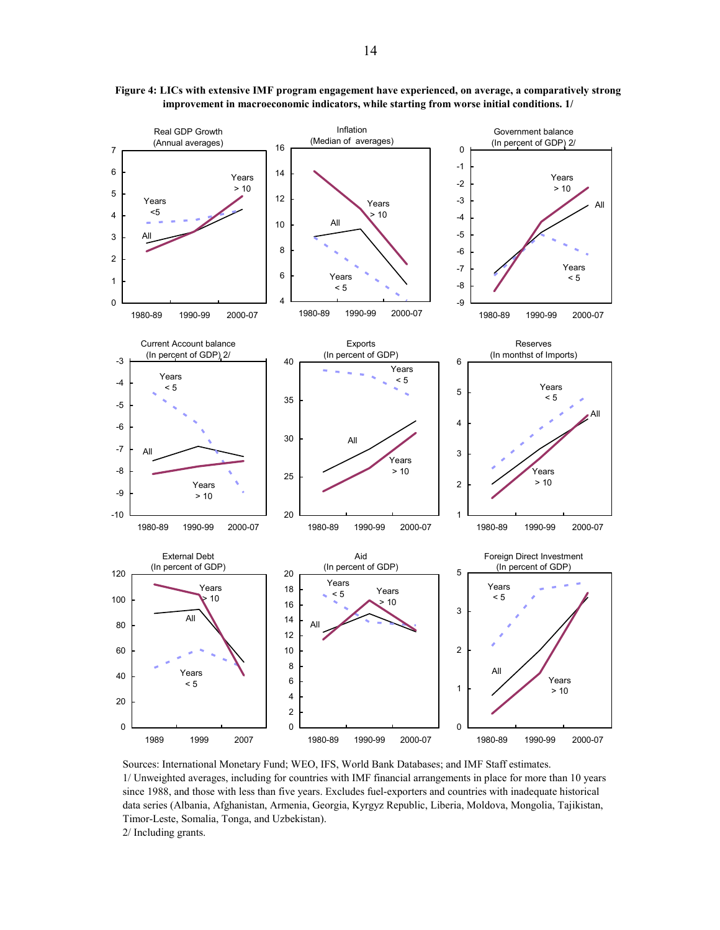

<span id="page-13-0"></span>**Figure 4: LICs with extensive IMF program engagement have experienced, on average, a comparatively strong improvement in macroeconomic indicators, while starting from worse initial conditions. 1/**

Sources: International Monetary Fund; WEO, IFS, World Bank Databases; and IMF Staff estimates. 1/ Unweighted averages, including for countries with IMF financial arrangements in place for more than 10 years since 1988, and those with less than five years. Excludes fuel-exporters and countries with inadequate historical data series (Albania, Afghanistan, Armenia, Georgia, Kyrgyz Republic, Liberia, Moldova, Mongolia, Tajikistan, Timor-Leste, Somalia, Tonga, and Uzbekistan). 2/ Including grants.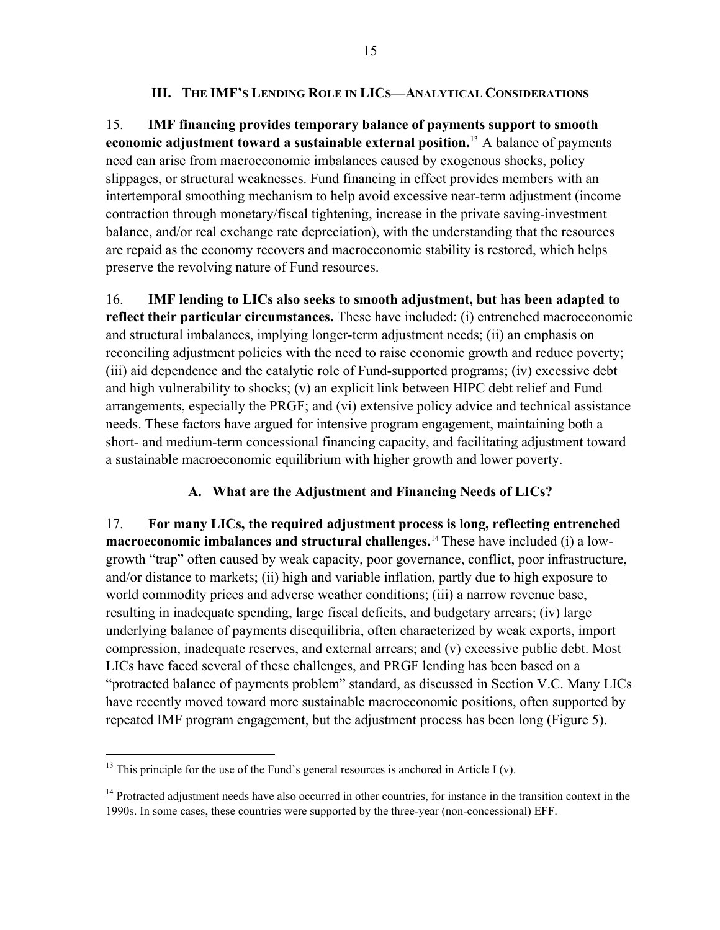#### **III. THE IMF'S LENDING ROLE IN LICS—ANALYTICAL CONSIDERATIONS**

<span id="page-14-0"></span>15. **IMF financing provides temporary balance of payments support to smooth economic adjustment toward a sustainable external position.**[13](#page-14-1) A balance of payments need can arise from macroeconomic imbalances caused by exogenous shocks, policy slippages, or structural weaknesses. Fund financing in effect provides members with an intertemporal smoothing mechanism to help avoid excessive near-term adjustment (income contraction through monetary/fiscal tightening, increase in the private saving-investment balance, and/or real exchange rate depreciation), with the understanding that the resources are repaid as the economy recovers and macroeconomic stability is restored, which helps preserve the revolving nature of Fund resources.

16. **IMF lending to LICs also seeks to smooth adjustment, but has been adapted to reflect their particular circumstances.** These have included: (i) entrenched macroeconomic and structural imbalances, implying longer-term adjustment needs; (ii) an emphasis on reconciling adjustment policies with the need to raise economic growth and reduce poverty; (iii) aid dependence and the catalytic role of Fund-supported programs; (iv) excessive debt and high vulnerability to shocks; (v) an explicit link between HIPC debt relief and Fund arrangements, especially the PRGF; and (vi) extensive policy advice and technical assistance needs. These factors have argued for intensive program engagement, maintaining both a short- and medium-term concessional financing capacity, and facilitating adjustment toward a sustainable macroeconomic equilibrium with higher growth and lower poverty.

### **A. What are the Adjustment and Financing Needs of LICs?**

17. **For many LICs, the required adjustment process is long, reflecting entrenched macroeconomic imbalances and structural challenges.**[14](#page-14-2) These have included (i) a lowgrowth "trap" often caused by weak capacity, poor governance, conflict, poor infrastructure, and/or distance to markets; (ii) high and variable inflation, partly due to high exposure to world commodity prices and adverse weather conditions; (iii) a narrow revenue base, resulting in inadequate spending, large fiscal deficits, and budgetary arrears; (iv) large underlying balance of payments disequilibria, often characterized by weak exports, import compression, inadequate reserves, and external arrears; and (v) excessive public debt. Most LICs have faced several of these challenges, and PRGF lending has been based on a "protracted balance of payments problem" standard, as discussed in Section V.C. Many LICs have recently moved toward more sustainable macroeconomic positions, often supported by repeated IMF program engagement, but the adjustment process has been long (Figure 5).

<span id="page-14-1"></span><sup>&</sup>lt;sup>13</sup> This principle for the use of the Fund's general resources is anchored in Article I (v).

<span id="page-14-2"></span><sup>&</sup>lt;sup>14</sup> Protracted adjustment needs have also occurred in other countries, for instance in the transition context in the 1990s. In some cases, these countries were supported by the three-year (non-concessional) EFF.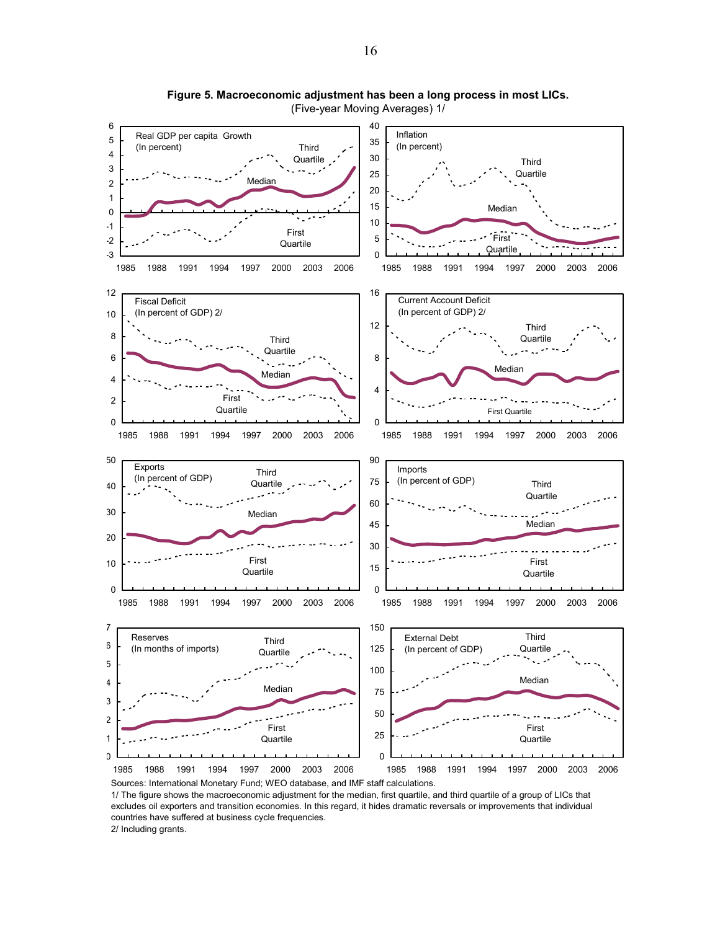<span id="page-15-0"></span>

**Figure 5. Macroeconomic adjustment has been a long process in most LICs.**  (Five-year Moving Averages) 1/

Sources: International Monetary Fund; WEO database, and IMF staff calculations. 1/ The figure shows the macroeconomic adjustment for the median, first quartile, and third quartile of a group of LICs that excludes oil exporters and transition economies. In this regard, it hides dramatic reversals or improvements that individual countries have suffered at business cycle frequencies. 2/ Including grants.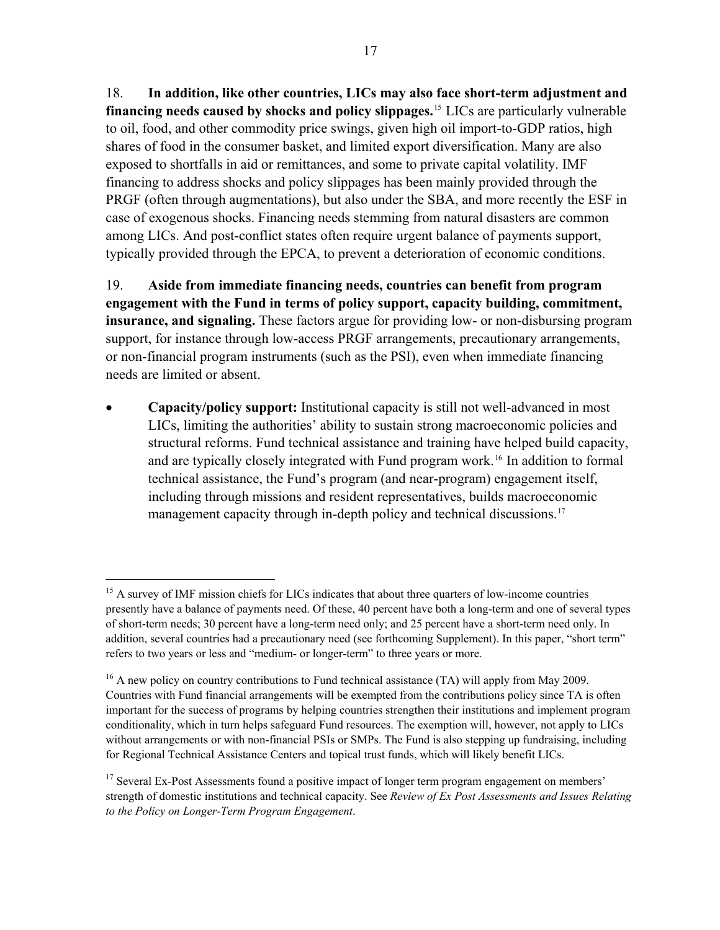18. **In addition, like other countries, LICs may also face short-term adjustment and financing needs caused by shocks and policy slippages.**[15](#page-16-0) LICs are particularly vulnerable to oil, food, and other commodity price swings, given high oil import-to-GDP ratios, high shares of food in the consumer basket, and limited export diversification. Many are also exposed to shortfalls in aid or remittances, and some to private capital volatility. IMF financing to address shocks and policy slippages has been mainly provided through the PRGF (often through augmentations), but also under the SBA, and more recently the ESF in case of exogenous shocks. Financing needs stemming from natural disasters are common among LICs. And post-conflict states often require urgent balance of payments support, typically provided through the EPCA, to prevent a deterioration of economic conditions.

19. **Aside from immediate financing needs, countries can benefit from program engagement with the Fund in terms of policy support, capacity building, commitment, insurance, and signaling.** These factors argue for providing low- or non-disbursing program support, for instance through low-access PRGF arrangements, precautionary arrangements, or non-financial program instruments (such as the PSI), even when immediate financing needs are limited or absent.

• **Capacity/policy support:** Institutional capacity is still not well-advanced in most LICs, limiting the authorities' ability to sustain strong macroeconomic policies and structural reforms. Fund technical assistance and training have helped build capacity, and are typically closely integrated with Fund program work.[16](#page-16-1) In addition to formal technical assistance, the Fund's program (and near-program) engagement itself, including through missions and resident representatives, builds macroeconomic management capacity through in-depth policy and technical discussions.<sup>[17](#page-16-2)</sup>

<span id="page-16-0"></span><sup>&</sup>lt;sup>15</sup> A survey of IMF mission chiefs for LICs indicates that about three quarters of low-income countries presently have a balance of payments need. Of these, 40 percent have both a long-term and one of several types of short-term needs; 30 percent have a long-term need only; and 25 percent have a short-term need only. In addition, several countries had a precautionary need (see forthcoming Supplement). In this paper, "short term" refers to two years or less and "medium- or longer-term" to three years or more.

<span id="page-16-1"></span> $^{16}$  A new policy on country contributions to Fund technical assistance (TA) will apply from May 2009. Countries with Fund financial arrangements will be exempted from the contributions policy since TA is often important for the success of programs by helping countries strengthen their institutions and implement program conditionality, which in turn helps safeguard Fund resources. The exemption will, however, not apply to LICs without arrangements or with non-financial PSIs or SMPs. The Fund is also stepping up fundraising, including for Regional Technical Assistance Centers and topical trust funds, which will likely benefit LICs.

<span id="page-16-2"></span> $17$  Several Ex-Post Assessments found a positive impact of longer term program engagement on members' strength of domestic institutions and technical capacity. See *Review of Ex Post Assessments and Issues Relating to the Policy on Longer-Term Program Engagement*.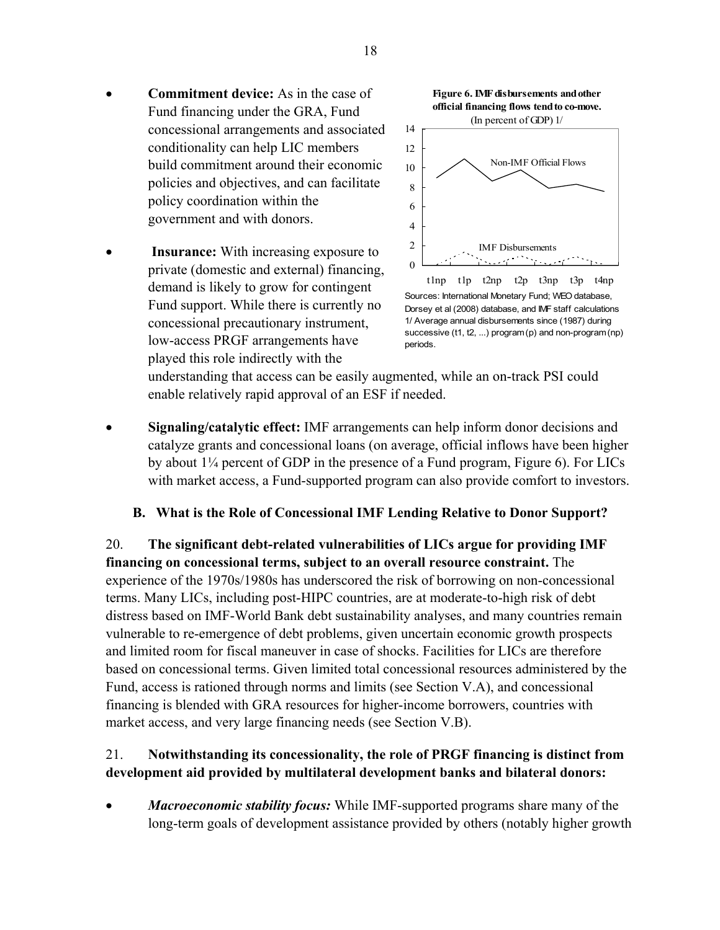- <span id="page-17-0"></span>• **Commitment device:** As in the case of Fund financing under the GRA, Fund concessional arrangements and associated conditionality can help LIC members build commitment around their economic policies and objectives, and can facilitate policy coordination within the government and with donors.
- **Insurance:** With increasing exposure to private (domestic and external) financing, demand is likely to grow for contingent Fund support. While there is currently no concessional precautionary instrument, low-access PRGF arrangements have played this role indirectly with the



tlnp tlp t2np t2p t3np t3p t4np Sources: International Monetary Fund; WEO database, Dorsey et al (2008) database, and IMF staff calculations 1/ Average annual disbursements since (1987) during successive (t1, t2, ...) program (p) and non-program (np) periods.

understanding that access can be easily augmented, while an on-track PSI could enable re latively rapid approval of an ESF if needed.

• **Signaling/catalytic effect:** IMF arrangements can help inform donor decisions and catalyze grants and concessional loans (on average, official inflows have been higher by about 1¼ percent of GDP in the presence of a Fund program, Figure 6). For LICs with market access, a Fund-supported program can also provide comfort to investors.

### **B. What is the Role of Concessional IMF Lending Relative to Donor Support?**

20. **The significant debt-related vulnerabilities of LICs argue for providing IMF financing on concessional terms, subject to an overall resource constraint.** The experience of the 1970s/1980s has underscored the risk of borrowing on non-concessional terms. Many LICs, including post-HIPC countries, are at moderate-to-high risk of debt distress based on IMF-World Bank debt sustainability analyses, and many countries remain vulnerable to re-emergence of debt problems, given uncertain economic growth prospects and limited room for fiscal maneuver in case of shocks. Facilities for LICs are therefore based on concessional terms. Given limited total concessional resources administered by the Fund, access is rationed through norms and limits (see Section V.A), and concessional financing is blended with GRA resources for higher-income borrowers, countries with market access, and very large financing needs (see Section V.B).

# 21. **Notwithstanding its concessionality, the role of PRGF financing is distinct from development aid provided by multilateral development banks and bilateral donors:**

• *Macroeconomic stability focus:* While IMF-supported programs share many of the long-term goals of development assistance provided by others (notably higher growth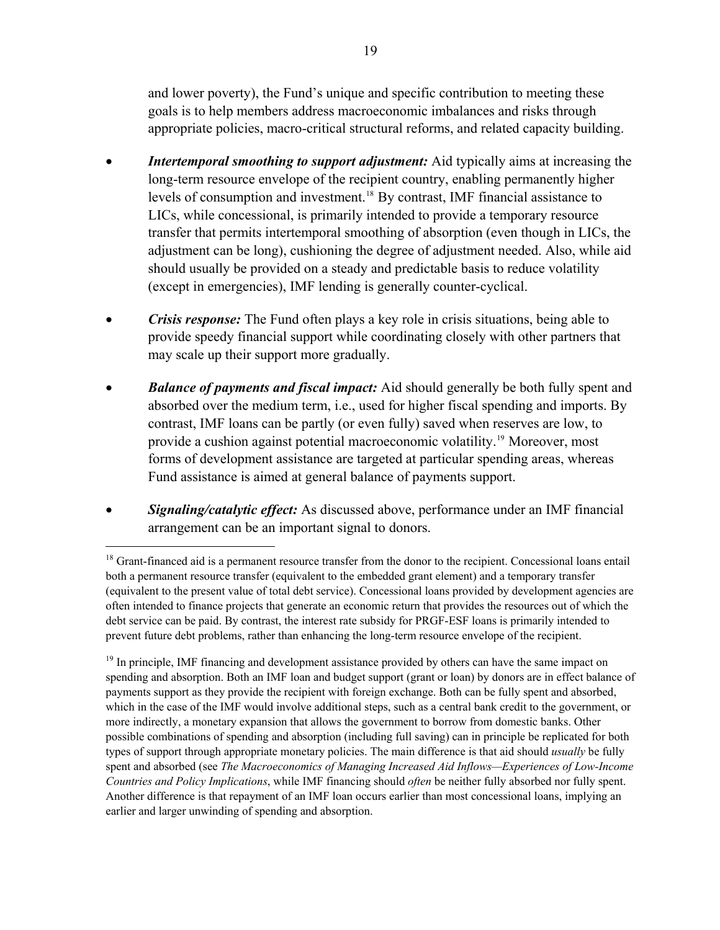and lower poverty), the Fund's unique and specific contribution to meeting these goals is to help members address macroeconomic imbalances and risks through appropriate policies, macro-critical structural reforms, and related capacity building.

- *Intertemporal smoothing to support adjustment:* Aid typically aims at increasing the long-term resource envelope of the recipient country, enabling permanently higher levels of consumption and investment[.18](#page-18-0) By contrast, IMF financial assistance to LICs, while concessional, is primarily intended to provide a temporary resource transfer that permits intertemporal smoothing of absorption (even though in LICs, the adjustment can be long), cushioning the degree of adjustment needed. Also, while aid should usually be provided on a steady and predictable basis to reduce volatility (except in emergencies), IMF lending is generally counter-cyclical.
- *Crisis response:* The Fund often plays a key role in crisis situations, being able to provide speedy financial support while coordinating closely with other partners that may scale up their support more gradually.
- *Balance of payments and fiscal impact:* Aid should generally be both fully spent and absorbed over the medium term, i.e., used for higher fiscal spending and imports. By contrast, IMF loans can be partly (or even fully) saved when reserves are low, to provide a cushion against potential macroeconomic volatility.[19](#page-18-1) Moreover, most forms of development assistance are targeted at particular spending areas, whereas Fund assistance is aimed at general balance of payments support.
- *Signaling/catalytic effect:* As discussed above, performance under an IMF financial arrangement can be an important signal to donors.

<span id="page-18-0"></span><sup>&</sup>lt;sup>18</sup> Grant-financed aid is a permanent resource transfer from the donor to the recipient. Concessional loans entail both a permanent resource transfer (equivalent to the embedded grant element) and a temporary transfer (equivalent to the present value of total debt service). Concessional loans provided by development agencies are often intended to finance projects that generate an economic return that provides the resources out of which the debt service can be paid. By contrast, the interest rate subsidy for PRGF-ESF loans is primarily intended to prevent future debt problems, rather than enhancing the long-term resource envelope of the recipient.

<span id="page-18-1"></span><sup>&</sup>lt;sup>19</sup> In principle, IMF financing and development assistance provided by others can have the same impact on spending and absorption. Both an IMF loan and budget support (grant or loan) by donors are in effect balance of payments support as they provide the recipient with foreign exchange. Both can be fully spent and absorbed, which in the case of the IMF would involve additional steps, such as a central bank credit to the government, or more indirectly, a monetary expansion that allows the government to borrow from domestic banks. Other possible combinations of spending and absorption (including full saving) can in principle be replicated for both types of support through appropriate monetary policies. The main difference is that aid should *usually* be fully spent and absorbed (see *The Macroeconomics of Managing Increased Aid Inflows—Experiences of Low-Income Countries and Policy Implications*, while IMF financing should *often* be neither fully absorbed nor fully spent. Another difference is that repayment of an IMF loan occurs earlier than most concessional loans, implying an earlier and larger unwinding of spending and absorption.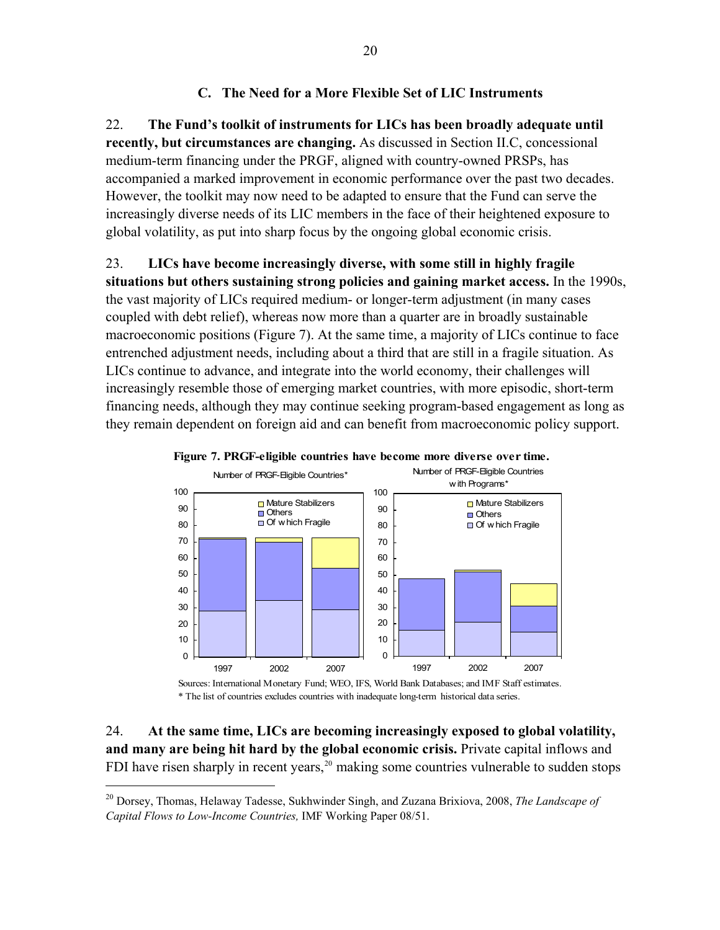#### **C. The Need for a More Flexible Set of LIC Instruments**

<span id="page-19-0"></span>22. **The Fund's toolkit of instruments for LICs has been broadly adequate until recently, but circumstances are changing.** As discussed in Section II.C, concessional medium-term financing under the PRGF, aligned with country-owned PRSPs, has accompanied a marked improvement in economic performance over the past two decades. However, the toolkit may now need to be adapted to ensure that the Fund can serve the increasingly diverse needs of its LIC members in the face of their heightened exposure to global volatility, as put into sharp focus by the ongoing global economic crisis.

23. **LICs have become increasingly diverse, with some still in highly fragile situations but others sustaining strong policies and gaining market access.** In the 1990s, the vast majority of LICs required medium- or longer-term adjustment (in many cases coupled with debt relief), whereas now more than a quarter are in broadly sustainable macroeconomic positions (Figure 7). At the same time, a majority of LICs continue to face entrenched adjustment needs, including about a third that are still in a fragile situation. As LICs continue to advance, and integrate into the world economy, their challenges will increasingly resemble those of emerging market countries, with more episodic, short-term financing needs, although they may continue seeking program-based engagement as long as they remain dependent on foreign aid and can benefit from macroeconomic policy support.





Sources: International Monetary Fund; WEO, IFS, World Bank Databases; and IMF Staff estimates. \* The list of countries excludes countries with inadequate long-term historical data series.

# 24. **At the same time, LICs are becoming increasingly exposed to global volatility, and many are being hit hard by the global economic crisis.** Private capital inflows and FDI have risen sharply in recent years,<sup>[20](#page-19-1)</sup> making some countries vulnerable to sudden stops

<span id="page-19-1"></span><sup>20</sup> Dorsey, Thomas, Helaway Tadesse, Sukhwinder Singh, and Zuzana Brixiova, 2008, *The Landscape of Capital Flows to Low-Income Countries,* IMF Working Paper 08/51.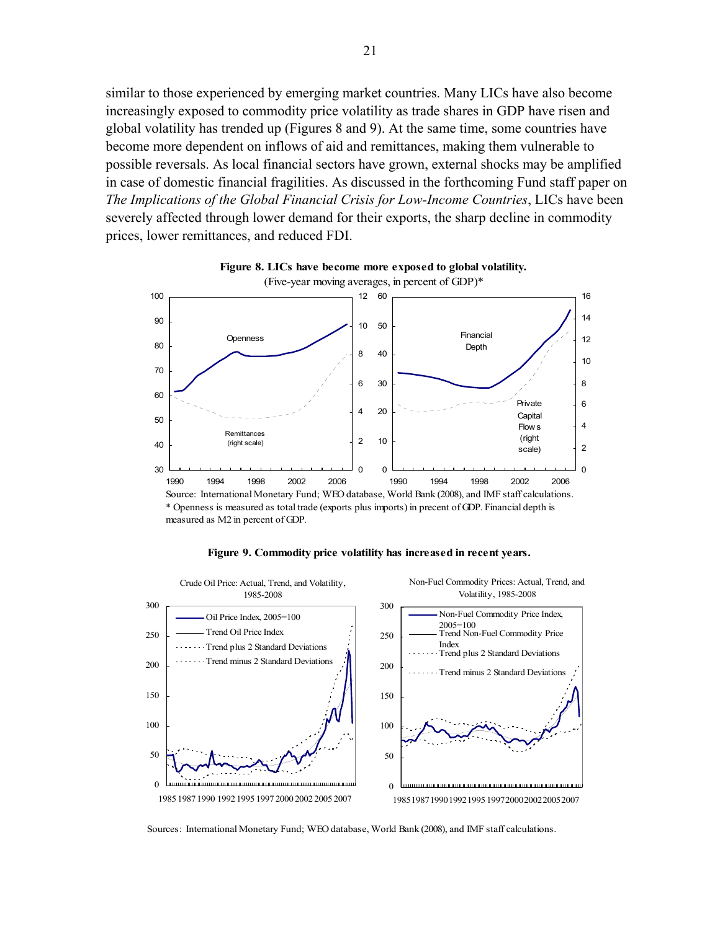<span id="page-20-0"></span>similar to those experienced by emerging market countries. Many LICs have also become increasingly exposed to commodity price volatility as trade shares in GDP have risen and global volatility has trended up (Figures 8 and 9). At the same time, some countries have become more dependent on inflows of aid and remittances, making them vulnerable to possible reversals. As local financial sectors have grown, external shocks may be amplified in case of domestic financial fragilities. As discussed in the forthcoming Fund staff paper on *The Implications of the Global Financial Crisis for Low-Income Countries*, LICs have been severely affected through lower demand for their exports, the sharp decline in commodity prices, lower remittances, and reduced FDI.





Source: International Monetary Fund; WEO database, World Bank (2008), and IMF staff calculations. \* Openness is measured as total trade (exports plus imports) in precent of GDP. Financial depth is measured as M2 in percent of GDP.



#### **Figure 9. Commodity price volatility has increased in recent years.**

Sources: International Monetary Fund; WEO database, World Bank (2008), and IMF staff calculations.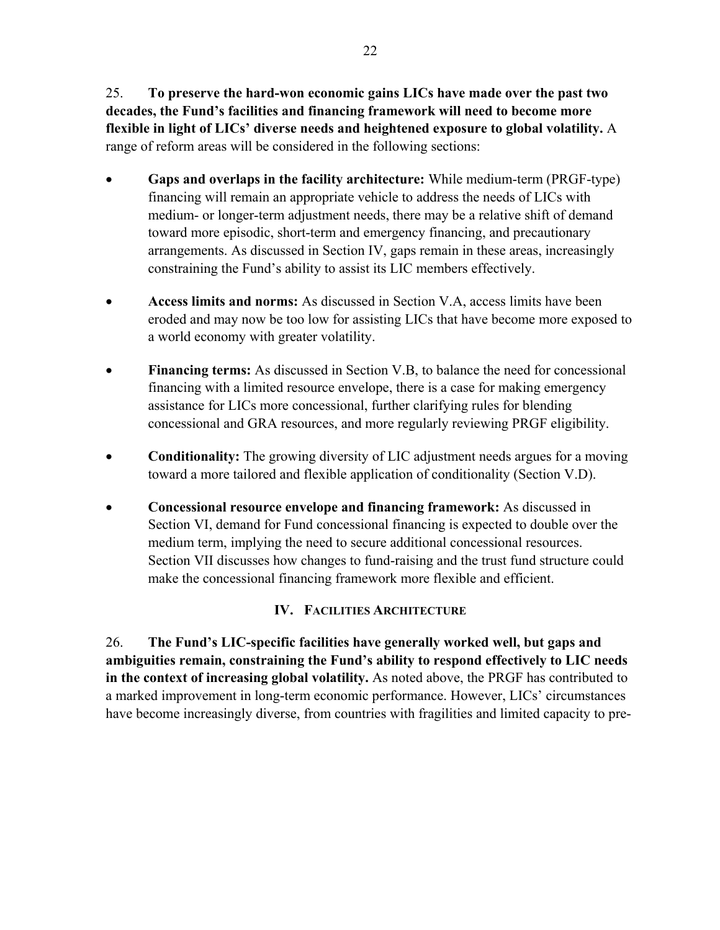<span id="page-21-0"></span>25. **To preserve the hard-won economic gains LICs have made over the past two decades, the Fund's facilities and financing framework will need to become more flexible in light of LICs' diverse needs and heightened exposure to global volatility.** A range of reform areas will be considered in the following sections:

- **Gaps and overlaps in the facility architecture:** While medium-term (PRGF-type) financing will remain an appropriate vehicle to address the needs of LICs with medium- or longer-term adjustment needs, there may be a relative shift of demand toward more episodic, short-term and emergency financing, and precautionary arrangements. As discussed in Section IV, gaps remain in these areas, increasingly constraining the Fund's ability to assist its LIC members effectively.
- **Access limits and norms:** As discussed in Section V.A, access limits have been eroded and may now be too low for assisting LICs that have become more exposed to a world economy with greater volatility.
- **Financing terms:** As discussed in Section V.B, to balance the need for concessional financing with a limited resource envelope, there is a case for making emergency assistance for LICs more concessional, further clarifying rules for blending concessional and GRA resources, and more regularly reviewing PRGF eligibility.
- **Conditionality:** The growing diversity of LIC adjustment needs argues for a moving toward a more tailored and flexible application of conditionality (Section V.D).
- **Concessional resource envelope and financing framework:** As discussed in Section VI, demand for Fund concessional financing is expected to double over the medium term, implying the need to secure additional concessional resources. Section VII discusses how changes to fund-raising and the trust fund structure could make the concessional financing framework more flexible and efficient.

# **IV. FACILITIES ARCHITECTURE**

26. **The Fund's LIC-specific facilities have generally worked well, but gaps and ambiguities remain, constraining the Fund's ability to respond effectively to LIC needs in the context of increasing global volatility.** As noted above, the PRGF has contributed to a marked improvement in long-term economic performance. However, LICs' circumstances have become increasingly diverse, from countries with fragilities and limited capacity to pre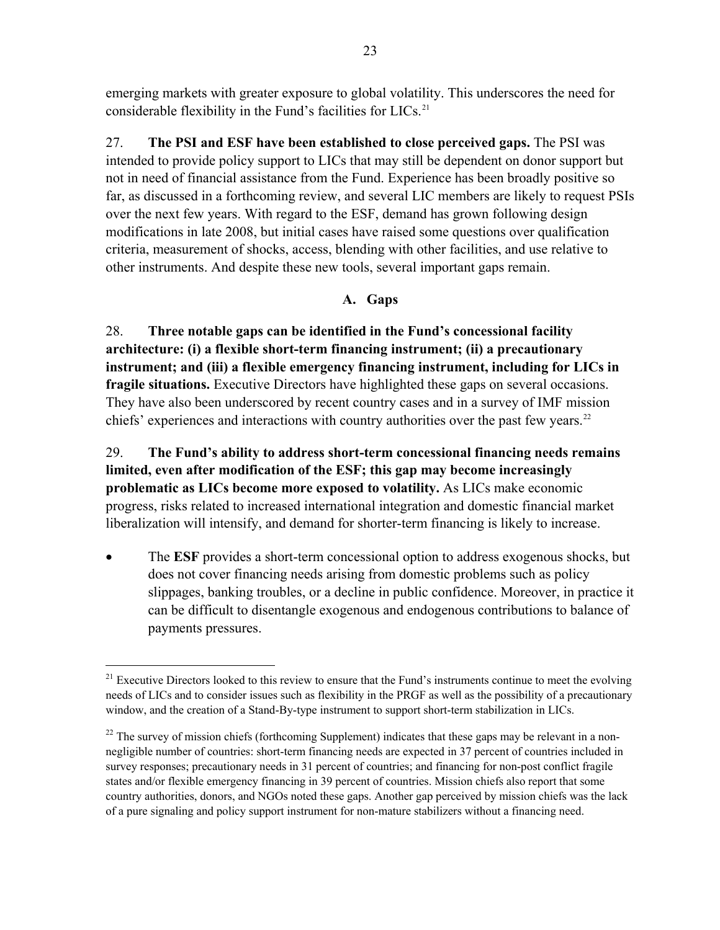<span id="page-22-0"></span>emerging markets with greater exposure to global volatility. This underscores the need for considerable flexibility in the Fund's facilities for LICs.<sup>21</sup>

27. **The PSI and ESF have been established to close perceived gaps.** The PSI was intended to provide policy support to LICs that may still be dependent on donor support but not in need of financial assistance from the Fund. Experience has been broadly positive so far, as discussed in a forthcoming review, and several LIC members are likely to request PSIs over the next few years. With regard to the ESF, demand has grown following design modifications in late 2008, but initial cases have raised some questions over qualification criteria, measurement of shocks, access, blending with other facilities, and use relative to other instruments. And despite these new tools, several important gaps remain.

# **A. Gaps**

28. **Three notable gaps can be identified in the Fund's concessional facility architecture: (i) a flexible short-term financing instrument; (ii) a precautionary instrument; and (iii) a flexible emergency financing instrument, including for LICs in fragile situations.** Executive Directors have highlighted these gaps on several occasions. They have also been underscored by recent country cases and in a survey of IMF mission chiefs' experiences and interactions with country authorities over the past few years.<sup>[22](#page-22-1)</sup>

29. **The Fund's ability to address short-term concessional financing needs remains limited, even after modification of the ESF; this gap may become increasingly problematic as LICs become more exposed to volatility.** As LICs make economic progress, risks related to increased international integration and domestic financial market liberalization will intensify, and demand for shorter-term financing is likely to increase.

• The **ESF** provides a short-term concessional option to address exogenous shocks, but does not cover financing needs arising from domestic problems such as policy slippages, banking troubles, or a decline in public confidence. Moreover, in practice it can be difficult to disentangle exogenous and endogenous contributions to balance of payments pressures.

<sup>&</sup>lt;sup>21</sup> Executive Directors looked to this review to ensure that the Fund's instruments continue to meet the evolving needs of LICs and to consider issues such as flexibility in the PRGF as well as the possibility of a precautionary window, and the creation of a Stand-By-type instrument to support short-term stabilization in LICs.

<span id="page-22-1"></span><sup>&</sup>lt;sup>22</sup> The survey of mission chiefs (forthcoming Supplement) indicates that these gaps may be relevant in a nonnegligible number of countries: short-term financing needs are expected in 37 percent of countries included in survey responses; precautionary needs in 31 percent of countries; and financing for non-post conflict fragile states and/or flexible emergency financing in 39 percent of countries. Mission chiefs also report that some country authorities, donors, and NGOs noted these gaps. Another gap perceived by mission chiefs was the lack of a pure signaling and policy support instrument for non-mature stabilizers without a financing need.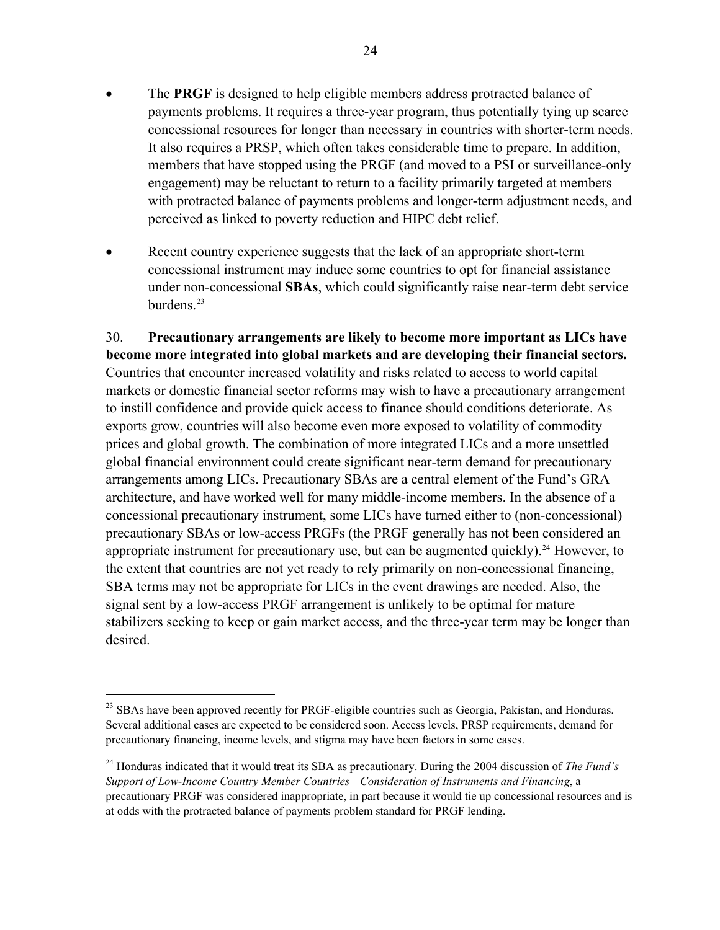- The **PRGF** is designed to help eligible members address protracted balance of payments problems. It requires a three-year program, thus potentially tying up scarce concessional resources for longer than necessary in countries with shorter-term needs. It also requires a PRSP, which often takes considerable time to prepare. In addition, members that have stopped using the PRGF (and moved to a PSI or surveillance-only engagement) may be reluctant to return to a facility primarily targeted at members with protracted balance of payments problems and longer-term adjustment needs, and perceived as linked to poverty reduction and HIPC debt relief.
- Recent country experience suggests that the lack of an appropriate short-term concessional instrument may induce some countries to opt for financial assistance under non-concessional **SBAs**, which could significantly raise near-term debt service burdens.<sup>[23](#page-23-0)</sup>

30. **Precautionary arrangements are likely to become more important as LICs have become more integrated into global markets and are developing their financial sectors.** Countries that encounter increased volatility and risks related to access to world capital markets or domestic financial sector reforms may wish to have a precautionary arrangement to instill confidence and provide quick access to finance should conditions deteriorate. As exports grow, countries will also become even more exposed to volatility of commodity prices and global growth. The combination of more integrated LICs and a more unsettled global financial environment could create significant near-term demand for precautionary arrangements among LICs. Precautionary SBAs are a central element of the Fund's GRA architecture, and have worked well for many middle-income members. In the absence of a concessional precautionary instrument, some LICs have turned either to (non-concessional) precautionary SBAs or low-access PRGFs (the PRGF generally has not been considered an appropriate instrument for precautionary use, but can be augmented quickly).<sup>[24](#page-23-1)</sup> However, to the extent that countries are not yet ready to rely primarily on non-concessional financing, SBA terms may not be appropriate for LICs in the event drawings are needed. Also, the signal sent by a low-access PRGF arrangement is unlikely to be optimal for mature stabilizers seeking to keep or gain market access, and the three-year term may be longer than desired.

<span id="page-23-0"></span><sup>&</sup>lt;sup>23</sup> SBAs have been approved recently for PRGF-eligible countries such as Georgia, Pakistan, and Honduras. Several additional cases are expected to be considered soon. Access levels, PRSP requirements, demand for precautionary financing, income levels, and stigma may have been factors in some cases.

<span id="page-23-1"></span><sup>24</sup> Honduras indicated that it would treat its SBA as precautionary. During the 2004 discussion of *The Fund's Support of Low-Income Country Member Countries—Consideration of Instruments and Financing*, a precautionary PRGF was considered inappropriate, in part because it would tie up concessional resources and is at odds with the protracted balance of payments problem standard for PRGF lending.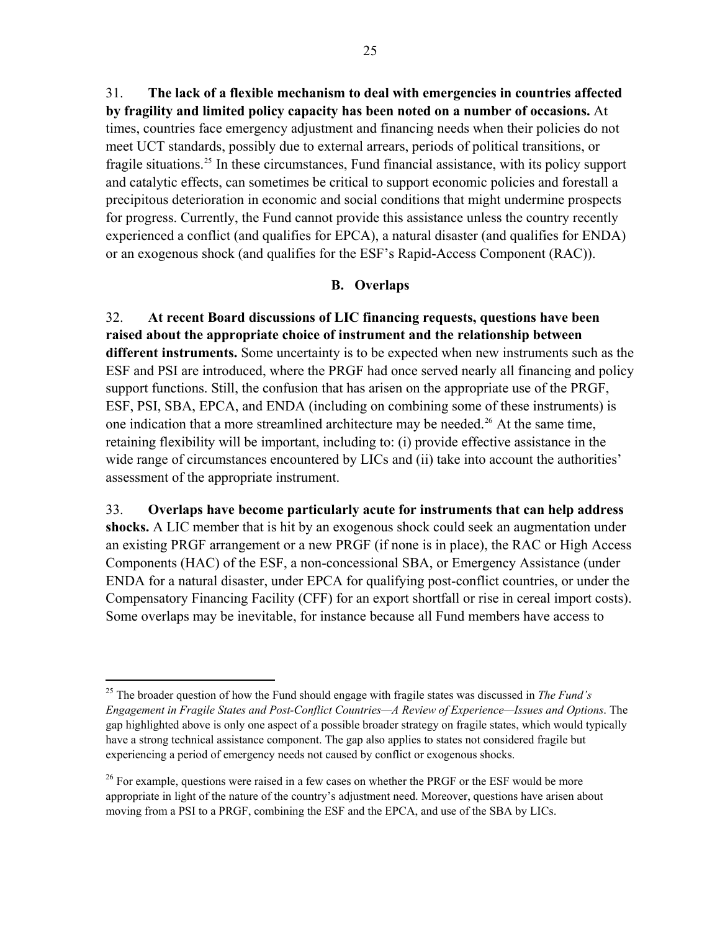<span id="page-24-0"></span>31. **The lack of a flexible mechanism to deal with emergencies in countries affected by fragility and limited policy capacity has been noted on a number of occasions.** At times, countries face emergency adjustment and financing needs when their policies do not meet UCT standards, possibly due to external arrears, periods of political transitions, or fragile situations.[25](#page-24-1) In these circumstances, Fund financial assistance, with its policy support and catalytic effects, can sometimes be critical to support economic policies and forestall a precipitous deterioration in economic and social conditions that might undermine prospects for progress. Currently, the Fund cannot provide this assistance unless the country recently experienced a conflict (and qualifies for EPCA), a natural disaster (and qualifies for ENDA) or an exogenous shock (and qualifies for the ESF's Rapid-Access Component (RAC)).

#### **B. Overlaps**

32. **At recent Board discussions of LIC financing requests, questions have been raised about the appropriate choice of instrument and the relationship between different instruments.** Some uncertainty is to be expected when new instruments such as the ESF and PSI are introduced, where the PRGF had once served nearly all financing and policy support functions. Still, the confusion that has arisen on the appropriate use of the PRGF, ESF, PSI, SBA, EPCA, and ENDA (including on combining some of these instruments) is one indication that a more streamlined architecture may be needed.[26](#page-24-2) At the same time, retaining flexibility will be important, including to: (i) provide effective assistance in the wide range of circumstances encountered by LICs and (ii) take into account the authorities' assessment of the appropriate instrument.

33. **Overlaps have become particularly acute for instruments that can help address shocks.** A LIC member that is hit by an exogenous shock could seek an augmentation under an existing PRGF arrangement or a new PRGF (if none is in place), the RAC or High Access Components (HAC) of the ESF, a non-concessional SBA, or Emergency Assistance (under ENDA for a natural disaster, under EPCA for qualifying post-conflict countries, or under the Compensatory Financing Facility (CFF) for an export shortfall or rise in cereal import costs). Some overlaps may be inevitable, for instance because all Fund members have access to

<span id="page-24-1"></span><sup>25</sup> The broader question of how the Fund should engage with fragile states was discussed in *The Fund's Engagement in Fragile States and Post-Conflict Countries—A Review of Experience—Issues and Options*. The gap highlighted above is only one aspect of a possible broader strategy on fragile states, which would typically have a strong technical assistance component. The gap also applies to states not considered fragile but experiencing a period of emergency needs not caused by conflict or exogenous shocks.

<span id="page-24-2"></span><sup>&</sup>lt;sup>26</sup> For example, questions were raised in a few cases on whether the PRGF or the ESF would be more appropriate in light of the nature of the country's adjustment need. Moreover, questions have arisen about moving from a PSI to a PRGF, combining the ESF and the EPCA, and use of the SBA by LICs.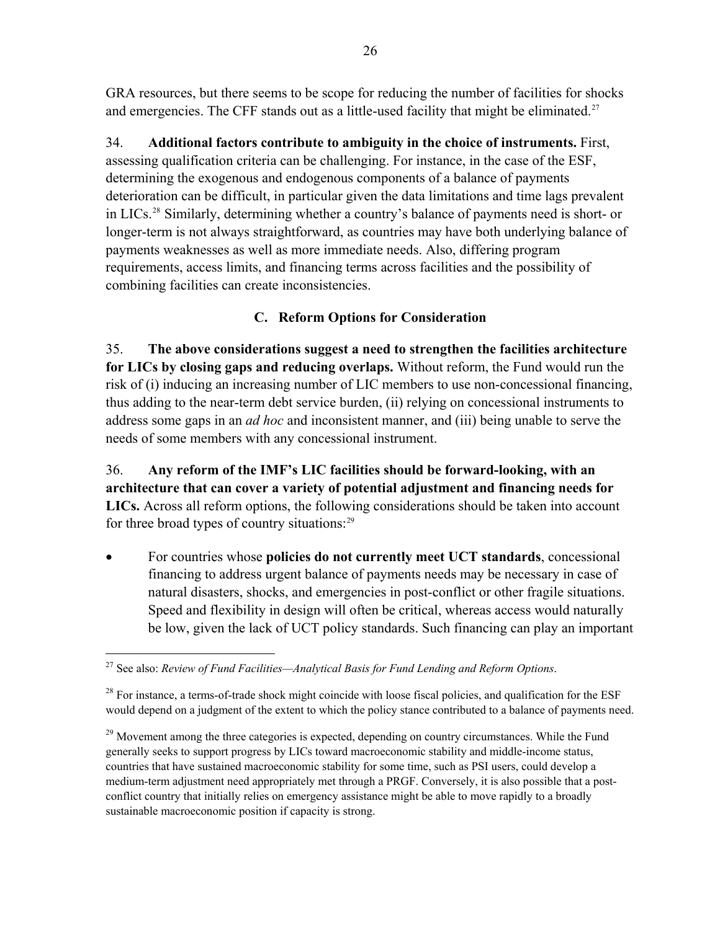<span id="page-25-0"></span>GRA resources, but there seems to be scope for reducing the number of facilities for shocks and emergencies. The CFF stands out as a little-used facility that might be eliminated.<sup>27</sup>

34. **Additional factors contribute to ambiguity in the choice of instruments.** First, assessing qualification criteria can be challenging. For instance, in the case of the ESF, determining the exogenous and endogenous components of a balance of payments deterioration can be difficult, in particular given the data limitations and time lags prevalent in LICs.[28](#page-25-1) Similarly, determining whether a country's balance of payments need is short- or longer-term is not always straightforward, as countries may have both underlying balance of payments weaknesses as well as more immediate needs. Also, differing program requirements, access limits, and financing terms across facilities and the possibility of combining facilities can create inconsistencies.

# **C. Reform Options for Consideration**

35. **The above considerations suggest a need to strengthen the facilities architecture for LICs by closing gaps and reducing overlaps.** Without reform, the Fund would run the risk of (i) inducing an increasing number of LIC members to use non-concessional financing, thus adding to the near-term debt service burden, (ii) relying on concessional instruments to address some gaps in an *ad hoc* and inconsistent manner, and (iii) being unable to serve the needs of some members with any concessional instrument.

36. **Any reform of the IMF's LIC facilities should be forward-looking, with an architecture that can cover a variety of potential adjustment and financing needs for LICs.** Across all reform options, the following considerations should be taken into account for three broad types of country situations: $29$ 

• For countries whose **policies do not currently meet UCT standards**, concessional financing to address urgent balance of payments needs may be necessary in case of natural disasters, shocks, and emergencies in post-conflict or other fragile situations. Speed and flexibility in design will often be critical, whereas access would naturally be low, given the lack of UCT policy standards. Such financing can play an important

<sup>27</sup> See also: *Review of Fund Facilities—Analytical Basis for Fund Lending and Reform Options*.

<span id="page-25-1"></span> $^{28}$  For instance, a terms-of-trade shock might coincide with loose fiscal policies, and qualification for the ESF would depend on a judgment of the extent to which the policy stance contributed to a balance of payments need.

<span id="page-25-2"></span> $29$  Movement among the three categories is expected, depending on country circumstances. While the Fund generally seeks to support progress by LICs toward macroeconomic stability and middle-income status, countries that have sustained macroeconomic stability for some time, such as PSI users, could develop a medium-term adjustment need appropriately met through a PRGF. Conversely, it is also possible that a postconflict country that initially relies on emergency assistance might be able to move rapidly to a broadly sustainable macroeconomic position if capacity is strong.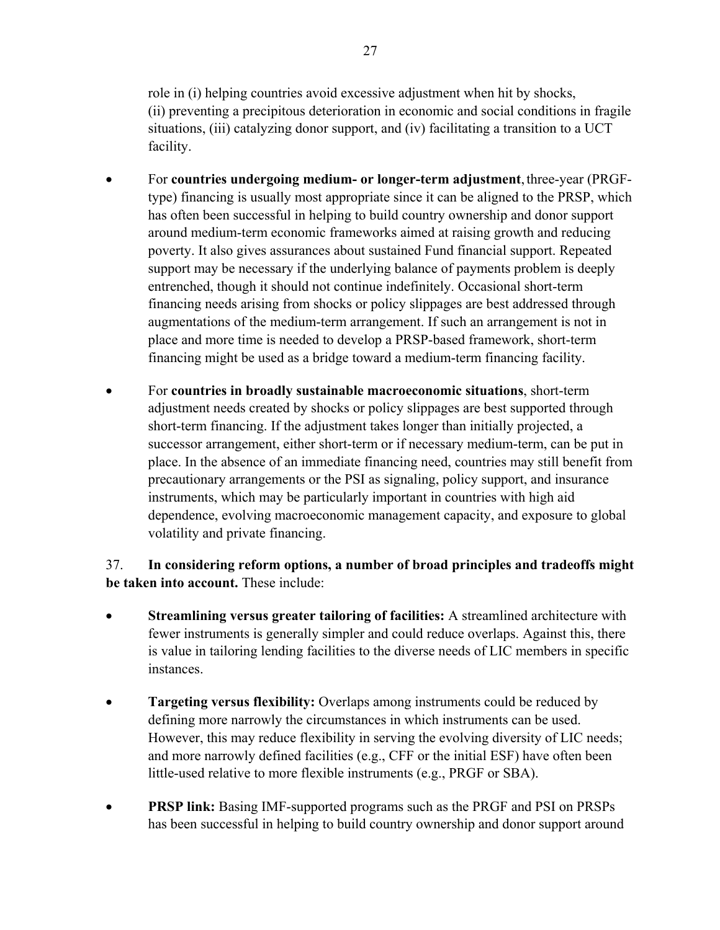role in (i) helping countries avoid excessive adjustment when hit by shocks, (ii) preventing a precipitous deterioration in economic and social conditions in fragile situations, (iii) catalyzing donor support, and (iv) facilitating a transition to a UCT facility.

- For **countries undergoing medium- or longer-term adjustment**, three-year (PRGFtype) financing is usually most appropriate since it can be aligned to the PRSP, which has often been successful in helping to build country ownership and donor support around medium-term economic frameworks aimed at raising growth and reducing poverty. It also gives assurances about sustained Fund financial support. Repeated support may be necessary if the underlying balance of payments problem is deeply entrenched, though it should not continue indefinitely. Occasional short-term financing needs arising from shocks or policy slippages are best addressed through augmentations of the medium-term arrangement. If such an arrangement is not in place and more time is needed to develop a PRSP-based framework, short-term financing might be used as a bridge toward a medium-term financing facility.
- For **countries in broadly sustainable macroeconomic situations**, short-term adjustment needs created by shocks or policy slippages are best supported through short-term financing. If the adjustment takes longer than initially projected, a successor arrangement, either short-term or if necessary medium-term, can be put in place. In the absence of an immediate financing need, countries may still benefit from precautionary arrangements or the PSI as signaling, policy support, and insurance instruments, which may be particularly important in countries with high aid dependence, evolving macroeconomic management capacity, and exposure to global volatility and private financing.

37. **In considering reform options, a number of broad principles and tradeoffs might be taken into account.** These include:

- **Streamlining versus greater tailoring of facilities:** A streamlined architecture with fewer instruments is generally simpler and could reduce overlaps. Against this, there is value in tailoring lending facilities to the diverse needs of LIC members in specific instances.
- **Targeting versus flexibility:** Overlaps among instruments could be reduced by defining more narrowly the circumstances in which instruments can be used. However, this may reduce flexibility in serving the evolving diversity of LIC needs; and more narrowly defined facilities (e.g., CFF or the initial ESF) have often been little-used relative to more flexible instruments (e.g., PRGF or SBA).
- **PRSP link:** Basing IMF-supported programs such as the PRGF and PSI on PRSPs has been successful in helping to build country ownership and donor support around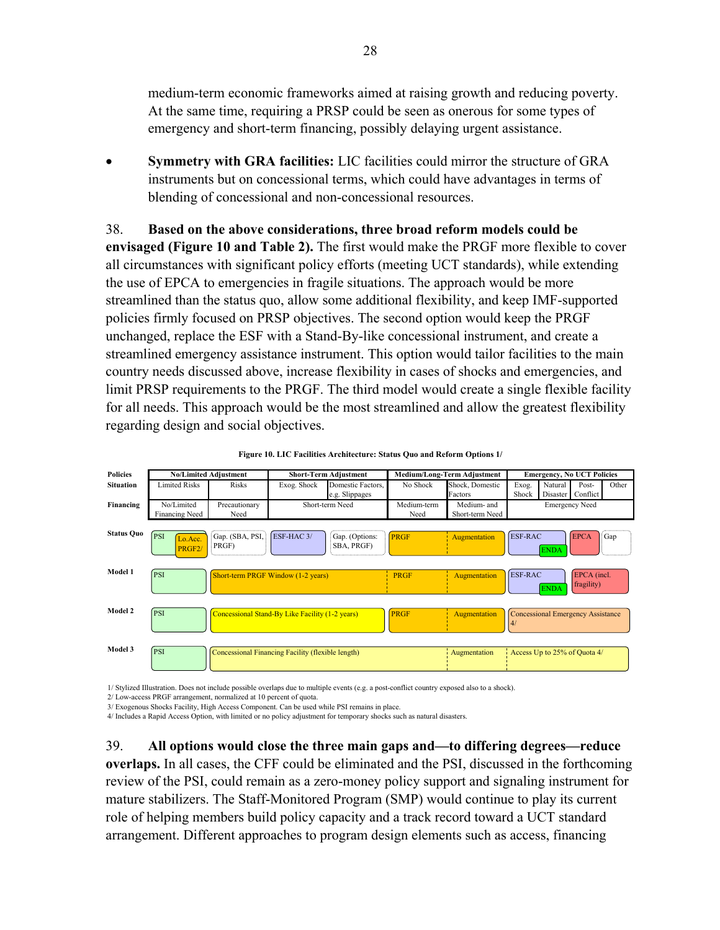<span id="page-27-0"></span>medium-term economic frameworks aimed at raising growth and reducing poverty. At the same time, requiring a PRSP could be seen as onerous for some types of emergency and short-term financing, possibly delaying urgent assistance.

• **Symmetry with GRA facilities:** LIC facilities could mirror the structure of GRA instruments but on concessional terms, which could have advantages in terms of blending of concessional and non-concessional resources.

#### 38. **Based on the above considerations, three broad reform models could be**

**envisaged (Figure 10 and Table 2).** The first would make the PRGF more flexible to cover all circumstances with significant policy efforts (meeting UCT standards), while extending the use of EPCA to emergencies in fragile situations. The approach would be more streamlined than the status quo, allow some additional flexibility, and keep IMF-supported policies firmly focused on PRSP objectives. The second option would keep the PRGF unchanged, replace the ESF with a Stand-By-like concessional instrument, and create a streamlined emergency assistance instrument. This option would tailor facilities to the main country needs discussed above, increase flexibility in cases of shocks and emergencies, and limit PRSP requirements to the PRGF. The third model would create a single flexible facility for all needs. This approach would be the most streamlined and allow the greatest flexibility regarding design and social objectives.



#### **Figure 10. LIC Facilities Architecture: Status Quo and Reform Options 1/**

1/ Stylized Illustration. Does not include possible overlaps due to multiple events (e.g. a post-conflict country exposed also to a shock).

2/ Low-access PRGF arrangement, normalized at 10 percent of quota.

3/ Exogenous Shocks Facility, High Access Component. Can be used while PSI remains in place.

4/ Includes a Rapid Access Option, with limited or no policy adjustment for temporary shocks such as natural disasters.

39. **All options would close the three main gaps and—to differing degrees—reduce overlaps.** In all cases, the CFF could be eliminated and the PSI, discussed in the forthcoming review of the PSI, could remain as a zero-money policy support and signaling instrument for mature stabilizers. The Staff-Monitored Program (SMP) would continue to play its current role of helping members build policy capacity and a track record toward a UCT standard arrangement. Different approaches to program design elements such as access, financing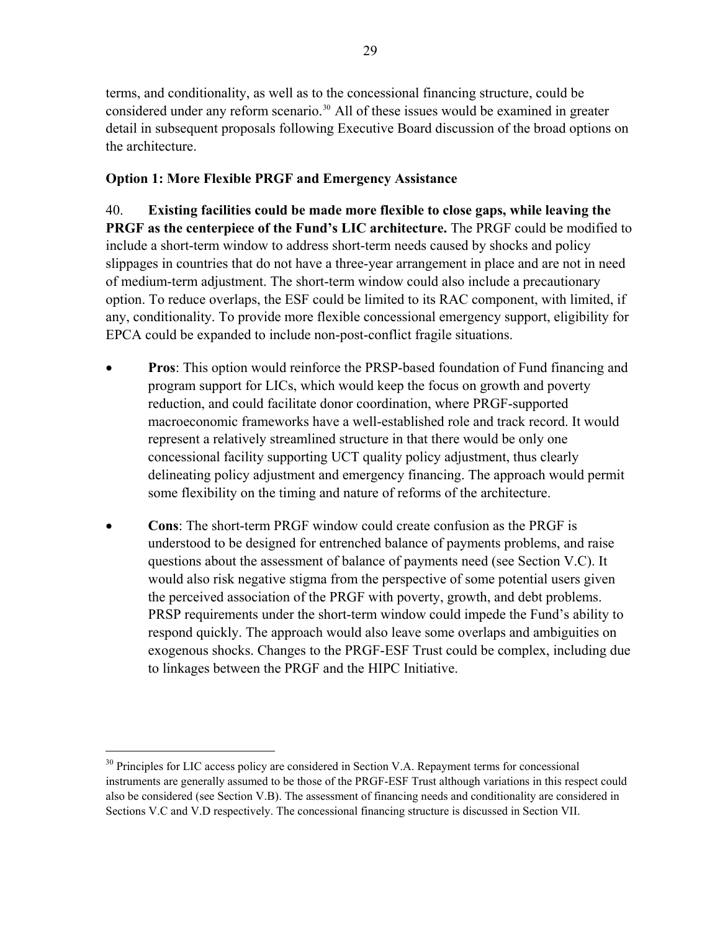<span id="page-28-0"></span>terms, and conditionality, as well as to the concessional financing structure, could be considered under any reform scenario.<sup>30</sup> All of these issues would be examined in greater detail in subsequent proposals following Executive Board discussion of the broad options on the architecture.

# **Option 1: More Flexible PRGF and Emergency Assistance**

40. **Existing facilities could be made more flexible to close gaps, while leaving the PRGF as the centerpiece of the Fund's LIC architecture.** The PRGF could be modified to include a short-term window to address short-term needs caused by shocks and policy slippages in countries that do not have a three-year arrangement in place and are not in need of medium-term adjustment. The short-term window could also include a precautionary option. To reduce overlaps, the ESF could be limited to its RAC component, with limited, if any, conditionality. To provide more flexible concessional emergency support, eligibility for EPCA could be expanded to include non-post-conflict fragile situations.

- **Pros**: This option would reinforce the PRSP-based foundation of Fund financing and program support for LICs, which would keep the focus on growth and poverty reduction, and could facilitate donor coordination, where PRGF-supported macroeconomic frameworks have a well-established role and track record. It would represent a relatively streamlined structure in that there would be only one concessional facility supporting UCT quality policy adjustment, thus clearly delineating policy adjustment and emergency financing. The approach would permit some flexibility on the timing and nature of reforms of the architecture.
- **Cons**: The short-term PRGF window could create confusion as the PRGF is understood to be designed for entrenched balance of payments problems, and raise questions about the assessment of balance of payments need (see Section V.C). It would also risk negative stigma from the perspective of some potential users given the perceived association of the PRGF with poverty, growth, and debt problems. PRSP requirements under the short-term window could impede the Fund's ability to respond quickly. The approach would also leave some overlaps and ambiguities on exogenous shocks. Changes to the PRGF-ESF Trust could be complex, including due to linkages between the PRGF and the HIPC Initiative.

 $30$  Principles for LIC access policy are considered in Section V.A. Repayment terms for concessional instruments are generally assumed to be those of the PRGF-ESF Trust although variations in this respect could also be considered (see Section V.B). The assessment of financing needs and conditionality are considered in Sections V.C and V.D respectively. The concessional financing structure is discussed in Section VII.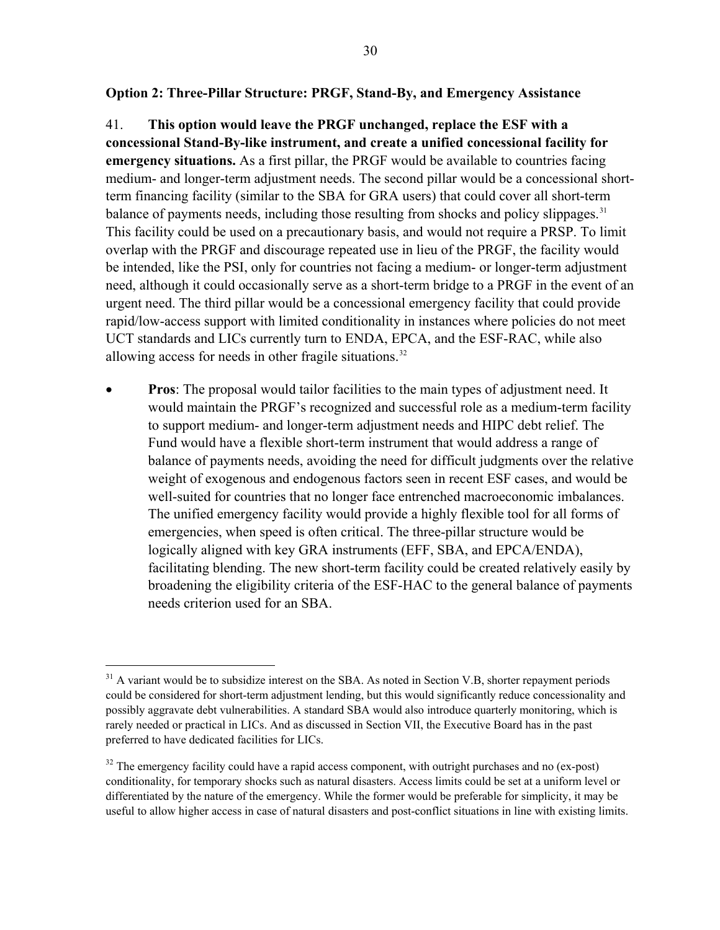<span id="page-29-0"></span>**Option 2: Three-Pillar Structure: PRGF, Stand-By, and Emergency Assistance** 

41. **This option would leave the PRGF unchanged, replace the ESF with a concessional Stand-By-like instrument, and create a unified concessional facility for emergency situations.** As a first pillar, the PRGF would be available to countries facing medium- and longer-term adjustment needs. The second pillar would be a concessional shortterm financing facility (similar to the SBA for GRA users) that could cover all short-term balance of payments needs, including those resulting from shocks and policy slippages.<sup>[31](#page-29-1)</sup> This facility could be used on a precautionary basis, and would not require a PRSP. To limit overlap with the PRGF and discourage repeated use in lieu of the PRGF, the facility would be intended, like the PSI, only for countries not facing a medium- or longer-term adjustment need, although it could occasionally serve as a short-term bridge to a PRGF in the event of an urgent need. The third pillar would be a concessional emergency facility that could provide rapid/low-access support with limited conditionality in instances where policies do not meet UCT standards and LICs currently turn to ENDA, EPCA, and the ESF-RAC, while also allowing access for needs in other fragile situations. $32$ 

• **Pros**: The proposal would tailor facilities to the main types of adjustment need. It would maintain the PRGF's recognized and successful role as a medium-term facility to support medium- and longer-term adjustment needs and HIPC debt relief. The Fund would have a flexible short-term instrument that would address a range of balance of payments needs, avoiding the need for difficult judgments over the relative weight of exogenous and endogenous factors seen in recent ESF cases, and would be well-suited for countries that no longer face entrenched macroeconomic imbalances. The unified emergency facility would provide a highly flexible tool for all forms of emergencies, when speed is often critical. The three-pillar structure would be logically aligned with key GRA instruments (EFF, SBA, and EPCA/ENDA), facilitating blending. The new short-term facility could be created relatively easily by broadening the eligibility criteria of the ESF-HAC to the general balance of payments needs criterion used for an SBA.

<span id="page-29-1"></span><sup>&</sup>lt;sup>31</sup> A variant would be to subsidize interest on the SBA. As noted in Section V.B, shorter repayment periods could be considered for short-term adjustment lending, but this would significantly reduce concessionality and possibly aggravate debt vulnerabilities. A standard SBA would also introduce quarterly monitoring, which is rarely needed or practical in LICs. And as discussed in Section VII, the Executive Board has in the past preferred to have dedicated facilities for LICs.

<span id="page-29-2"></span> $32$  The emergency facility could have a rapid access component, with outright purchases and no (ex-post) conditionality, for temporary shocks such as natural disasters. Access limits could be set at a uniform level or differentiated by the nature of the emergency. While the former would be preferable for simplicity, it may be useful to allow higher access in case of natural disasters and post-conflict situations in line with existing limits.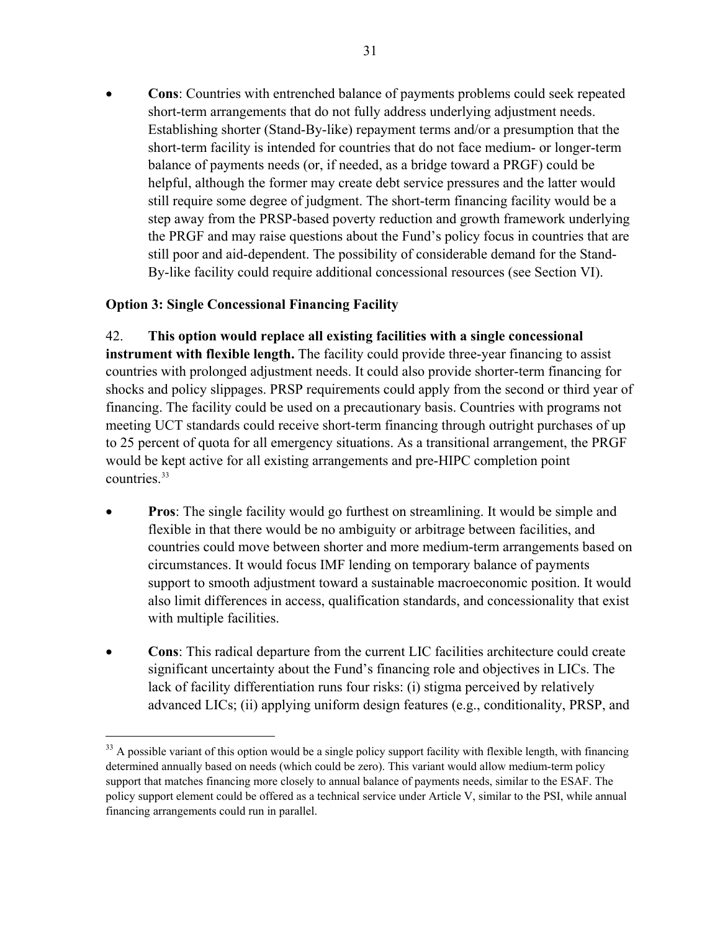<span id="page-30-0"></span>• **Cons**: Countries with entrenched balance of payments problems could seek repeated short-term arrangements that do not fully address underlying adjustment needs. Establishing shorter (Stand-By-like) repayment terms and/or a presumption that the short-term facility is intended for countries that do not face medium- or longer-term balance of payments needs (or, if needed, as a bridge toward a PRGF) could be helpful, although the former may create debt service pressures and the latter would still require some degree of judgment. The short-term financing facility would be a step away from the PRSP-based poverty reduction and growth framework underlying the PRGF and may raise questions about the Fund's policy focus in countries that are still poor and aid-dependent. The possibility of considerable demand for the Stand-By-like facility could require additional concessional resources (see Section VI).

# **Option 3: Single Concessional Financing Facility**

<u>.</u>

42. **This option would replace all existing facilities with a single concessional instrument with flexible length.** The facility could provide three-year financing to assist countries with prolonged adjustment needs. It could also provide shorter-term financing for shocks and policy slippages. PRSP requirements could apply from the second or third year of financing. The facility could be used on a precautionary basis. Countries with programs not meeting UCT standards could receive short-term financing through outright purchases of up to 25 percent of quota for all emergency situations. As a transitional arrangement, the PRGF would be kept active for all existing arrangements and pre-HIPC completion point countries.<sup>[33](#page-30-1)</sup>

- **Pros**: The single facility would go furthest on streamlining. It would be simple and flexible in that there would be no ambiguity or arbitrage between facilities, and countries could move between shorter and more medium-term arrangements based on circumstances. It would focus IMF lending on temporary balance of payments support to smooth adjustment toward a sustainable macroeconomic position. It would also limit differences in access, qualification standards, and concessionality that exist with multiple facilities.
- **Cons**: This radical departure from the current LIC facilities architecture could create significant uncertainty about the Fund's financing role and objectives in LICs. The lack of facility differentiation runs four risks: (i) stigma perceived by relatively advanced LICs; (ii) applying uniform design features (e.g., conditionality, PRSP, and

<span id="page-30-1"></span> $33$  A possible variant of this option would be a single policy support facility with flexible length, with financing determined annually based on needs (which could be zero). This variant would allow medium-term policy support that matches financing more closely to annual balance of payments needs, similar to the ESAF. The policy support element could be offered as a technical service under Article V, similar to the PSI, while annual financing arrangements could run in parallel.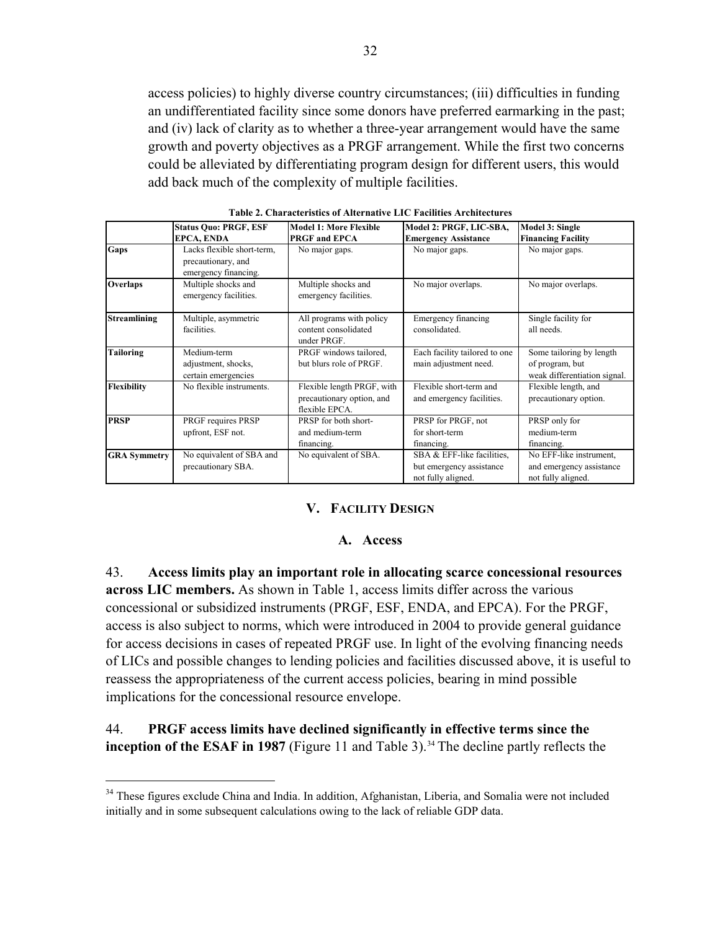<span id="page-31-0"></span>access policies) to highly diverse country circumstances; (iii) difficulties in funding an undifferentiated facility since some donors have preferred earmarking in the past; and (iv) lack of clarity as to whether a three-year arrangement would have the same growth and poverty objectives as a PRGF arrangement. While the first two concerns could be alleviated by differentiating program design for different users, this would add back much of the complexity of multiple facilities.

|                     | <b>Status Quo: PRGF, ESF</b><br>EPCA, ENDA                               | <b>Model 1: More Flexible</b><br><b>PRGF</b> and <b>EPCA</b>              | Model 2: PRGF, LIC-SBA,<br><b>Emergency Assistance</b>                       | Model 3: Single<br><b>Financing Facility</b>                                |
|---------------------|--------------------------------------------------------------------------|---------------------------------------------------------------------------|------------------------------------------------------------------------------|-----------------------------------------------------------------------------|
| Gaps                | Lacks flexible short-term,<br>precautionary, and<br>emergency financing. | No major gaps.                                                            | No major gaps.                                                               | No major gaps.                                                              |
| Overlaps            | Multiple shocks and<br>emergency facilities.                             | Multiple shocks and<br>emergency facilities.                              | No major overlaps.                                                           | No major overlaps.                                                          |
| <b>Streamlining</b> | Multiple, asymmetric<br>facilities.                                      | All programs with policy<br>content consolidated<br>under PRGF.           | Emergency financing<br>consolidated.                                         | Single facility for<br>all needs.                                           |
| Tailoring           | Medium-term<br>adjustment, shocks,<br>certain emergencies                | PRGF windows tailored,<br>but blurs role of PRGF.                         | Each facility tailored to one<br>main adjustment need.                       | Some tailoring by length<br>of program, but<br>weak differentiation signal. |
| <b>Flexibility</b>  | No flexible instruments.                                                 | Flexible length PRGF, with<br>precautionary option, and<br>flexible EPCA. | Flexible short-term and<br>and emergency facilities.                         | Flexible length, and<br>precautionary option.                               |
| <b>PRSP</b>         | PRGF requires PRSP<br>upfront, ESF not.                                  | PRSP for both short-<br>and medium-term<br>financing.                     | PRSP for PRGF, not<br>for short-term<br>financing.                           | PRSP only for<br>medium-term<br>financing.                                  |
| <b>GRA Symmetry</b> | No equivalent of SBA and<br>precautionary SBA.                           | No equivalent of SBA.                                                     | SBA & EFF-like facilities.<br>but emergency assistance<br>not fully aligned. | No EFF-like instrument,<br>and emergency assistance<br>not fully aligned.   |

**Table 2. Characteristics of Alternative LIC Facilities Architectures**

#### **V. FACILITY DESIGN**

#### **A. Access**

43. **Access limits play an important role in allocating scarce concessional resources across LIC members.** As shown in Table 1, access limits differ across the various concessional or subsidized instruments (PRGF, ESF, ENDA, and EPCA). For the PRGF, access is also subject to norms, which were introduced in 2004 to provide general guidance for access decisions in cases of repeated PRGF use. In light of the evolving financing needs of LICs and possible changes to lending policies and facilities discussed above, it is useful to reassess the appropriateness of the current access policies, bearing in mind possible implications for the concessional resource envelope.

#### 44. **PRGF access limits have declined significantly in effective terms since the inception of the ESAF in 1987** (Figure 11 and Table 3).<sup>34</sup> The decline partly reflects the

<span id="page-31-1"></span><sup>&</sup>lt;sup>34</sup> These figures exclude China and India. In addition, Afghanistan, Liberia, and Somalia were not included initially and in some subsequent calculations owing to the lack of reliable GDP data.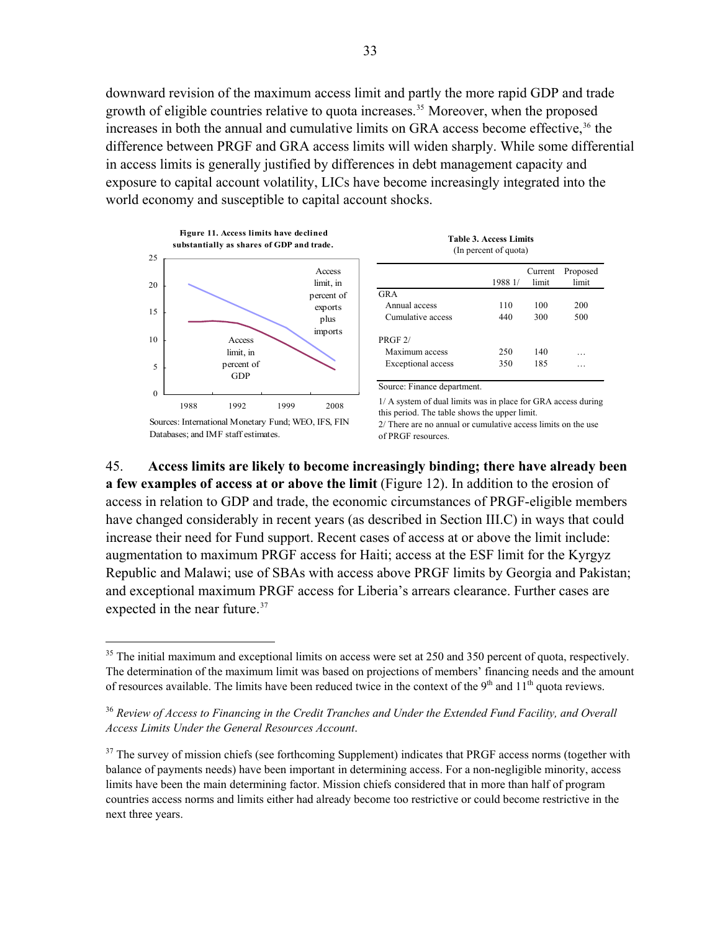<span id="page-32-0"></span>downward revision of the maximum access limit and partly the more rapid GDP and trade growth of eligible countries relative to quota increases.<sup>35</sup> Moreover, when the proposed increases in both the annual and cumulative limits on GRA access become effective,<sup>36</sup> the difference between PRGF and GRA access limits will widen sharply. While some differential in access limits is generally justified by differences in debt management capacity and exposure to capital account volatility, LICs have become increasingly integrated into the world economy and susceptible to capital account shocks.



45. **Access limits are likely to become increasingly binding; there have already been a few examples of access at or above the limit** (Figure 12). In addition to the erosion of access in relation to GDP and trade, the economic circumstances of PRGF-eligible members have changed considerably in recent years (as described in Section III.C) in ways that could increase their need for Fund support. Recent cases of access at or above the limit include: augmentation to maximum PRGF access for Haiti; access at the ESF limit for the Kyrgyz Republic and Malawi; use of SBAs with access above PRGF limits by Georgia and Pakistan; and exceptional maximum PRGF access for Liberia's arrears clearance. Further cases are expected in the near future.<sup>[37](#page-32-1)</sup>

 $35$  The initial maximum and exceptional limits on access were set at 250 and 350 percent of quota, respectively. The determination of the maximum limit was based on projections of members' financing needs and the amount of resources available. The limits have been reduced twice in the context of the  $9<sup>th</sup>$  and  $11<sup>th</sup>$  quota reviews.

<sup>36</sup> *Review of Access to Financing in the Credit Tranches and Under the Extended Fund Facility, and Overall Access Limits Under the General Resources Account*.

<span id="page-32-1"></span><sup>&</sup>lt;sup>37</sup> The survey of mission chiefs (see forthcoming Supplement) indicates that PRGF access norms (together with balance of payments needs) have been important in determining access. For a non-negligible minority, access limits have been the main determining factor. Mission chiefs considered that in more than half of program countries access norms and limits either had already become too restrictive or could become restrictive in the next three years.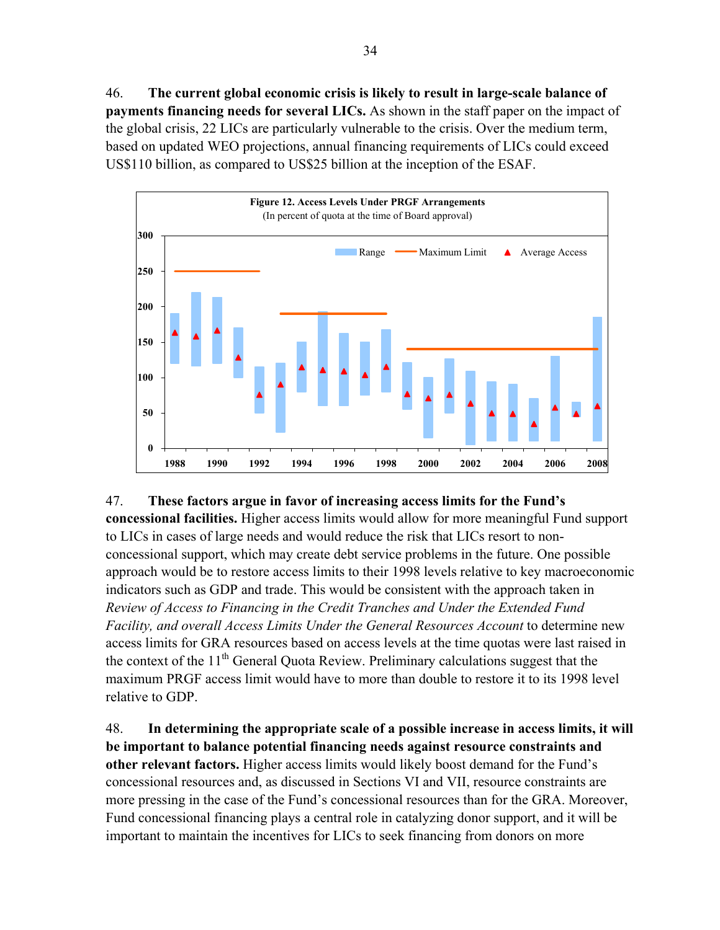<span id="page-33-0"></span>46. **The current global economic crisis is likely to result in large-scale balance of payments financing needs for several LICs.** As shown in the staff paper on the impact of the global crisis, 22 LICs are particularly vulnerable to the crisis. Over the medium term, based on updated WEO projections, annual financing requirements of LICs could exceed US\$110 billion, as compared to US\$25 billion at the inception of the ESAF.



### 47. **These factors argue in favor of increasing access limits for the Fund's**

**concessional facilities.** Higher access limits would allow for more meaningful Fund support to LICs in cases of large needs and would reduce the risk that LICs resort to nonconcessional support, which may create debt service problems in the future. One possible approach would be to restore access limits to their 1998 levels relative to key macroeconomic indicators such as GDP and trade. This would be consistent with the approach taken in *Review of Access to Financing in the Credit Tranches and Under the Extended Fund Facility, and overall Access Limits Under the General Resources Account* to determine new access limits for GRA resources based on access levels at the time quotas were last raised in the context of the  $11<sup>th</sup>$  General Quota Review. Preliminary calculations suggest that the maximum PRGF access limit would have to more than double to restore it to its 1998 level relative to GDP.

48. **In determining the appropriate scale of a possible increase in access limits, it will be important to balance potential financing needs against resource constraints and other relevant factors.** Higher access limits would likely boost demand for the Fund's concessional resources and, as discussed in Sections VI and VII, resource constraints are more pressing in the case of the Fund's concessional resources than for the GRA. Moreover, Fund concessional financing plays a central role in catalyzing donor support, and it will be important to maintain the incentives for LICs to seek financing from donors on more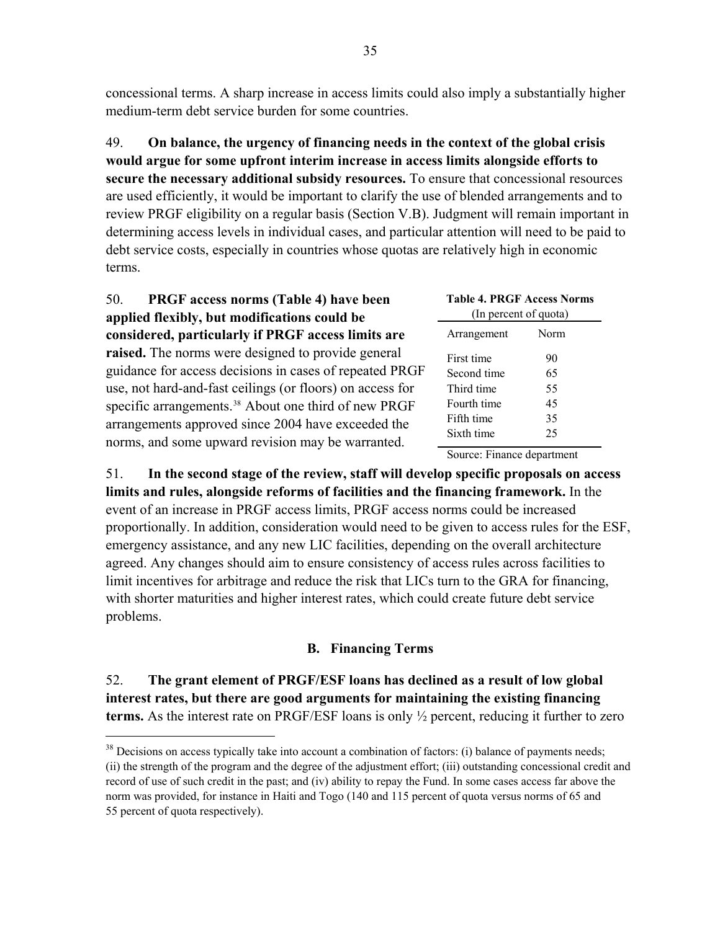<span id="page-34-0"></span>concessional terms. A sharp increase in access limits c ould also imply a substantially higher medium-term debt service burden for some countries.

49. **On balance, the urgency of financing n eeds in the context of the global crisis**  would argue for some upfront interim increase in access limits alongside efforts to secure the necessary additional subsidy resources. To ensure that concessional resources review PRGF eligibility on a regular basis (Section V.B). Judgment will remain important in are used efficiently, it would be important to clarify the use of blended arrangements and to determining access levels in individual cases, and particular attention will need to be paid to debt service costs, especially in countries whose quotas are relatively high in economic terms.

| <b>PRGF</b> access norms (Table 4) have been<br>50.<br>applied flexibly, but modifications could be                                                                                                                                                                                                  | <b>Table 4. PRGF Access Norms</b><br>(In percent of quota)                         |                                  |
|------------------------------------------------------------------------------------------------------------------------------------------------------------------------------------------------------------------------------------------------------------------------------------------------------|------------------------------------------------------------------------------------|----------------------------------|
| considered, particularly if PRGF access limits are                                                                                                                                                                                                                                                   | Arrangement                                                                        | <b>Norm</b>                      |
| raised. The norms were designed to provide general<br>guidance for access decisions in cases of repeated PRGF<br>use, not hard-and-fast ceilings (or floors) on access for<br>specific arrangements. <sup>38</sup> About one third of new PRGF<br>arrangements approved since 2004 have exceeded the | First time<br>Second time<br>Third time<br>Fourth time<br>Fifth time<br>Sixth time | 90<br>65<br>55<br>45<br>35<br>25 |
| norms, and some upward revision may be warranted.                                                                                                                                                                                                                                                    | Source: Finance department                                                         |                                  |

51. In the second stage of the review, staff will develop specific proposals on access proportionally. In addition, consideration would need to be given to access rules for the ESF, limit incentives for arbitrage and reduce the risk that LICs turn to the GRA for financing, with shorter maturities and higher interest rates, which could create future debt service problems. **limits and rules, alongside reforms of facilities and the financing framework.** In the event of an increase in PRGF access limits, PRGF access norms could be increased emergency assistance, and any new LIC facilities, depending on the overall architecture agreed. Any changes should aim to ensure consistency of access rules across facilities to

# **B. Financing Terms**

**interest rates, but there are good arguments for maintaining the existing financing terms.** As the interest rate on PRGF/ESF loans is only ½ percent, reducing it further to zero 52. **The grant element of PRGF/ESF loans has declined as a result of low global** 

<span id="page-34-1"></span> $38$  Decisions on access typically take into account a combination of factors: (i) balance of payments needs; (ii) the strength of the program and the degree of the adjustment effort; (iii) outstanding concessional credit and record of use of such credit in the past; and (iv) ability to repay the Fund. In some cases access far above the norm was provided, for instance in Haiti and Togo (140 and 115 percent of quota versus norms of 65 and 55 percent of quota respectively).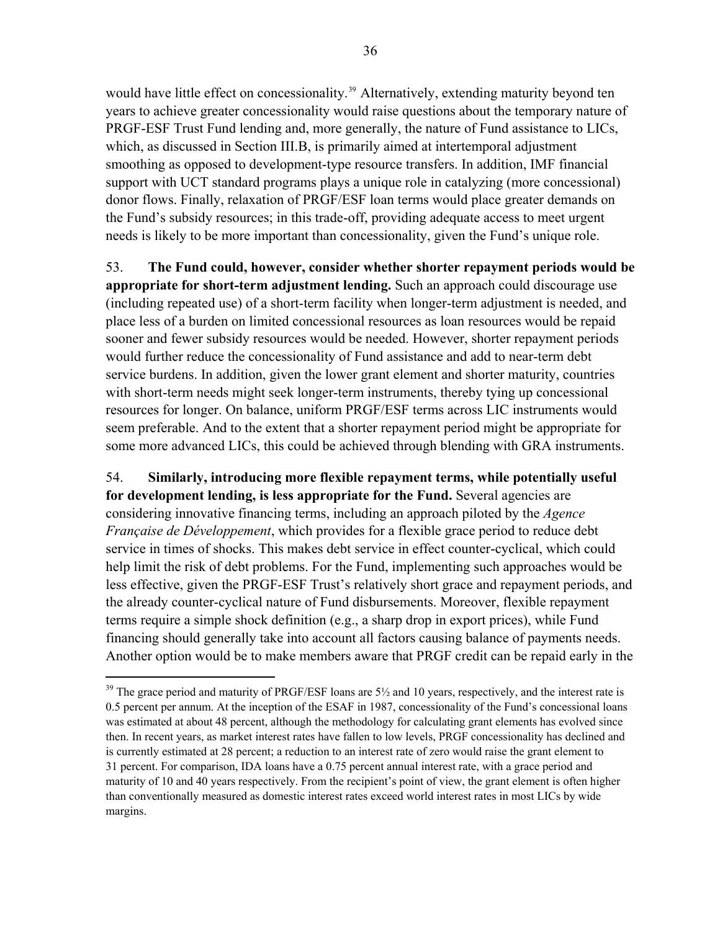would have little effect on concessionality.<sup>39</sup> Alternatively, extending maturity beyond ten years to achieve greater concessionality would raise questions about the temporary nature of PRGF-ESF Trust Fund lending and, more generally, the nature of Fund assistance to LICs, which, as discussed in Section III.B, is primarily aimed at intertemporal adjustment smoothing as opposed to development-type resource transfers. In addition, IMF financial support with UCT standard programs plays a unique role in catalyzing (more concessional) donor flows. Finally, relaxation of PRGF/ESF loan terms would place greater demands on the Fund's subsidy resources; in this trade-off, providing adequate access to meet urgent needs is likely to be more important than concessionality, given the Fund's unique role.

53. **The Fund could, however, consider whether shorter repayment periods would be appropriate for short-term adjustment lending.** Such an approach could discourage use (including repeated use) of a short-term facility when longer-term adjustment is needed, and place less of a burden on limited concessional resources as loan resources would be repaid sooner and fewer subsidy resources would be needed. However, shorter repayment periods would further reduce the concessionality of Fund assistance and add to near-term debt service burdens. In addition, given the lower grant element and shorter maturity, countries with short-term needs might seek longer-term instruments, thereby tying up concessional resources for longer. On balance, uniform PRGF/ESF terms across LIC instruments would seem preferable. And to the extent that a shorter repayment period might be appropriate for some more advanced LICs, this could be achieved through blending with GRA instruments.

54. **Similarly, introducing more flexible repayment terms, while potentially useful for development lending, is less appropriate for the Fund.** Several agencies are considering innovative financing terms, including an approach piloted by the *Agence Française de Développement*, which provides for a flexible grace period to reduce debt service in times of shocks. This makes debt service in effect counter-cyclical, which could help limit the risk of debt problems. For the Fund, implementing such approaches would be less effective, given the PRGF-ESF Trust's relatively short grace and repayment periods, and the already counter-cyclical nature of Fund disbursements. Moreover, flexible repayment terms require a simple shock definition (e.g., a sharp drop in export prices), while Fund financing should generally take into account all factors causing balance of payments needs. Another option would be to make members aware that PRGF credit can be repaid early in the

<sup>&</sup>lt;sup>39</sup> The grace period and maturity of PRGF/ESF loans are 5<sup>1</sup>/<sub>2</sub> and 10 years, respectively, and the interest rate is 0.5 percent per annum. At the inception of the ESAF in 1987, concessionality of the Fund's concessional loans was estimated at about 48 percent, although the methodology for calculating grant elements has evolved since then. In recent years, as market interest rates have fallen to low levels, PRGF concessionality has declined and is currently estimated at 28 percent; a reduction to an interest rate of zero would raise the grant element to 31 percent. For comparison, IDA loans have a 0.75 percent annual interest rate, with a grace period and maturity of 10 and 40 years respectively. From the recipient's point of view, the grant element is often higher than conventionally measured as domestic interest rates exceed world interest rates in most LICs by wide margins.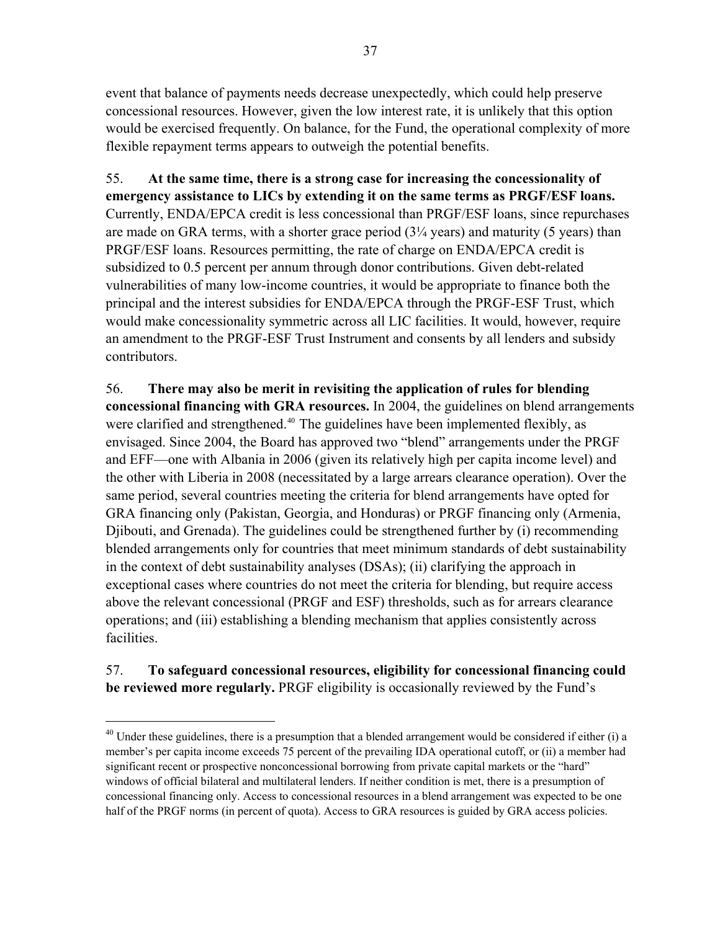event that balance of payments needs decrease unexpectedly, which could help preserve concessional resources. However, given the low interest rate, it is unlikely that this option would be exercised frequently. On balance, for the Fund, the operational complexity of more flexible repayment terms appears to outweigh the potential benefits.

55. **At the same time, there is a strong case for increasing the concessionality of emergency assistance to LICs by extending it on the same terms as PRGF/ESF loans.** Currently, ENDA/EPCA credit is less concessional than PRGF/ESF loans, since repurchases are made on GRA terms, with a shorter grace period  $(3\frac{1}{4}$  years) and maturity (5 years) than PRGF/ESF loans. Resources permitting, the rate of charge on ENDA/EPCA credit is subsidized to 0.5 percent per annum through donor contributions. Given debt-related vulnerabilities of many low-income countries, it would be appropriate to finance both the principal and the interest subsidies for ENDA/EPCA through the PRGF-ESF Trust, which would make concessionality symmetric across all LIC facilities. It would, however, require an amendment to the PRGF-ESF Trust Instrument and consents by all lenders and subsidy contributors.

56. **There may also be merit in revisiting the application of rules for blending concessional financing with GRA resources.** In 2004, the guidelines on blend arrangements were clarified and strengthened.<sup>40</sup> The guidelines have been implemented flexibly, as envisaged. Since 2004, the Board has approved two "blend" arrangements under the PRGF and EFF—one with Albania in 2006 (given its relatively high per capita income level) and the other with Liberia in 2008 (necessitated by a large arrears clearance operation). Over the same period, several countries meeting the criteria for blend arrangements have opted for GRA financing only (Pakistan, Georgia, and Honduras) or PRGF financing only (Armenia, Djibouti, and Grenada). The guidelines could be strengthened further by (i) recommending blended arrangements only for countries that meet minimum standards of debt sustainability in the context of debt sustainability analyses (DSAs); (ii) clarifying the approach in exceptional cases where countries do not meet the criteria for blending, but require access above the relevant concessional (PRGF and ESF) thresholds, such as for arrears clearance operations; and (iii) establishing a blending mechanism that applies consistently across facilities.

# 57. **To safeguard concessional resources, eligibility for concessional financing could be reviewed more regularly.** PRGF eligibility is occasionally reviewed by the Fund's

<span id="page-36-0"></span> $40$  Under these guidelines, there is a presumption that a blended arrangement would be considered if either (i) a member's per capita income exceeds 75 percent of the prevailing IDA operational cutoff, or (ii) a member had significant recent or prospective nonconcessional borrowing from private capital markets or the "hard" windows of official bilateral and multilateral lenders. If neither condition is met, there is a presumption of concessional financing only. Access to concessional resources in a blend arrangement was expected to be one half of the PRGF norms (in percent of quota). Access to GRA resources is guided by GRA access policies.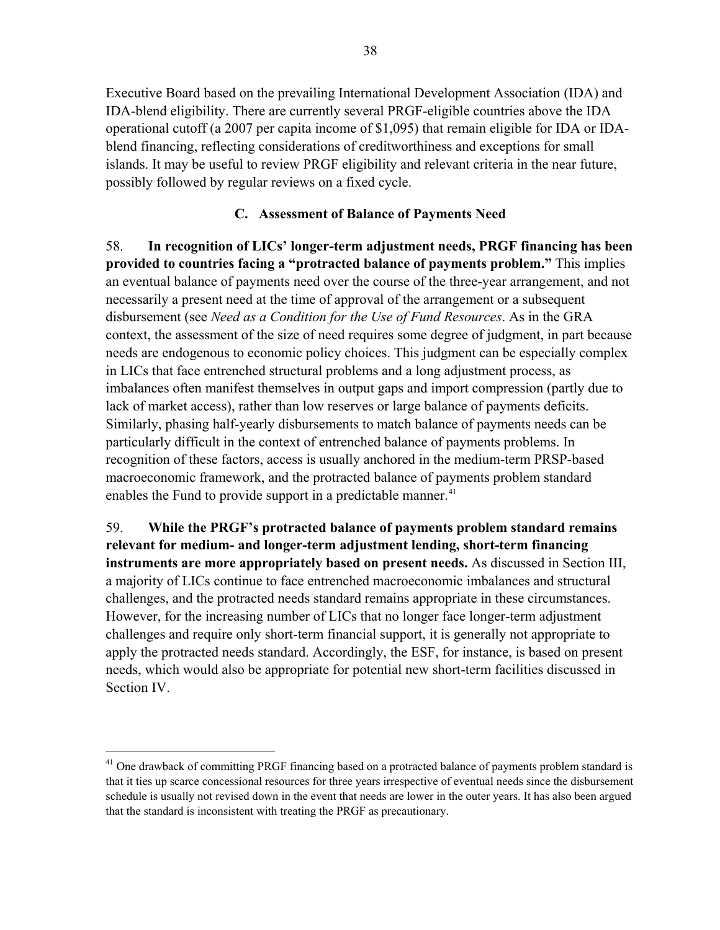<span id="page-37-0"></span>Executive Board based on the prevailing International Development Association (IDA) and IDA-blend eligibility. There are currently several PRGF-eligible countries above the IDA operational cutoff (a 2007 per capita income of \$1,095) that remain eligible for IDA or IDAblend financing, reflecting considerations of creditworthiness and exceptions for small islands. It may be useful to review PRGF eligibility and relevant criteria in the near future, possibly followed by regular reviews on a fixed cycle.

# **C. Assessment of Balance of Payments Need**

58. **In recognition of LICs' longer-term adjustment needs, PRGF financing has been provided to countries facing a "protracted balance of payments problem."** This implies an eventual balance of payments need over the course of the three-year arrangement, and not necessarily a present need at the time of approval of the arrangement or a subsequent disbursement (see *Need as a Condition for the Use of Fund Resources*. As in the GRA context, the assessment of the size of need requires some degree of judgment, in part because needs are endogenous to economic policy choices. This judgment can be especially complex in LICs that face entrenched structural problems and a long adjustment process, as imbalances often manifest themselves in output gaps and import compression (partly due to lack of market access), rather than low reserves or large balance of payments deficits. Similarly, phasing half-yearly disbursements to match balance of payments needs can be particularly difficult in the context of entrenched balance of payments problems. In recognition of these factors, access is usually anchored in the medium-term PRSP-based macroeconomic framework, and the protracted balance of payments problem standard enables the Fund to provide support in a predictable manner.<sup>[41](#page-37-1)</sup>

59. **While the PRGF's protracted balance of payments problem standard remains relevant for medium- and longer-term adjustment lending, short-term financing instruments are more appropriately based on present needs.** As discussed in Section III, a majority of LICs continue to face entrenched macroeconomic imbalances and structural challenges, and the protracted needs standard remains appropriate in these circumstances. However, for the increasing number of LICs that no longer face longer-term adjustment challenges and require only short-term financial support, it is generally not appropriate to apply the protracted needs standard. Accordingly, the ESF, for instance, is based on present needs, which would also be appropriate for potential new short-term facilities discussed in Section IV.

<span id="page-37-1"></span><sup>&</sup>lt;sup>41</sup> One drawback of committing PRGF financing based on a protracted balance of payments problem standard is that it ties up scarce concessional resources for three years irrespective of eventual needs since the disbursement schedule is usually not revised down in the event that needs are lower in the outer years. It has also been argued that the standard is inconsistent with treating the PRGF as precautionary.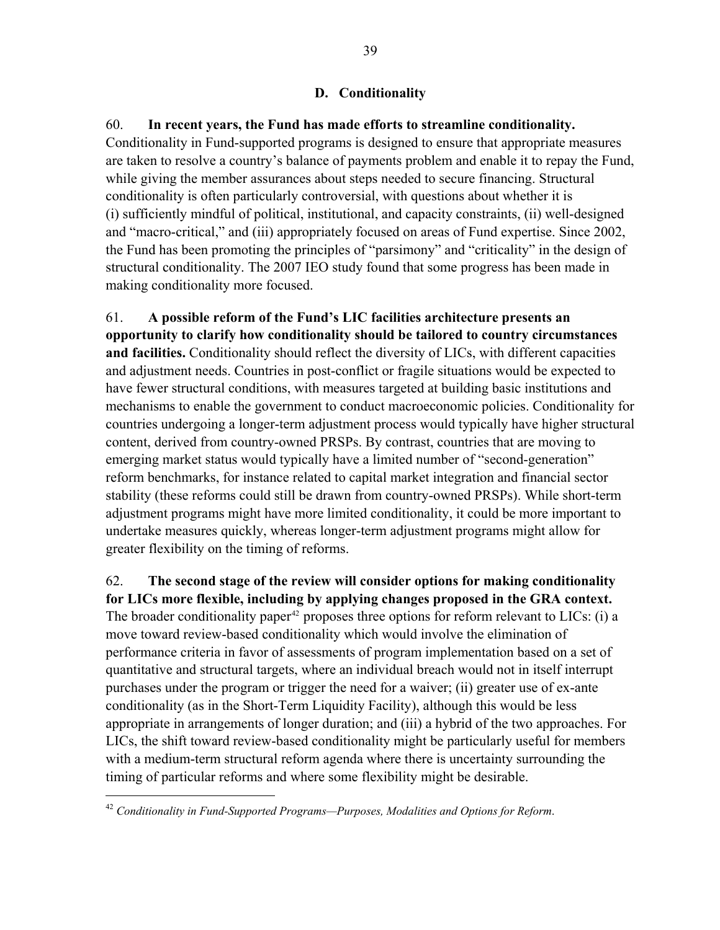# <span id="page-38-0"></span>60. **In recent years, the Fund has made efforts to streamline conditionality.**

Conditionality in Fund-supported programs is designed to ensure that appropriate measures are taken to resolve a country's balance of payments problem and enable it to repay the Fund, while giving the member assurances about steps needed to secure financing. Structural conditionality is often particularly controversial, with questions about whether it is (i) sufficiently mindful of political, institutional, and capacity constraints, (ii) well-designed and "macro-critical," and (iii) appropriately focused on areas of Fund expertise. Since 2002, the Fund has been promoting the principles of "parsimony" and "criticality" in the design of structural conditionality. The 2007 IEO study found that some progress has been made in making conditionality more focused.

61. **A possible reform of the Fund's LIC facilities architecture presents an opportunity to clarify how conditionality should be tailored to country circumstances and facilities.** Conditionality should reflect the diversity of LICs, with different capacities and adjustment needs. Countries in post-conflict or fragile situations would be expected to have fewer structural conditions, with measures targeted at building basic institutions and mechanisms to enable the government to conduct macroeconomic policies. Conditionality for countries undergoing a longer-term adjustment process would typically have higher structural content, derived from country-owned PRSPs. By contrast, countries that are moving to emerging market status would typically have a limited number of "second-generation" reform benchmarks, for instance related to capital market integration and financial sector stability (these reforms could still be drawn from country-owned PRSPs). While short-term adjustment programs might have more limited conditionality, it could be more important to undertake measures quickly, whereas longer-term adjustment programs might allow for greater flexibility on the timing of reforms.

62. **The second stage of the review will consider options for making conditionality for LICs more flexible, including by applying changes proposed in the GRA context.**  The broader conditionality paper<sup>[42](#page-38-1)</sup> proposes three options for reform relevant to LICs: (i) a move toward review-based conditionality which would involve the elimination of performance criteria in favor of assessments of program implementation based on a set of quantitative and structural targets, where an individual breach would not in itself interrupt purchases under the program or trigger the need for a waiver; (ii) greater use of ex-ante conditionality (as in the Short-Term Liquidity Facility), although this would be less appropriate in arrangements of longer duration; and (iii) a hybrid of the two approaches. For LICs, the shift toward review-based conditionality might be particularly useful for members with a medium-term structural reform agenda where there is uncertainty surrounding the timing of particular reforms and where some flexibility might be desirable.

<span id="page-38-1"></span><sup>42</sup> *Conditionality in Fund-Supported Programs—Purposes, Modalities and Options for Reform*.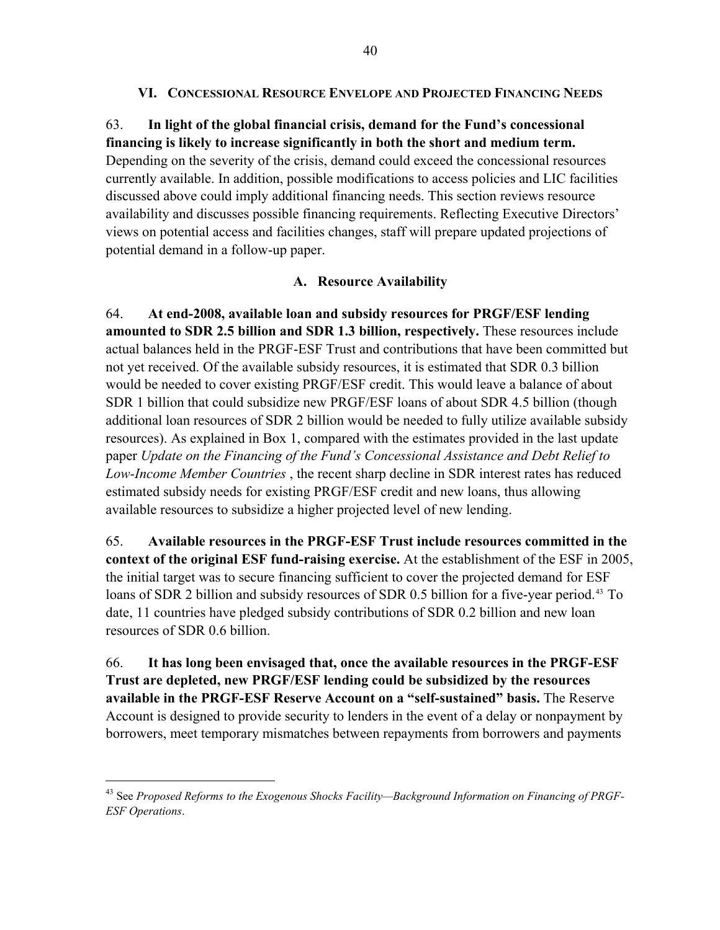#### **VI. CONCESSIONAL RESOURCE ENVELOPE AND PROJECTED FINANCING NEEDS**

#### <span id="page-39-0"></span>63. **In light of the global financial crisis, demand for the Fund's concessional financing is likely to increase significantly in both the short and medium term.**

Depending on the severity of the crisis, demand could exceed the concessional resources currently available. In addition, possible modifications to access policies and LIC facilities discussed above could imply additional financing needs. This section reviews resource availability and discusses possible financing requirements. Reflecting Executive Directors' views on potential access and facilities changes, staff will prepare updated projections of potential demand in a follow-up paper.

#### **A. Resource Availability**

64. **At end-2008, available loan and subsidy resources for PRGF/ESF lending amounted to SDR 2.5 billion and SDR 1.3 billion, respectively.** These resources include actual balances held in the PRGF-ESF Trust and contributions that have been committed but not yet received. Of the available subsidy resources, it is estimated that SDR 0.3 billion would be needed to cover existing PRGF/ESF credit. This would leave a balance of about SDR 1 billion that could subsidize new PRGF/ESF loans of about SDR 4.5 billion (though additional loan resources of SDR 2 billion would be needed to fully utilize available subsidy resources). As explained in Box 1, compared with the estimates provided in the last update paper *Update on the Financing of the Fund's Concessional Assistance and Debt Relief to Low-Income Member Countries* , the recent sharp decline in SDR interest rates has reduced estimated subsidy needs for existing PRGF/ESF credit and new loans, thus allowing available resources to subsidize a higher projected level of new lending.

65. **Available resources in the PRGF-ESF Trust include resources committed in the context of the original ESF fund-raising exercise.** At the establishment of the ESF in 2005, the initial target was to secure financing sufficient to cover the projected demand for ESF loans of SDR 2 billion and subsidy resources of SDR 0.5 billion for a five-year period.<sup>[43](#page-39-1)</sup> To date, 11 countries have pledged subsidy contributions of SDR 0.2 billion and new loan resources of SDR 0.6 billion.

66. **It has long been envisaged that, once the available resources in the PRGF-ESF Trust are depleted, new PRGF/ESF lending could be subsidized by the resources available in the PRGF-ESF Reserve Account on a "self-sustained" basis.** The Reserve Account is designed to provide security to lenders in the event of a delay or nonpayment by borrowers, meet temporary mismatches between repayments from borrowers and payments

<span id="page-39-1"></span><sup>43</sup> See *Proposed Reforms to the Exogenous Shocks Facility—Background Information on Financing of PRGF-ESF Operations*.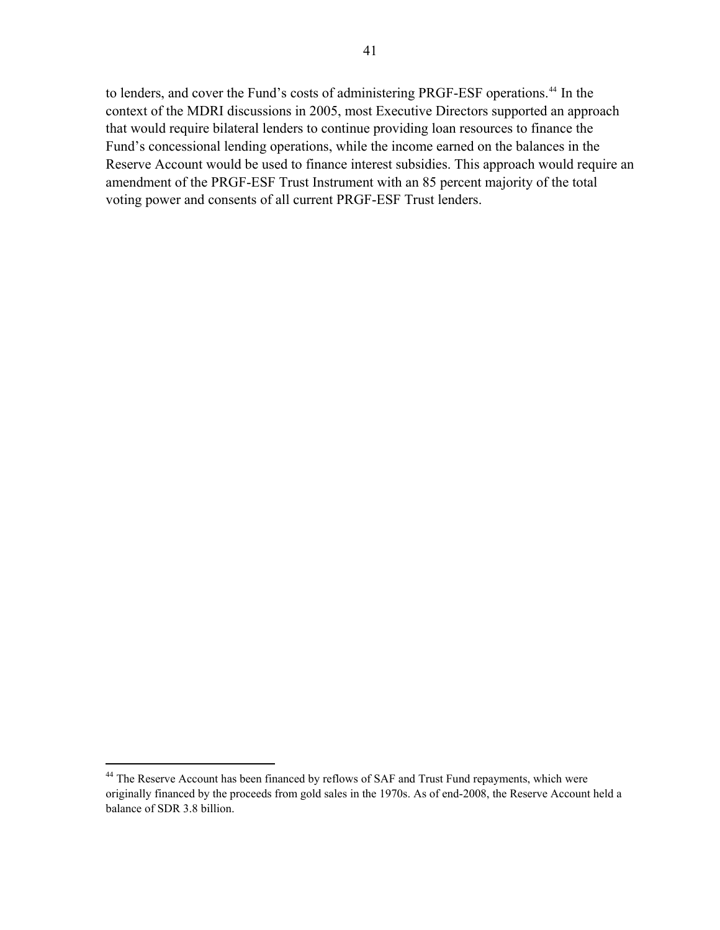to lenders, and cover the Fund's costs of administering PRGF-ESF operations.<sup>44</sup> In the context of the MDRI discussions in 2005, most Executive Directors supported an approach that would require bilateral lenders to continue providing loan resources to finance the Fund's concessional lending operations, while the income earned on the balances in the Reserve Account would be used to finance interest subsidies. This approach would require an amendment of the PRGF-ESF Trust Instrument with an 85 percent majority of the total voting power and consents of all current PRGF-ESF Trust lenders.

<sup>&</sup>lt;sup>44</sup> The Reserve Account has been financed by reflows of SAF and Trust Fund repayments, which were originally financed by the proceeds from gold sales in the 1970s. As of end-2008, the Reserve Account held a balance of SDR 3.8 billion.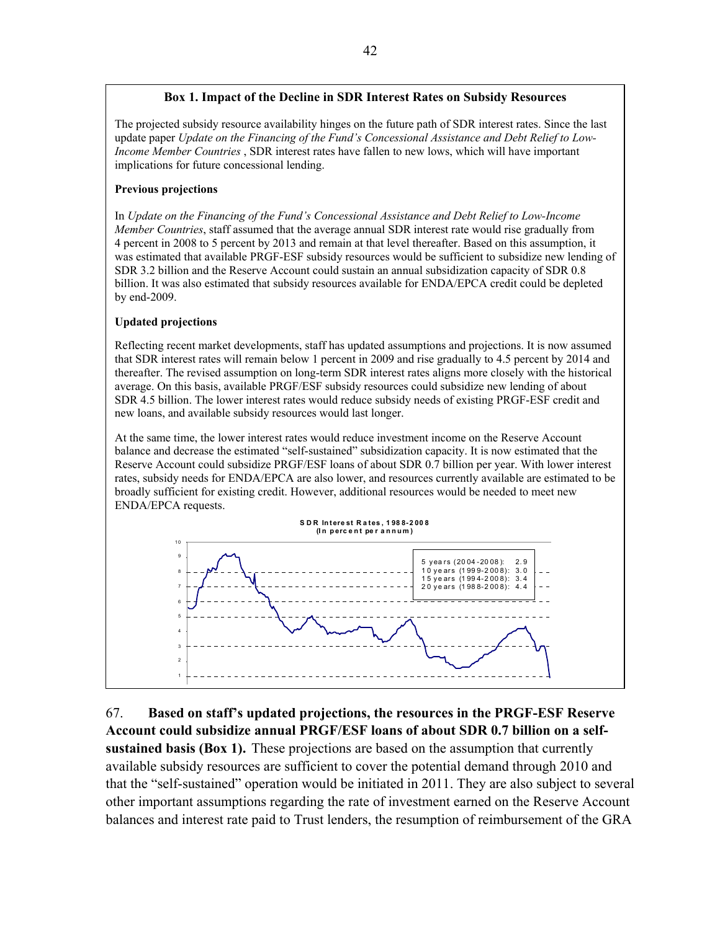#### **Box 1. Impact of the Decline in SDR Interest Rates on Subsidy Resources**

The projected subsidy resource availability hinges on the future path of SDR interest rates. Since the last update paper *Update on the Financing of the Fund's Concessional Assistance and Debt Relief to Low-Income Member Countries* , SDR interest rates have fallen to new lows, which will have important implications for future concessional lending.

#### **Previous projections**

In *Update on the Financing of the Fund's Concessional Assistance and Debt Relief to Low-Income Member Countries*, staff assumed that the average annual SDR interest rate would rise gradually from 4 percent in 2008 to 5 percent by 2013 and remain at that level thereafter. Based on this assumption, it was estimated that available PRGF-ESF subsidy resources would be sufficient to subsidize new lending of SDR 3.2 billion and the Reserve Account could sustain an annual subsidization capacity of SDR 0.8 billion. It was also estimated that subsidy resources available for ENDA/EPCA credit could be depleted by end-2009.

#### **Updated projections**

Reflecting recent market developments, staff has updated assumptions and projections. It is now assumed that SDR interest rates will remain below 1 percent in 2009 and rise gradually to 4.5 percent by 2014 and thereafter. The revised assumption on long-term SDR interest rates aligns more closely with the historical average. On this basis, available PRGF/ESF subsidy resources could subsidize new lending of about SDR 4.5 billion. The lower interest rates would reduce subsidy needs of existing PRGF-ESF credit and new loans, and available subsidy resources would last longer.

At the same time, the lower interest rates would reduce investment income on the Reserve Account balance and decrease the estimated "self-sustained" subsidization capacity. It is now estimated that the Reserve Account could subsidize PRGF/ESF loans of about SDR 0.7 billion per year. With lower interest rates, subsidy needs for ENDA/EPCA are also lower, and resources currently available are estimated to be broadly sufficient for existing credit. However, additional resources would be needed to meet new ENDA/EPCA requests.



67. **Based on staff's updated projections, the resources in the PRGF-ESF Reserve Account could subsidize annual PRGF/ESF loans of about SDR 0.7 billion on a selfsustained basis (Box 1).** These projections are based on the assumption that currently available subsidy resources are sufficient to cover the potential demand through 2010 and that the "self-sustained" operation would be initiated in 2011. They are also subject to several other important assumptions regarding the rate of investment earned on the Reserve Account balances and interest rate paid to Trust lenders, the resumption of reimbursement of the GRA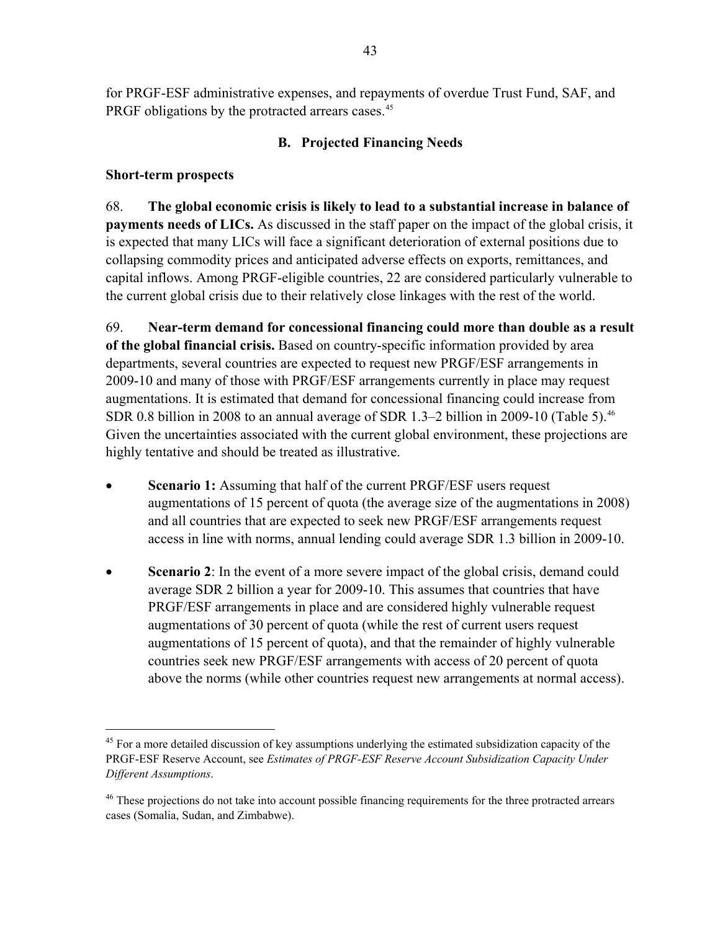<span id="page-42-0"></span>for PRGF-ESF administrative expenses, and repayments of overdue Trust Fund, SAF, and PRGF obligations by the protracted arrears cases.<sup>45</sup>

# **B. Projected Financing Needs**

# **Short-term prospects**

<u>.</u>

68. **The global economic crisis is likely to lead to a substantial increase in balance of payments needs of LICs.** As discussed in the staff paper on the impact of the global crisis, it is expected that many LICs will face a significant deterioration of external positions due to collapsing commodity prices and anticipated adverse effects on exports, remittances, and capital inflows. Among PRGF-eligible countries, 22 are considered particularly vulnerable to the current global crisis due to their relatively close linkages with the rest of the world.

69. **Near-term demand for concessional financing could more than double as a result of the global financial crisis.** Based on country-specific information provided by area departments, several countries are expected to request new PRGF/ESF arrangements in 2009-10 and many of those with PRGF/ESF arrangements currently in place may request augmentations. It is estimated that demand for concessional financing could increase from SDR 0.8 billion in 2008 to an annual average of SDR 1.3–2 billion in 2009-10 (Table 5).<sup>[46](#page-42-1)</sup> Given the uncertainties associated with the current global environment, these projections are highly tentative and should be treated as illustrative.

- **Scenario 1:** Assuming that half of the current PRGF/ESF users request augmentations of 15 percent of quota (the average size of the augmentations in 2008) and all countries that are expected to seek new PRGF/ESF arrangements request access in line with norms, annual lending could average SDR 1.3 billion in 2009-10.
- **Scenario 2**: In the event of a more severe impact of the global crisis, demand could average SDR 2 billion a year for 2009-10. This assumes that countries that have PRGF/ESF arrangements in place and are considered highly vulnerable request augmentations of 30 percent of quota (while the rest of current users request augmentations of 15 percent of quota), and that the remainder of highly vulnerable countries seek new PRGF/ESF arrangements with access of 20 percent of quota above the norms (while other countries request new arrangements at normal access).

<sup>&</sup>lt;sup>45</sup> For a more detailed discussion of key assumptions underlying the estimated subsidization capacity of the PRGF-ESF Reserve Account, see *Estimates of PRGF-ESF Reserve Account Subsidization Capacity Under Different Assumptions*.

<span id="page-42-1"></span><sup>&</sup>lt;sup>46</sup> These projections do not take into account possible financing requirements for the three protracted arrears cases (Somalia, Sudan, and Zimbabwe).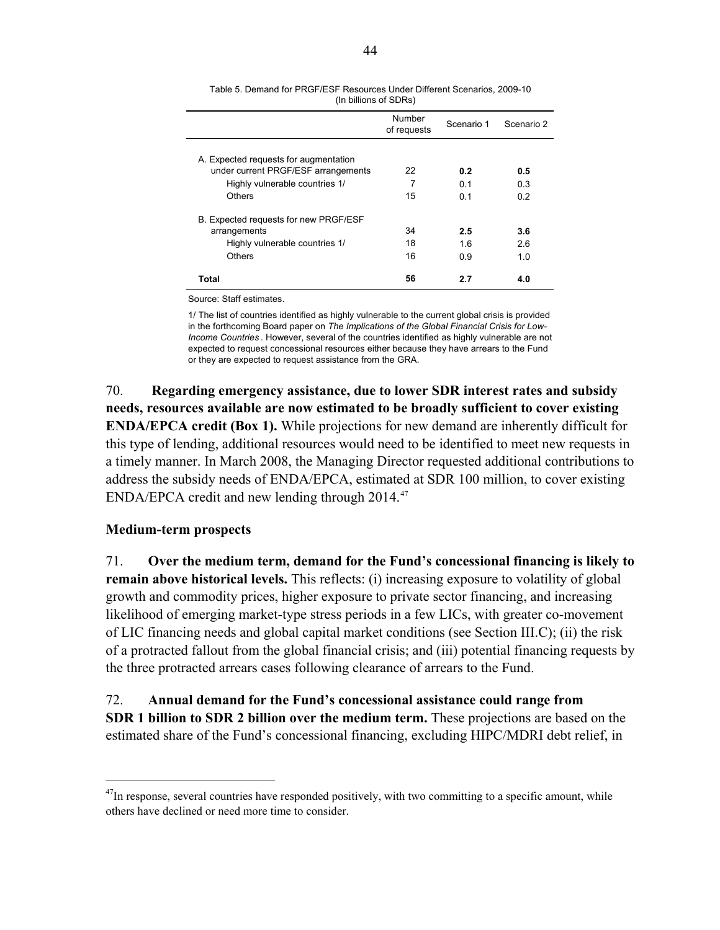<span id="page-43-0"></span>

|                                                                                                                          | Number<br>of requests | Scenario 1                   | Scenario 2        |
|--------------------------------------------------------------------------------------------------------------------------|-----------------------|------------------------------|-------------------|
| A. Expected requests for augmentation<br>under current PRGF/ESF arrangements<br>Highly vulnerable countries 1/<br>Others | 22<br>7<br>15         | 0.2<br>0.1<br>0 <sub>1</sub> | 0.5<br>0.3<br>0.2 |
| B. Expected requests for new PRGF/ESF<br>arrangements<br>Highly vulnerable countries 1/<br>Others                        | 34<br>18<br>16        | 2.5<br>1.6<br>0.9            | 3.6<br>2.6<br>1.0 |
| Total                                                                                                                    | 56                    | 2.7                          | 4.0               |

Table 5. Demand for PRGF/ESF Resources Under Different Scenarios, 2009-10 (In billions of SDRs)

Source: Staff estimates.

1/ The list of countries identified as highly vulnerable to the current global crisis is provided in the forthcoming Board paper on *The Implications of the Global Financial Crisis for Low-Income Countries* . However, several of the countries identified as highly vulnerable are not expected to request concessional resources either because they have arrears to the Fund or they are expected to request assistance from the GRA.

70. **Regarding emergency assistance, due to lower SDR interest rates and subsidy needs, resources available are now estimated to be broadly sufficient to cover existing ENDA/EPCA credit (Box 1).** While projections for new demand are inherently difficult for this type of lending, additional resources would need to be identified to meet new requests in a timely manner. In March 2008, the Managing Director requested additional contributions to address the subsidy needs of ENDA/EPCA, estimated at SDR 100 million, to cover existing ENDA/EPCA credit and new lending through 2014.<sup>[47](#page-43-1)</sup>

#### **Medium-term prospects**

1

71. **Over the medium term, demand for the Fund's concessional financing is likely to remain above historical levels.** This reflects: (i) increasing exposure to volatility of global growth and commodity prices, higher exposure to private sector financing, and increasing likelihood of emerging market-type stress periods in a few LICs, with greater co-movement of LIC financing needs and global capital market conditions (see Section III.C); (ii) the risk of a protracted fallout from the global financial crisis; and (iii) potential financing requests by the three protracted arrears cases following clearance of arrears to the Fund.

72. **Annual demand for the Fund's concessional assistance could range from SDR 1 billion to SDR 2 billion over the medium term.** These projections are based on the estimated share of the Fund's concessional financing, excluding HIPC/MDRI debt relief, in

<span id="page-43-1"></span> $^{47}$ In response, several countries have responded positively, with two committing to a specific amount, while others have declined or need more time to consider.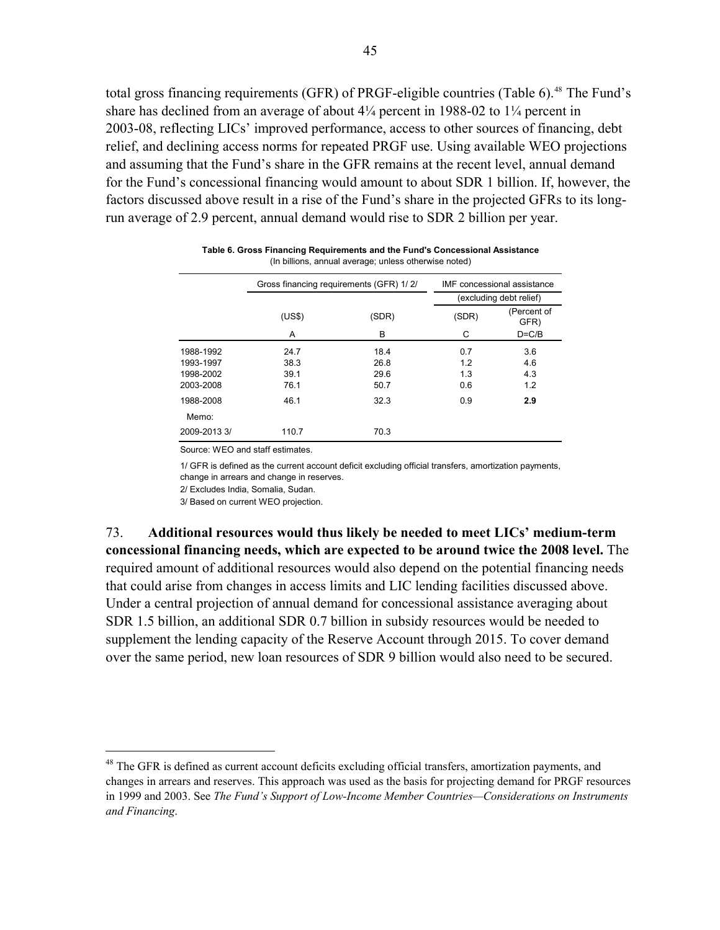<span id="page-44-0"></span>total gross financing requirements (GFR) of PRGF-eligible countries (Table 6).<sup>48</sup> The Fund's share has declined from an average of about  $4\frac{1}{4}$  percent in 1988-02 to  $1\frac{1}{4}$  percent in 2003-08, reflecting LICs' improved performance, access to other sources of financing, debt relief, and declining access norms for repeated PRGF use. Using available WEO projections and assuming that the Fund's share in the GFR remains at the recent level, annual demand for the Fund's concessional financing would amount to about SDR 1 billion. If, however, the factors discussed above result in a rise of the Fund's share in the projected GFRs to its longrun average of 2.9 percent, annual demand would rise to SDR 2 billion per year.

|              |        | Gross financing requirements (GFR) 1/2/ |       | <b>IMF</b> concessional assistance |
|--------------|--------|-----------------------------------------|-------|------------------------------------|
|              |        |                                         |       | (excluding debt relief)            |
|              | (US\$) | (SDR)                                   | (SDR) | (Percent of<br>GFR)                |
|              | A      | В                                       | С     | $D = C/B$                          |
| 1988-1992    | 24.7   | 18.4                                    | 0.7   | 3.6                                |
| 1993-1997    | 38.3   | 26.8                                    | 1.2   | 4.6                                |
| 1998-2002    | 39.1   | 29.6                                    | 1.3   | 4.3                                |
| 2003-2008    | 76.1   | 50.7                                    | 0.6   | 1.2                                |
| 1988-2008    | 46.1   | 32.3                                    | 0.9   | 2.9                                |
| Memo:        |        |                                         |       |                                    |
| 2009-2013 3/ | 110.7  | 70.3                                    |       |                                    |

|  | Table 6. Gross Financing Requirements and the Fund's Concessional Assistance |  |
|--|------------------------------------------------------------------------------|--|
|  | (In billions, annual average; unless otherwise noted)                        |  |

Source: WEO and staff estimates.

1/ GFR is defined as the current account deficit excluding official transfers, amortization payments, change in arrears and change in reserves.

2/ Excludes India, Somalia, Sudan.

3/ Based on current WEO projection.

1

73. **Additional resources would thus likely be needed to meet LICs' medium-term concessional financing needs, which are expected to be around twice the 2008 level.** The required amount of additional resources would also depend on the potential financing needs that could arise from changes in access limits and LIC lending facilities discussed above. Under a central projection of annual demand for concessional assistance averaging about SDR 1.5 billion, an additional SDR 0.7 billion in subsidy resources would be needed to supplement the lending capacity of the Reserve Account through 2015. To cover demand over the same period, new loan resources of SDR 9 billion would also need to be secured.

<sup>&</sup>lt;sup>48</sup> The GFR is defined as current account deficits excluding official transfers, amortization payments, and changes in arrears and reserves. This approach was used as the basis for projecting demand for PRGF resources in 1999 and 2003. See *The Fund's Support of Low-Income Member Countries—Considerations on Instruments and Financing*.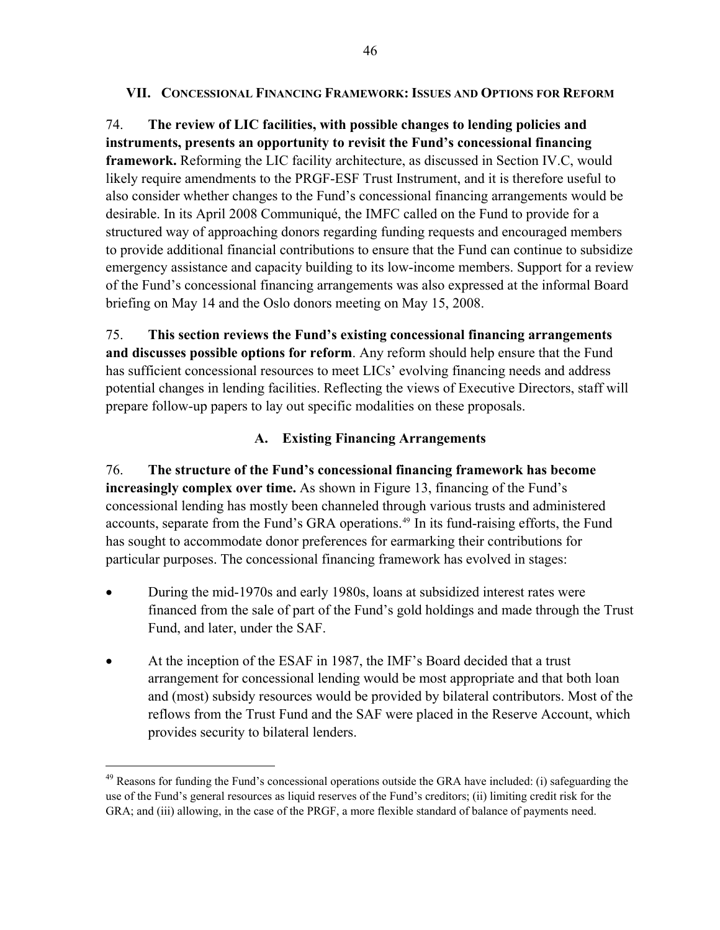#### <span id="page-45-0"></span>**VII. CONCESSIONAL FINANCING FRAMEWORK: ISSUES AND OPTIONS FOR REFORM**

74. **The review of LIC facilities, with possible changes to lending policies and instruments, presents an opportunity to revisit the Fund's concessional financing framework.** Reforming the LIC facility architecture, as discussed in Section IV.C, would likely require amendments to the PRGF-ESF Trust Instrument, and it is therefore useful to also consider whether changes to the Fund's concessional financing arrangements would be desirable. In its April 2008 Communiqué, the IMFC called on the Fund to provide for a structured way of approaching donors regarding funding requests and encouraged members to provide additional financial contributions to ensure that the Fund can continue to subsidize emergency assistance and capacity building to its low-income members. Support for a review of the Fund's concessional financing arrangements was also expressed at the informal Board briefing on May 14 and the Oslo donors meeting on May 15, 2008.

75. **This section reviews the Fund's existing concessional financing arrangements and discusses possible options for reform**. Any reform should help ensure that the Fund has sufficient concessional resources to meet LICs' evolving financing needs and address potential changes in lending facilities. Reflecting the views of Executive Directors, staff will prepare follow-up papers to lay out specific modalities on these proposals.

# **A. Existing Financing Arrangements**

76. **The structure of the Fund's concessional financing framework has become increasingly complex over time.** As shown in Figure 13, financing of the Fund's concessional lending has mostly been channeled through various trusts and administered accounts, separate from the Fund's GRA operations.<sup>49</sup> In its fund-raising efforts, the Fund has sought to accommodate donor preferences for earmarking their contributions for particular purposes. The concessional financing framework has evolved in stages:

- During the mid-1970s and early 1980s, loans at subsidized interest rates were financed from the sale of part of the Fund's gold holdings and made through the Trust Fund, and later, under the SAF.
- At the inception of the ESAF in 1987, the IMF's Board decided that a trust arrangement for concessional lending would be most appropriate and that both loan and (most) subsidy resources would be provided by bilateral contributors. Most of the reflows from the Trust Fund and the SAF were placed in the Reserve Account, which provides security to bilateral lenders.

<span id="page-45-1"></span> $^{49}$  Reasons for funding the Fund's concessional operations outside the GRA have included: (i) safeguarding the use of the Fund's general resources as liquid reserves of the Fund's creditors; (ii) limiting credit risk for the GRA; and (iii) allowing, in the case of the PRGF, a more flexible standard of balance of payments need.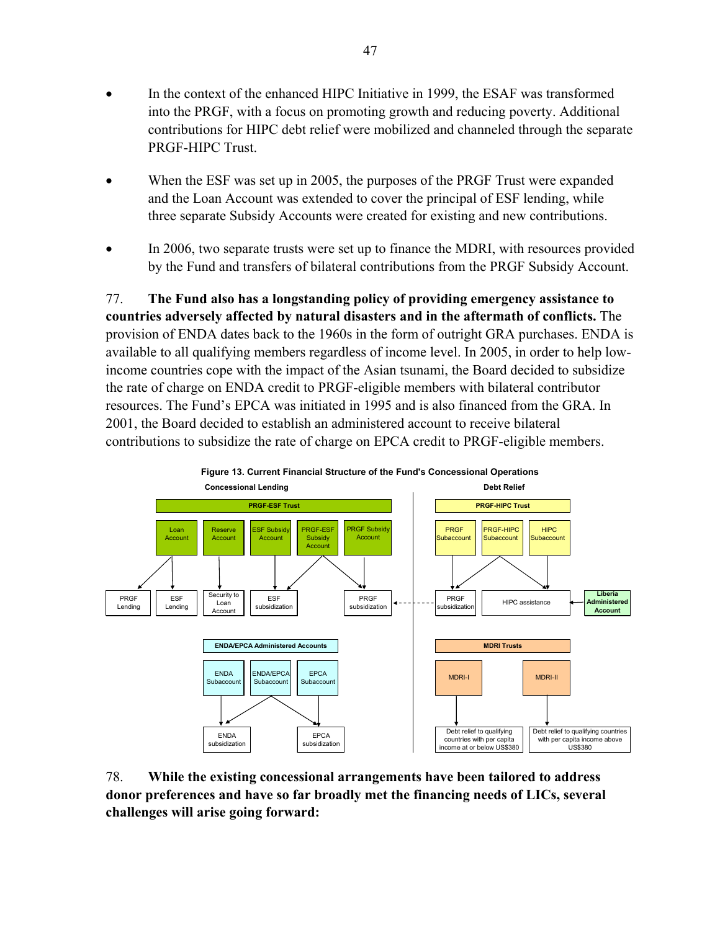- <span id="page-46-0"></span>• In the context of the enhanced HIPC Initiative in 1999, the ESAF was transformed into the PRGF, with a focus on promoting growth and reducing poverty. Additional contributions for HIPC debt relief were mobilized and channeled through the separate PRGF-HIPC Trust.
- When the ESF was set up in 2005, the purposes of the PRGF Trust were expanded and the Loan Account was extended to cover the principal of ESF lending, while three separate Subsidy Accounts were created for existing and new contributions.
- In 2006, two separate trusts were set up to finance the MDRI, with resources provided by the Fund and transfers of bilateral contributions from the PRGF Subsidy Account.

77. **The Fund also has a longstanding policy of providing emergency assistance to countries adversely affected by natural disasters and in the aftermath of conflicts.** The provision of ENDA dates back to the 1960s in the form of outright GRA purchases. ENDA is available to all qualifying members regardless of income level. In 2005, in order to help lowincome countries cope with the impact of the Asian tsunami, the Board decided to subsidize the rate of charge on ENDA credit to PRGF-eligible members with bilateral contributor resources. The Fund's EPCA was initiated in 1995 and is also financed from the GRA. In 2001, the Board decided to establish an administered account to receive bilateral contributions to subsidize the rate of charge on EPCA credit to PRGF-eligible members.



**Figure 13. Current Financial Structure of the Fund's Concessional Operations** 

78. **While the existing concessional arrangements have been tailored to address donor preferences and have so far broadly met the financing needs of LICs, several challenges will arise going forward:**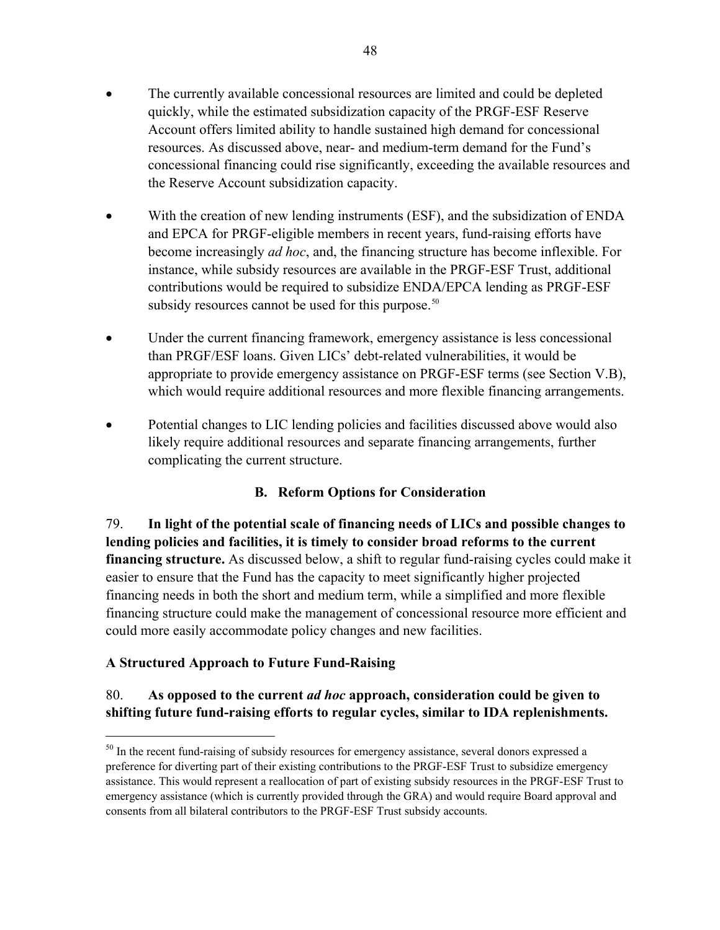- <span id="page-47-0"></span>• The currently available concessional resources are limited and could be depleted quickly, while the estimated subsidization capacity of the PRGF-ESF Reserve Account offers limited ability to handle sustained high demand for concessional resources. As discussed above, near- and medium-term demand for the Fund's concessional financing could rise significantly, exceeding the available resources and the Reserve Account subsidization capacity.
- With the creation of new lending instruments (ESF), and the subsidization of ENDA and EPCA for PRGF-eligible members in recent years, fund-raising efforts have become increasingly *ad hoc*, and, the financing structure has become inflexible. For instance, while subsidy resources are available in the PRGF-ESF Trust, additional contributions would be required to subsidize ENDA/EPCA lending as PRGF-ESF subsidy resources cannot be used for this purpose.<sup>[50](#page-47-1)</sup>
- Under the current financing framework, emergency assistance is less concessional than PRGF/ESF loans. Given LICs' debt-related vulnerabilities, it would be appropriate to provide emergency assistance on PRGF-ESF terms (see Section V.B), which would require additional resources and more flexible financing arrangements.
- Potential changes to LIC lending policies and facilities discussed above would also likely require additional resources and separate financing arrangements, further complicating the current structure.

# **B. Reform Options for Consideration**

79. **In light of the potential scale of financing needs of LICs and possible changes to lending policies and facilities, it is timely to consider broad reforms to the current financing structure.** As discussed below, a shift to regular fund-raising cycles could make it easier to ensure that the Fund has the capacity to meet significantly higher projected financing needs in both the short and medium term, while a simplified and more flexible financing structure could make the management of concessional resource more efficient and could more easily accommodate policy changes and new facilities.

# **A Structured Approach to Future Fund-Raising**

 $\overline{a}$ 

# 80. **As opposed to the current** *ad hoc* **approach, consideration could be given to shifting future fund-raising efforts to regular cycles, similar to IDA replenishments.**

<span id="page-47-1"></span><sup>&</sup>lt;sup>50</sup> In the recent fund-raising of subsidy resources for emergency assistance, several donors expressed a preference for diverting part of their existing contributions to the PRGF-ESF Trust to subsidize emergency assistance. This would represent a reallocation of part of existing subsidy resources in the PRGF-ESF Trust to emergency assistance (which is currently provided through the GRA) and would require Board approval and consents from all bilateral contributors to the PRGF-ESF Trust subsidy accounts.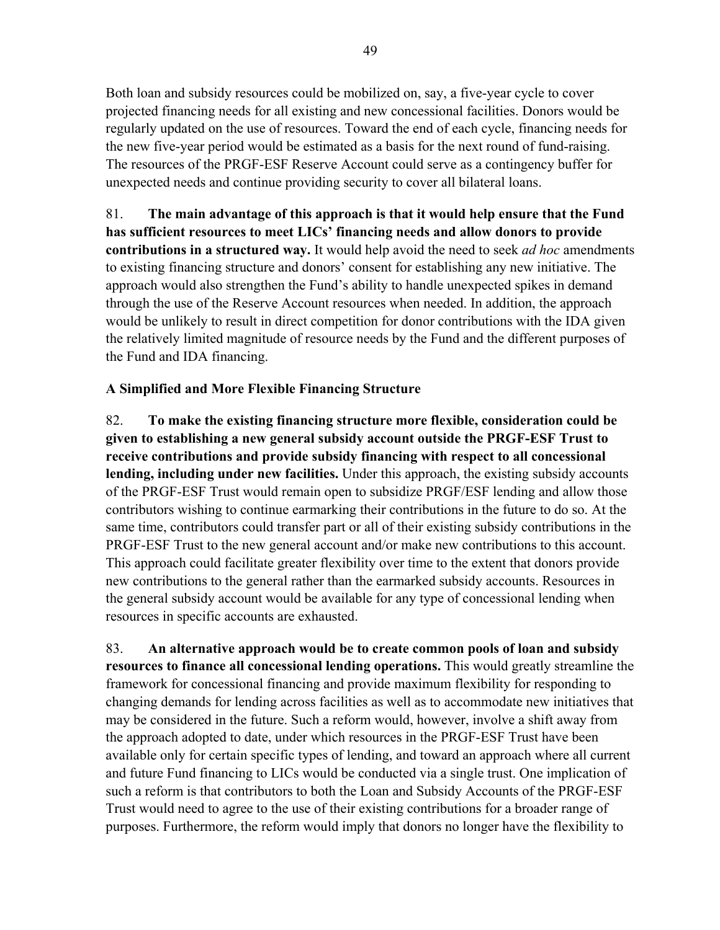<span id="page-48-0"></span>Both loan and subsidy resources could be mobilized on, say, a five-year cycle to cover projected financing needs for all existing and new concessional facilities. Donors would be regularly updated on the use of resources. Toward the end of each cycle, financing needs for the new five-year period would be estimated as a basis for the next round of fund-raising. The resources of the PRGF-ESF Reserve Account could serve as a contingency buffer for unexpected needs and continue providing security to cover all bilateral loans.

81. **The main advantage of this approach is that it would help ensure that the Fund has sufficient resources to meet LICs' financing needs and allow donors to provide contributions in a structured way.** It would help avoid the need to seek *ad hoc* amendments to existing financing structure and donors' consent for establishing any new initiative. The approach would also strengthen the Fund's ability to handle unexpected spikes in demand through the use of the Reserve Account resources when needed. In addition, the approach would be unlikely to result in direct competition for donor contributions with the IDA given the relatively limited magnitude of resource needs by the Fund and the different purposes of the Fund and IDA financing.

# **A Simplified and More Flexible Financing Structure**

82. **To make the existing financing structure more flexible, consideration could be given to establishing a new general subsidy account outside the PRGF-ESF Trust to receive contributions and provide subsidy financing with respect to all concessional lending, including under new facilities.** Under this approach, the existing subsidy accounts of the PRGF-ESF Trust would remain open to subsidize PRGF/ESF lending and allow those contributors wishing to continue earmarking their contributions in the future to do so. At the same time, contributors could transfer part or all of their existing subsidy contributions in the PRGF-ESF Trust to the new general account and/or make new contributions to this account. This approach could facilitate greater flexibility over time to the extent that donors provide new contributions to the general rather than the earmarked subsidy accounts. Resources in the general subsidy account would be available for any type of concessional lending when resources in specific accounts are exhausted.

83. **An alternative approach would be to create common pools of loan and subsidy resources to finance all concessional lending operations.** This would greatly streamline the framework for concessional financing and provide maximum flexibility for responding to changing demands for lending across facilities as well as to accommodate new initiatives that may be considered in the future. Such a reform would, however, involve a shift away from the approach adopted to date, under which resources in the PRGF-ESF Trust have been available only for certain specific types of lending, and toward an approach where all current and future Fund financing to LICs would be conducted via a single trust. One implication of such a reform is that contributors to both the Loan and Subsidy Accounts of the PRGF-ESF Trust would need to agree to the use of their existing contributions for a broader range of purposes. Furthermore, the reform would imply that donors no longer have the flexibility to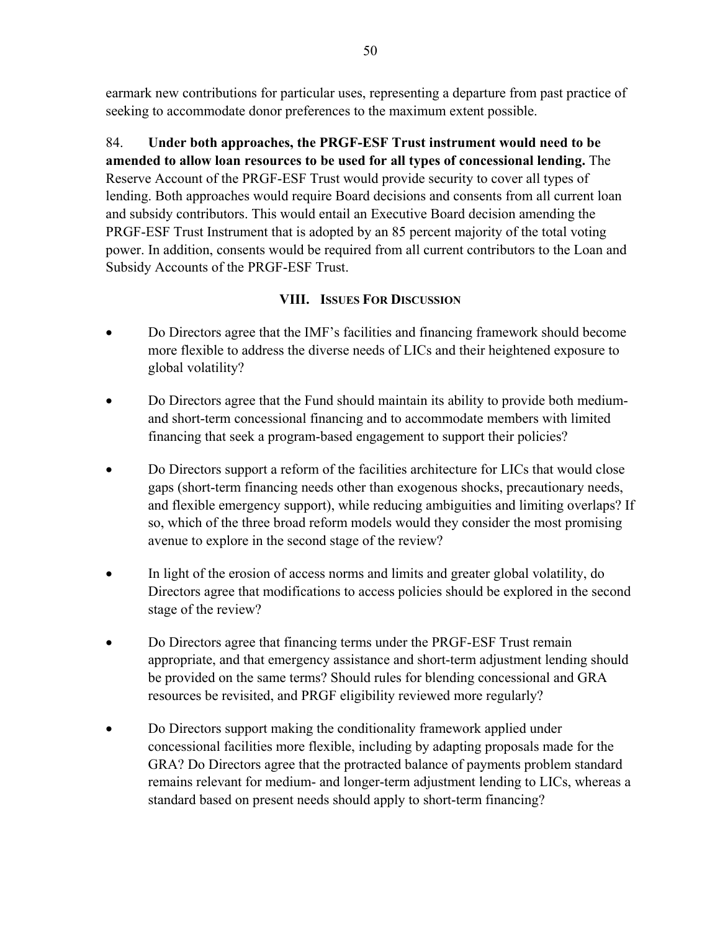<span id="page-49-0"></span>earmark new contributions for particular uses, representing a departure from past practice of seeking to accommodate donor preferences to the maximum extent possible.

84. **Under both approaches, the PRGF-ESF Trust instrument would need to be amended to allow loan resources to be used for all types of concessional lending.** The Reserve Account of the PRGF-ESF Trust would provide security to cover all types of lending. Both approaches would require Board decisions and consents from all current loan and subsidy contributors. This would entail an Executive Board decision amending the PRGF-ESF Trust Instrument that is adopted by an 85 percent majority of the total voting power. In addition, consents would be required from all current contributors to the Loan and Subsidy Accounts of the PRGF-ESF Trust.

# **VIII. ISSUES FOR DISCUSSION**

- Do Directors agree that the IMF's facilities and financing framework should become more flexible to address the diverse needs of LICs and their heightened exposure to global volatility?
- Do Directors agree that the Fund should maintain its ability to provide both mediumand short-term concessional financing and to accommodate members with limited financing that seek a program-based engagement to support their policies?
- Do Directors support a reform of the facilities architecture for LICs that would close gaps (short-term financing needs other than exogenous shocks, precautionary needs, and flexible emergency support), while reducing ambiguities and limiting overlaps? If so, which of the three broad reform models would they consider the most promising avenue to explore in the second stage of the review?
- In light of the erosion of access norms and limits and greater global volatility, do Directors agree that modifications to access policies should be explored in the second stage of the review?
- Do Directors agree that financing terms under the PRGF-ESF Trust remain appropriate, and that emergency assistance and short-term adjustment lending should be provided on the same terms? Should rules for blending concessional and GRA resources be revisited, and PRGF eligibility reviewed more regularly?
- Do Directors support making the conditionality framework applied under concessional facilities more flexible, including by adapting proposals made for the GRA? Do Directors agree that the protracted balance of payments problem standard remains relevant for medium- and longer-term adjustment lending to LICs, whereas a standard based on present needs should apply to short-term financing?